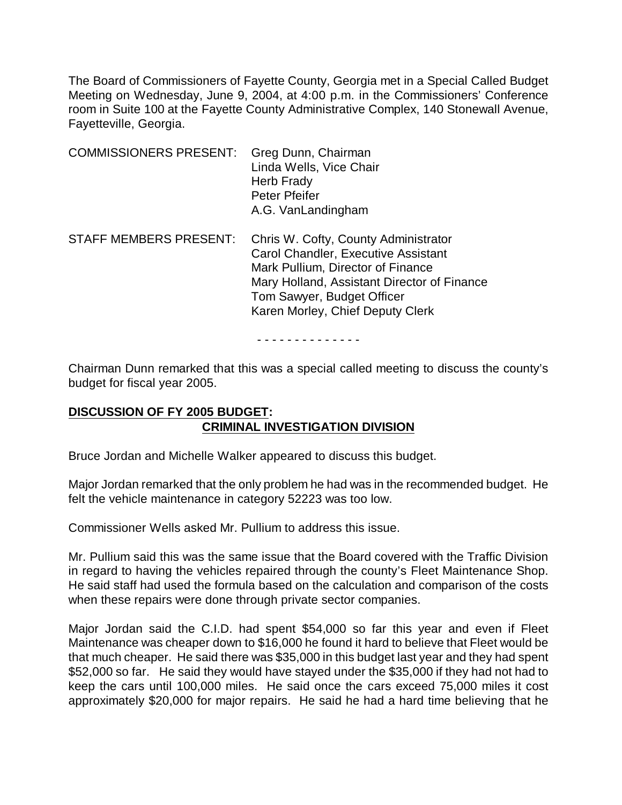The Board of Commissioners of Fayette County, Georgia met in a Special Called Budget Meeting on Wednesday, June 9, 2004, at 4:00 p.m. in the Commissioners' Conference room in Suite 100 at the Fayette County Administrative Complex, 140 Stonewall Avenue, Fayetteville, Georgia.

| <b>COMMISSIONERS PRESENT:</b> | Greg Dunn, Chairman<br>Linda Wells, Vice Chair<br>Herb Frady<br><b>Peter Pfeifer</b><br>A.G. VanLandingham                                                                                                                        |
|-------------------------------|-----------------------------------------------------------------------------------------------------------------------------------------------------------------------------------------------------------------------------------|
| <b>STAFF MEMBERS PRESENT:</b> | Chris W. Cofty, County Administrator<br>Carol Chandler, Executive Assistant<br>Mark Pullium, Director of Finance<br>Mary Holland, Assistant Director of Finance<br>Tom Sawyer, Budget Officer<br>Karen Morley, Chief Deputy Clerk |

- - - - - - - - - - - - - -

Chairman Dunn remarked that this was a special called meeting to discuss the county's budget for fiscal year 2005.

# **DISCUSSION OF FY 2005 BUDGET: CRIMINAL INVESTIGATION DIVISION**

Bruce Jordan and Michelle Walker appeared to discuss this budget.

Major Jordan remarked that the only problem he had was in the recommended budget. He felt the vehicle maintenance in category 52223 was too low.

Commissioner Wells asked Mr. Pullium to address this issue.

Mr. Pullium said this was the same issue that the Board covered with the Traffic Division in regard to having the vehicles repaired through the county's Fleet Maintenance Shop. He said staff had used the formula based on the calculation and comparison of the costs when these repairs were done through private sector companies.

Major Jordan said the C.I.D. had spent \$54,000 so far this year and even if Fleet Maintenance was cheaper down to \$16,000 he found it hard to believe that Fleet would be that much cheaper. He said there was \$35,000 in this budget last year and they had spent \$52,000 so far. He said they would have stayed under the \$35,000 if they had not had to keep the cars until 100,000 miles. He said once the cars exceed 75,000 miles it cost approximately \$20,000 for major repairs. He said he had a hard time believing that he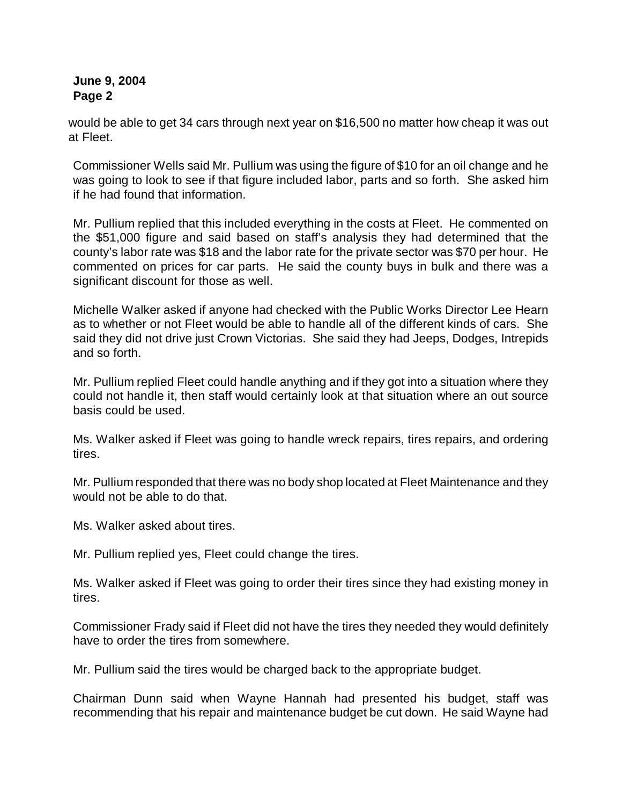would be able to get 34 cars through next year on \$16,500 no matter how cheap it was out at Fleet.

Commissioner Wells said Mr. Pullium was using the figure of \$10 for an oil change and he was going to look to see if that figure included labor, parts and so forth. She asked him if he had found that information.

Mr. Pullium replied that this included everything in the costs at Fleet. He commented on the \$51,000 figure and said based on staff's analysis they had determined that the county's labor rate was \$18 and the labor rate for the private sector was \$70 per hour. He commented on prices for car parts. He said the county buys in bulk and there was a significant discount for those as well.

Michelle Walker asked if anyone had checked with the Public Works Director Lee Hearn as to whether or not Fleet would be able to handle all of the different kinds of cars. She said they did not drive just Crown Victorias. She said they had Jeeps, Dodges, Intrepids and so forth.

Mr. Pullium replied Fleet could handle anything and if they got into a situation where they could not handle it, then staff would certainly look at that situation where an out source basis could be used.

Ms. Walker asked if Fleet was going to handle wreck repairs, tires repairs, and ordering tires.

Mr. Pullium responded that there was no body shop located at Fleet Maintenance and they would not be able to do that.

Ms. Walker asked about tires.

Mr. Pullium replied yes, Fleet could change the tires.

Ms. Walker asked if Fleet was going to order their tires since they had existing money in tires.

Commissioner Frady said if Fleet did not have the tires they needed they would definitely have to order the tires from somewhere.

Mr. Pullium said the tires would be charged back to the appropriate budget.

Chairman Dunn said when Wayne Hannah had presented his budget, staff was recommending that his repair and maintenance budget be cut down. He said Wayne had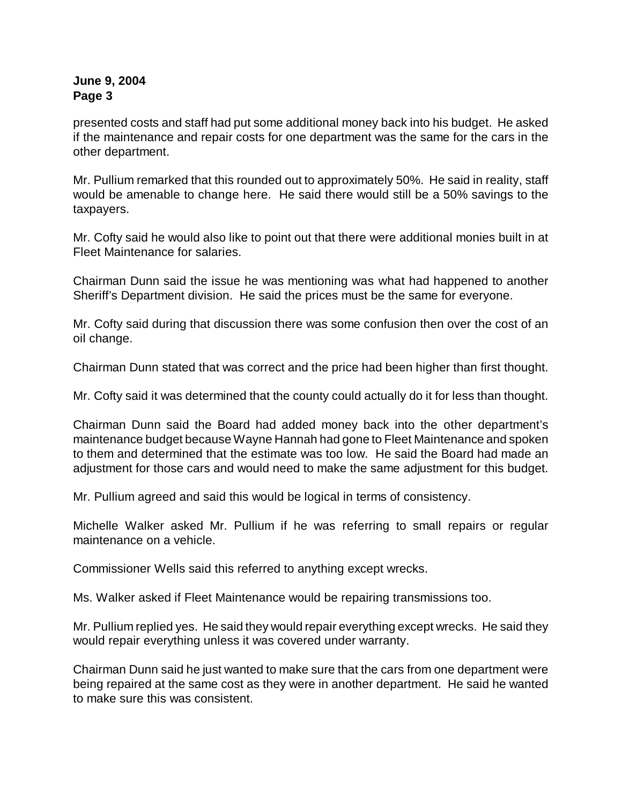presented costs and staff had put some additional money back into his budget. He asked if the maintenance and repair costs for one department was the same for the cars in the other department.

Mr. Pullium remarked that this rounded out to approximately 50%. He said in reality, staff would be amenable to change here. He said there would still be a 50% savings to the taxpayers.

Mr. Cofty said he would also like to point out that there were additional monies built in at Fleet Maintenance for salaries.

Chairman Dunn said the issue he was mentioning was what had happened to another Sheriff's Department division. He said the prices must be the same for everyone.

Mr. Cofty said during that discussion there was some confusion then over the cost of an oil change.

Chairman Dunn stated that was correct and the price had been higher than first thought.

Mr. Cofty said it was determined that the county could actually do it for less than thought.

Chairman Dunn said the Board had added money back into the other department's maintenance budget because Wayne Hannah had gone to Fleet Maintenance and spoken to them and determined that the estimate was too low. He said the Board had made an adjustment for those cars and would need to make the same adjustment for this budget.

Mr. Pullium agreed and said this would be logical in terms of consistency.

Michelle Walker asked Mr. Pullium if he was referring to small repairs or regular maintenance on a vehicle.

Commissioner Wells said this referred to anything except wrecks.

Ms. Walker asked if Fleet Maintenance would be repairing transmissions too.

Mr. Pullium replied yes. He said they would repair everything except wrecks. He said they would repair everything unless it was covered under warranty.

Chairman Dunn said he just wanted to make sure that the cars from one department were being repaired at the same cost as they were in another department. He said he wanted to make sure this was consistent.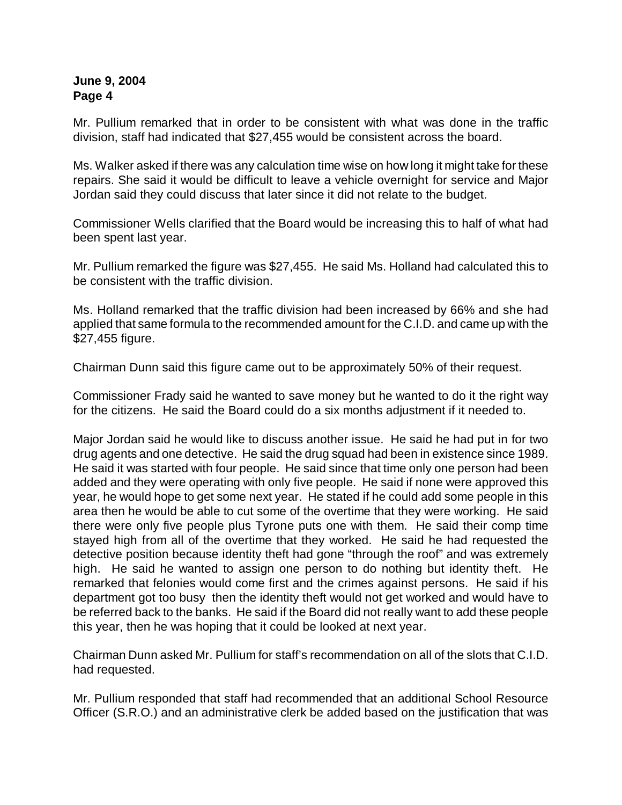Mr. Pullium remarked that in order to be consistent with what was done in the traffic division, staff had indicated that \$27,455 would be consistent across the board.

Ms. Walker asked if there was any calculation time wise on how long it might take for these repairs. She said it would be difficult to leave a vehicle overnight for service and Major Jordan said they could discuss that later since it did not relate to the budget.

Commissioner Wells clarified that the Board would be increasing this to half of what had been spent last year.

Mr. Pullium remarked the figure was \$27,455. He said Ms. Holland had calculated this to be consistent with the traffic division.

Ms. Holland remarked that the traffic division had been increased by 66% and she had applied that same formula to the recommended amount for the C.I.D. and came up with the \$27,455 figure.

Chairman Dunn said this figure came out to be approximately 50% of their request.

Commissioner Frady said he wanted to save money but he wanted to do it the right way for the citizens. He said the Board could do a six months adjustment if it needed to.

Major Jordan said he would like to discuss another issue. He said he had put in for two drug agents and one detective. He said the drug squad had been in existence since 1989. He said it was started with four people. He said since that time only one person had been added and they were operating with only five people. He said if none were approved this year, he would hope to get some next year. He stated if he could add some people in this area then he would be able to cut some of the overtime that they were working. He said there were only five people plus Tyrone puts one with them. He said their comp time stayed high from all of the overtime that they worked. He said he had requested the detective position because identity theft had gone "through the roof" and was extremely high. He said he wanted to assign one person to do nothing but identity theft. He remarked that felonies would come first and the crimes against persons. He said if his department got too busy then the identity theft would not get worked and would have to be referred back to the banks. He said if the Board did not really want to add these people this year, then he was hoping that it could be looked at next year.

Chairman Dunn asked Mr. Pullium for staff's recommendation on all of the slots that C.I.D. had requested.

Mr. Pullium responded that staff had recommended that an additional School Resource Officer (S.R.O.) and an administrative clerk be added based on the justification that was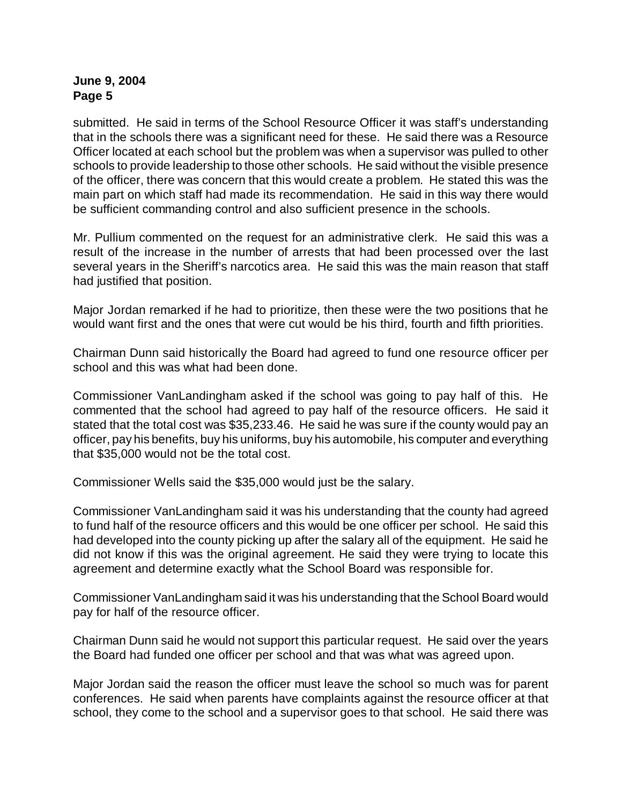submitted. He said in terms of the School Resource Officer it was staff's understanding that in the schools there was a significant need for these. He said there was a Resource Officer located at each school but the problem was when a supervisor was pulled to other schools to provide leadership to those other schools. He said without the visible presence of the officer, there was concern that this would create a problem. He stated this was the main part on which staff had made its recommendation. He said in this way there would be sufficient commanding control and also sufficient presence in the schools.

Mr. Pullium commented on the request for an administrative clerk. He said this was a result of the increase in the number of arrests that had been processed over the last several years in the Sheriff's narcotics area. He said this was the main reason that staff had justified that position.

Major Jordan remarked if he had to prioritize, then these were the two positions that he would want first and the ones that were cut would be his third, fourth and fifth priorities.

Chairman Dunn said historically the Board had agreed to fund one resource officer per school and this was what had been done.

Commissioner VanLandingham asked if the school was going to pay half of this. He commented that the school had agreed to pay half of the resource officers. He said it stated that the total cost was \$35,233.46. He said he was sure if the county would pay an officer, pay his benefits, buy his uniforms, buy his automobile, his computer and everything that \$35,000 would not be the total cost.

Commissioner Wells said the \$35,000 would just be the salary.

Commissioner VanLandingham said it was his understanding that the county had agreed to fund half of the resource officers and this would be one officer per school. He said this had developed into the county picking up after the salary all of the equipment. He said he did not know if this was the original agreement. He said they were trying to locate this agreement and determine exactly what the School Board was responsible for.

Commissioner VanLandingham said it was his understanding that the School Board would pay for half of the resource officer.

Chairman Dunn said he would not support this particular request. He said over the years the Board had funded one officer per school and that was what was agreed upon.

Major Jordan said the reason the officer must leave the school so much was for parent conferences. He said when parents have complaints against the resource officer at that school, they come to the school and a supervisor goes to that school. He said there was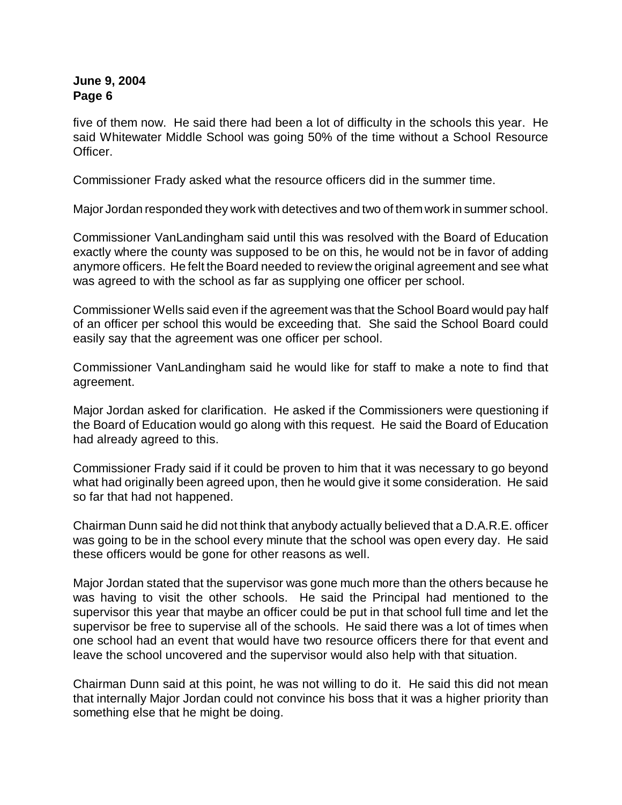five of them now. He said there had been a lot of difficulty in the schools this year. He said Whitewater Middle School was going 50% of the time without a School Resource Officer.

Commissioner Frady asked what the resource officers did in the summer time.

Major Jordan responded they work with detectives and two of them work in summer school.

Commissioner VanLandingham said until this was resolved with the Board of Education exactly where the county was supposed to be on this, he would not be in favor of adding anymore officers. He felt the Board needed to review the original agreement and see what was agreed to with the school as far as supplying one officer per school.

Commissioner Wells said even if the agreement was that the School Board would pay half of an officer per school this would be exceeding that. She said the School Board could easily say that the agreement was one officer per school.

Commissioner VanLandingham said he would like for staff to make a note to find that agreement.

Major Jordan asked for clarification. He asked if the Commissioners were questioning if the Board of Education would go along with this request. He said the Board of Education had already agreed to this.

Commissioner Frady said if it could be proven to him that it was necessary to go beyond what had originally been agreed upon, then he would give it some consideration. He said so far that had not happened.

Chairman Dunn said he did not think that anybody actually believed that a D.A.R.E. officer was going to be in the school every minute that the school was open every day. He said these officers would be gone for other reasons as well.

Major Jordan stated that the supervisor was gone much more than the others because he was having to visit the other schools. He said the Principal had mentioned to the supervisor this year that maybe an officer could be put in that school full time and let the supervisor be free to supervise all of the schools. He said there was a lot of times when one school had an event that would have two resource officers there for that event and leave the school uncovered and the supervisor would also help with that situation.

Chairman Dunn said at this point, he was not willing to do it. He said this did not mean that internally Major Jordan could not convince his boss that it was a higher priority than something else that he might be doing.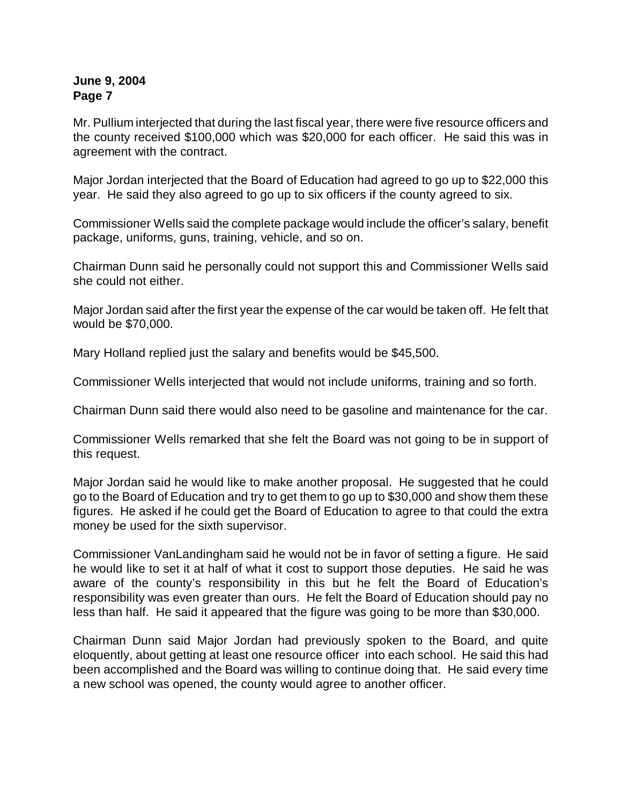Mr. Pullium interjected that during the last fiscal year, there were five resource officers and the county received \$100,000 which was \$20,000 for each officer. He said this was in agreement with the contract.

Major Jordan interjected that the Board of Education had agreed to go up to \$22,000 this year. He said they also agreed to go up to six officers if the county agreed to six.

Commissioner Wells said the complete package would include the officer's salary, benefit package, uniforms, guns, training, vehicle, and so on.

Chairman Dunn said he personally could not support this and Commissioner Wells said she could not either.

Major Jordan said after the first year the expense of the car would be taken off. He felt that would be \$70,000.

Mary Holland replied just the salary and benefits would be \$45,500.

Commissioner Wells interjected that would not include uniforms, training and so forth.

Chairman Dunn said there would also need to be gasoline and maintenance for the car.

Commissioner Wells remarked that she felt the Board was not going to be in support of this request.

Major Jordan said he would like to make another proposal. He suggested that he could go to the Board of Education and try to get them to go up to \$30,000 and show them these figures. He asked if he could get the Board of Education to agree to that could the extra money be used for the sixth supervisor.

Commissioner VanLandingham said he would not be in favor of setting a figure. He said he would like to set it at half of what it cost to support those deputies. He said he was aware of the county's responsibility in this but he felt the Board of Education's responsibility was even greater than ours. He felt the Board of Education should pay no less than half. He said it appeared that the figure was going to be more than \$30,000.

Chairman Dunn said Major Jordan had previously spoken to the Board, and quite eloquently, about getting at least one resource officer into each school. He said this had been accomplished and the Board was willing to continue doing that. He said every time a new school was opened, the county would agree to another officer.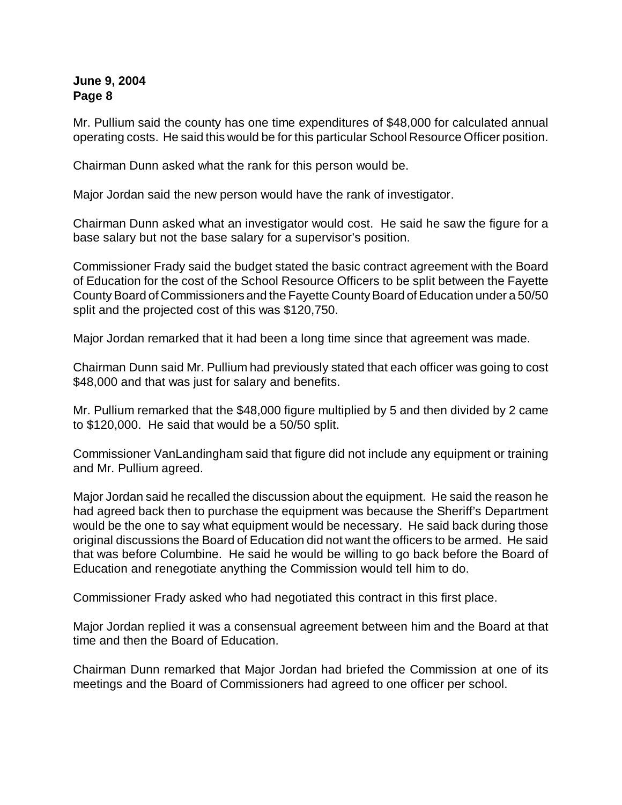Mr. Pullium said the county has one time expenditures of \$48,000 for calculated annual operating costs. He said this would be for this particular School Resource Officer position.

Chairman Dunn asked what the rank for this person would be.

Major Jordan said the new person would have the rank of investigator.

Chairman Dunn asked what an investigator would cost. He said he saw the figure for a base salary but not the base salary for a supervisor's position.

Commissioner Frady said the budget stated the basic contract agreement with the Board of Education for the cost of the School Resource Officers to be split between the Fayette County Board of Commissioners and the Fayette County Board of Education under a 50/50 split and the projected cost of this was \$120,750.

Major Jordan remarked that it had been a long time since that agreement was made.

Chairman Dunn said Mr. Pullium had previously stated that each officer was going to cost \$48,000 and that was just for salary and benefits.

Mr. Pullium remarked that the \$48,000 figure multiplied by 5 and then divided by 2 came to \$120,000. He said that would be a 50/50 split.

Commissioner VanLandingham said that figure did not include any equipment or training and Mr. Pullium agreed.

Major Jordan said he recalled the discussion about the equipment. He said the reason he had agreed back then to purchase the equipment was because the Sheriff's Department would be the one to say what equipment would be necessary. He said back during those original discussions the Board of Education did not want the officers to be armed. He said that was before Columbine. He said he would be willing to go back before the Board of Education and renegotiate anything the Commission would tell him to do.

Commissioner Frady asked who had negotiated this contract in this first place.

Major Jordan replied it was a consensual agreement between him and the Board at that time and then the Board of Education.

Chairman Dunn remarked that Major Jordan had briefed the Commission at one of its meetings and the Board of Commissioners had agreed to one officer per school.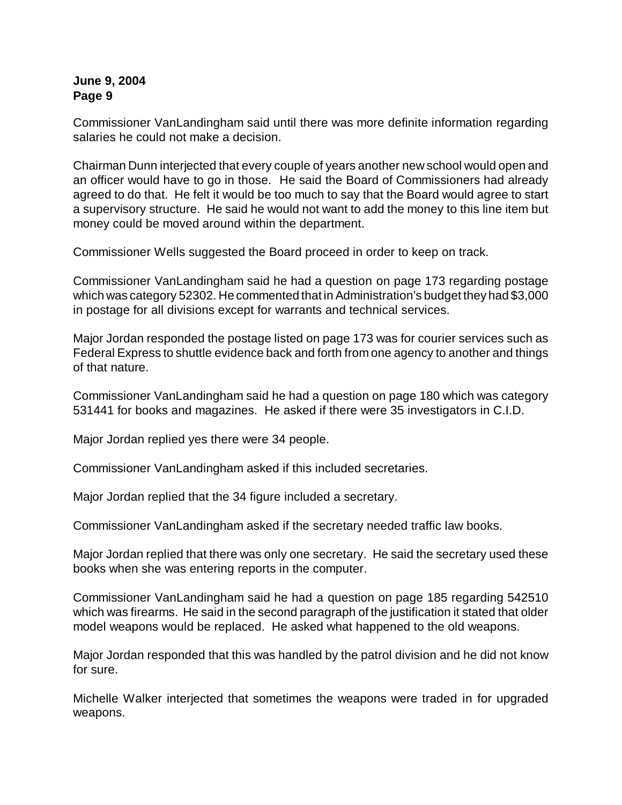Commissioner VanLandingham said until there was more definite information regarding salaries he could not make a decision.

Chairman Dunn interjected that every couple of years another new school would open and an officer would have to go in those. He said the Board of Commissioners had already agreed to do that. He felt it would be too much to say that the Board would agree to start a supervisory structure. He said he would not want to add the money to this line item but money could be moved around within the department.

Commissioner Wells suggested the Board proceed in order to keep on track.

Commissioner VanLandingham said he had a question on page 173 regarding postage which was category 52302. He commented that in Administration's budget they had \$3,000 in postage for all divisions except for warrants and technical services.

Major Jordan responded the postage listed on page 173 was for courier services such as Federal Express to shuttle evidence back and forth from one agency to another and things of that nature.

Commissioner VanLandingham said he had a question on page 180 which was category 531441 for books and magazines. He asked if there were 35 investigators in C.I.D.

Major Jordan replied yes there were 34 people.

Commissioner VanLandingham asked if this included secretaries.

Major Jordan replied that the 34 figure included a secretary.

Commissioner VanLandingham asked if the secretary needed traffic law books.

Major Jordan replied that there was only one secretary. He said the secretary used these books when she was entering reports in the computer.

Commissioner VanLandingham said he had a question on page 185 regarding 542510 which was firearms. He said in the second paragraph of the justification it stated that older model weapons would be replaced. He asked what happened to the old weapons.

Major Jordan responded that this was handled by the patrol division and he did not know for sure.

Michelle Walker interjected that sometimes the weapons were traded in for upgraded weapons.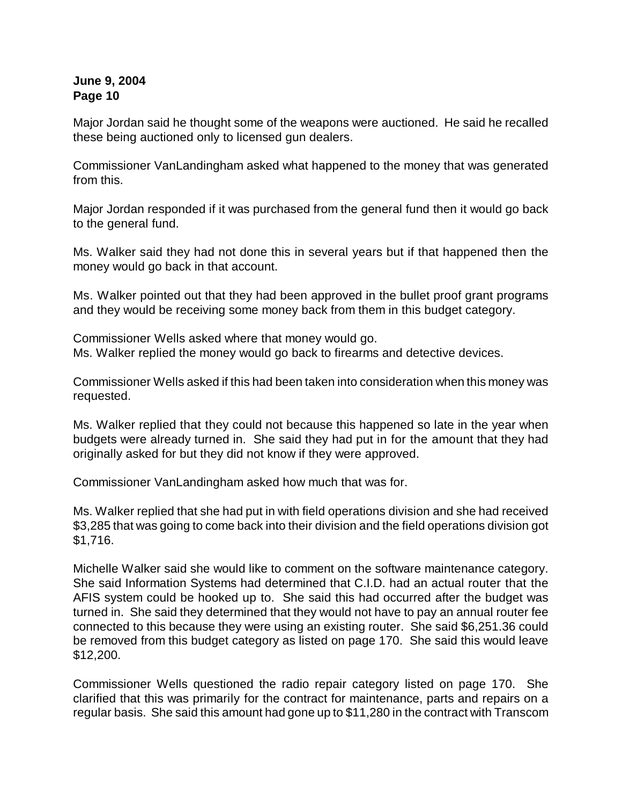Major Jordan said he thought some of the weapons were auctioned. He said he recalled these being auctioned only to licensed gun dealers.

Commissioner VanLandingham asked what happened to the money that was generated from this.

Major Jordan responded if it was purchased from the general fund then it would go back to the general fund.

Ms. Walker said they had not done this in several years but if that happened then the money would go back in that account.

Ms. Walker pointed out that they had been approved in the bullet proof grant programs and they would be receiving some money back from them in this budget category.

Commissioner Wells asked where that money would go. Ms. Walker replied the money would go back to firearms and detective devices.

Commissioner Wells asked if this had been taken into consideration when this money was requested.

Ms. Walker replied that they could not because this happened so late in the year when budgets were already turned in. She said they had put in for the amount that they had originally asked for but they did not know if they were approved.

Commissioner VanLandingham asked how much that was for.

Ms. Walker replied that she had put in with field operations division and she had received \$3,285 that was going to come back into their division and the field operations division got \$1,716.

Michelle Walker said she would like to comment on the software maintenance category. She said Information Systems had determined that C.I.D. had an actual router that the AFIS system could be hooked up to. She said this had occurred after the budget was turned in. She said they determined that they would not have to pay an annual router fee connected to this because they were using an existing router. She said \$6,251.36 could be removed from this budget category as listed on page 170. She said this would leave \$12,200.

Commissioner Wells questioned the radio repair category listed on page 170. She clarified that this was primarily for the contract for maintenance, parts and repairs on a regular basis. She said this amount had gone up to \$11,280 in the contract with Transcom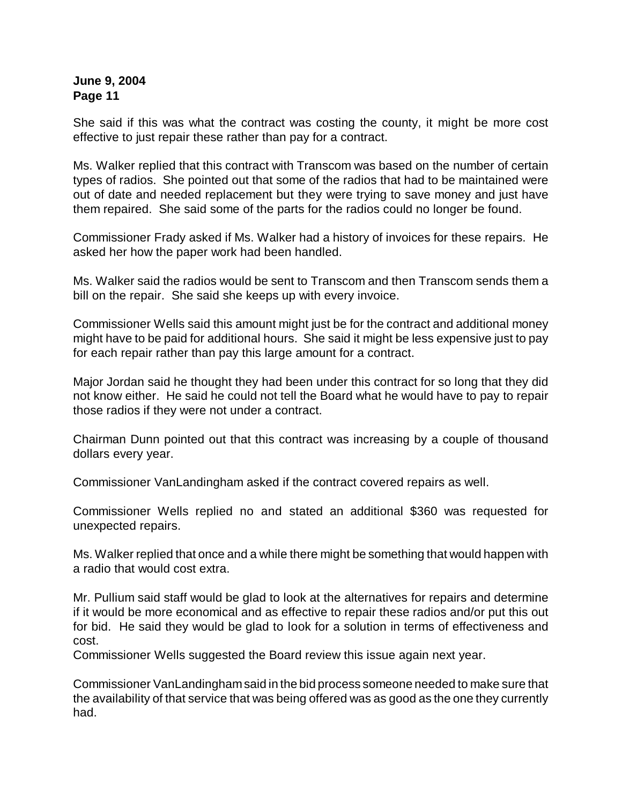She said if this was what the contract was costing the county, it might be more cost effective to just repair these rather than pay for a contract.

Ms. Walker replied that this contract with Transcom was based on the number of certain types of radios. She pointed out that some of the radios that had to be maintained were out of date and needed replacement but they were trying to save money and just have them repaired. She said some of the parts for the radios could no longer be found.

Commissioner Frady asked if Ms. Walker had a history of invoices for these repairs. He asked her how the paper work had been handled.

Ms. Walker said the radios would be sent to Transcom and then Transcom sends them a bill on the repair. She said she keeps up with every invoice.

Commissioner Wells said this amount might just be for the contract and additional money might have to be paid for additional hours. She said it might be less expensive just to pay for each repair rather than pay this large amount for a contract.

Major Jordan said he thought they had been under this contract for so long that they did not know either. He said he could not tell the Board what he would have to pay to repair those radios if they were not under a contract.

Chairman Dunn pointed out that this contract was increasing by a couple of thousand dollars every year.

Commissioner VanLandingham asked if the contract covered repairs as well.

Commissioner Wells replied no and stated an additional \$360 was requested for unexpected repairs.

Ms. Walker replied that once and a while there might be something that would happen with a radio that would cost extra.

Mr. Pullium said staff would be glad to look at the alternatives for repairs and determine if it would be more economical and as effective to repair these radios and/or put this out for bid. He said they would be glad to look for a solution in terms of effectiveness and cost.

Commissioner Wells suggested the Board review this issue again next year.

Commissioner VanLandinghamsaid in the bid process someone needed to make sure that the availability of that service that was being offered was as good as the one they currently had.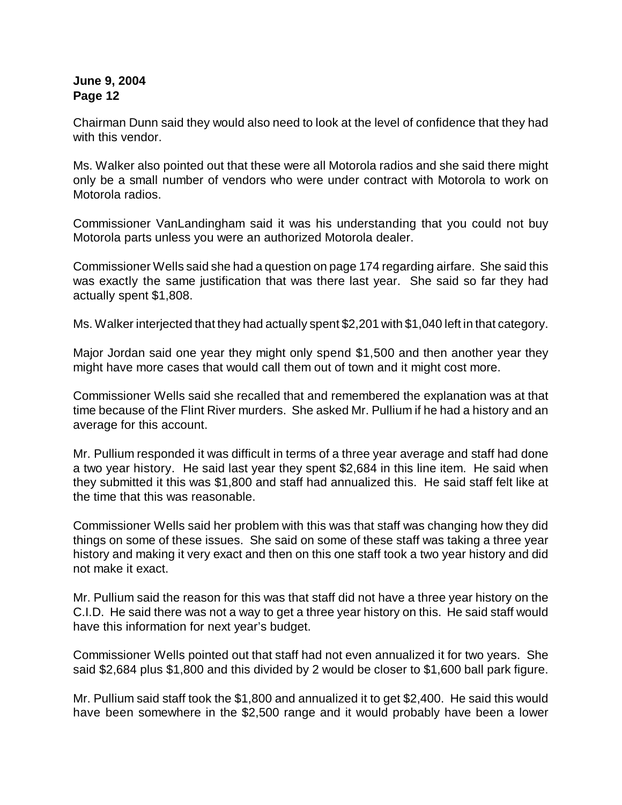Chairman Dunn said they would also need to look at the level of confidence that they had with this vendor

Ms. Walker also pointed out that these were all Motorola radios and she said there might only be a small number of vendors who were under contract with Motorola to work on Motorola radios.

Commissioner VanLandingham said it was his understanding that you could not buy Motorola parts unless you were an authorized Motorola dealer.

Commissioner Wells said she had a question on page 174 regarding airfare. She said this was exactly the same justification that was there last year. She said so far they had actually spent \$1,808.

Ms. Walker interjected that they had actually spent \$2,201 with \$1,040 left in that category.

Major Jordan said one year they might only spend \$1,500 and then another year they might have more cases that would call them out of town and it might cost more.

Commissioner Wells said she recalled that and remembered the explanation was at that time because of the Flint River murders. She asked Mr. Pullium if he had a history and an average for this account.

Mr. Pullium responded it was difficult in terms of a three year average and staff had done a two year history. He said last year they spent \$2,684 in this line item. He said when they submitted it this was \$1,800 and staff had annualized this. He said staff felt like at the time that this was reasonable.

Commissioner Wells said her problem with this was that staff was changing how they did things on some of these issues. She said on some of these staff was taking a three year history and making it very exact and then on this one staff took a two year history and did not make it exact.

Mr. Pullium said the reason for this was that staff did not have a three year history on the C.I.D. He said there was not a way to get a three year history on this. He said staff would have this information for next year's budget.

Commissioner Wells pointed out that staff had not even annualized it for two years. She said \$2,684 plus \$1,800 and this divided by 2 would be closer to \$1,600 ball park figure.

Mr. Pullium said staff took the \$1,800 and annualized it to get \$2,400. He said this would have been somewhere in the \$2,500 range and it would probably have been a lower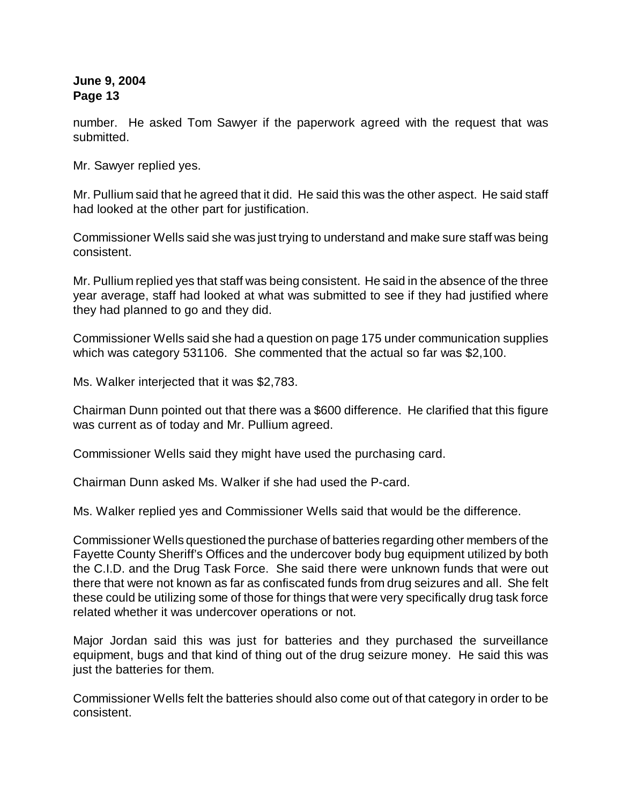number. He asked Tom Sawyer if the paperwork agreed with the request that was submitted.

Mr. Sawyer replied yes.

Mr. Pullium said that he agreed that it did. He said this was the other aspect. He said staff had looked at the other part for justification.

Commissioner Wells said she was just trying to understand and make sure staff was being consistent.

Mr. Pullium replied yes that staff was being consistent. He said in the absence of the three year average, staff had looked at what was submitted to see if they had justified where they had planned to go and they did.

Commissioner Wells said she had a question on page 175 under communication supplies which was category 531106. She commented that the actual so far was \$2,100.

Ms. Walker interjected that it was \$2,783.

Chairman Dunn pointed out that there was a \$600 difference. He clarified that this figure was current as of today and Mr. Pullium agreed.

Commissioner Wells said they might have used the purchasing card.

Chairman Dunn asked Ms. Walker if she had used the P-card.

Ms. Walker replied yes and Commissioner Wells said that would be the difference.

Commissioner Wells questioned the purchase of batteries regarding other members of the Fayette County Sheriff's Offices and the undercover body bug equipment utilized by both the C.I.D. and the Drug Task Force. She said there were unknown funds that were out there that were not known as far as confiscated funds from drug seizures and all. She felt these could be utilizing some of those for things that were very specifically drug task force related whether it was undercover operations or not.

Major Jordan said this was just for batteries and they purchased the surveillance equipment, bugs and that kind of thing out of the drug seizure money. He said this was just the batteries for them.

Commissioner Wells felt the batteries should also come out of that category in order to be consistent.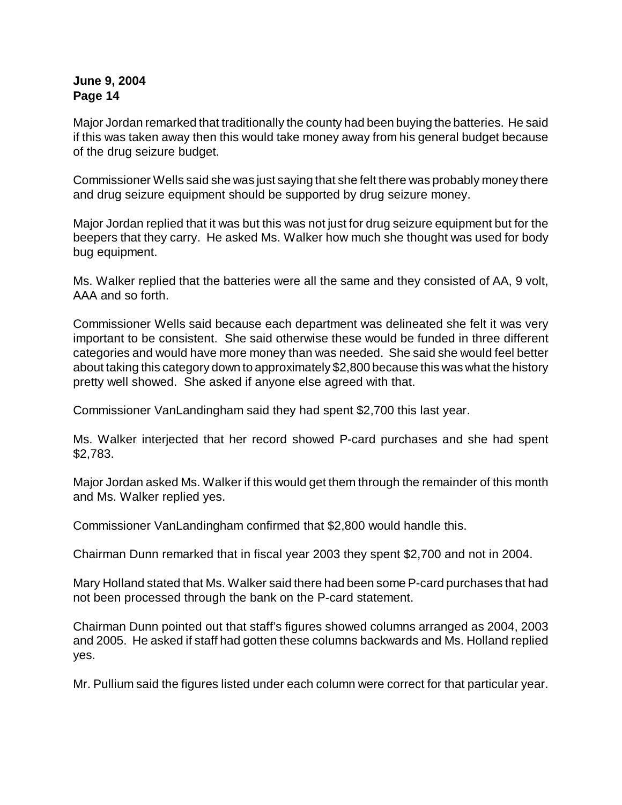Major Jordan remarked that traditionally the county had been buying the batteries. He said if this was taken away then this would take money away from his general budget because of the drug seizure budget.

Commissioner Wells said she was just saying that she felt there was probably money there and drug seizure equipment should be supported by drug seizure money.

Major Jordan replied that it was but this was not just for drug seizure equipment but for the beepers that they carry. He asked Ms. Walker how much she thought was used for body bug equipment.

Ms. Walker replied that the batteries were all the same and they consisted of AA, 9 volt, AAA and so forth.

Commissioner Wells said because each department was delineated she felt it was very important to be consistent. She said otherwise these would be funded in three different categories and would have more money than was needed. She said she would feel better about taking this category down to approximately \$2,800 because this was what the history pretty well showed. She asked if anyone else agreed with that.

Commissioner VanLandingham said they had spent \$2,700 this last year.

Ms. Walker interjected that her record showed P-card purchases and she had spent \$2,783.

Major Jordan asked Ms. Walker if this would get them through the remainder of this month and Ms. Walker replied yes.

Commissioner VanLandingham confirmed that \$2,800 would handle this.

Chairman Dunn remarked that in fiscal year 2003 they spent \$2,700 and not in 2004.

Mary Holland stated that Ms. Walker said there had been some P-card purchases that had not been processed through the bank on the P-card statement.

Chairman Dunn pointed out that staff's figures showed columns arranged as 2004, 2003 and 2005. He asked if staff had gotten these columns backwards and Ms. Holland replied yes.

Mr. Pullium said the figures listed under each column were correct for that particular year.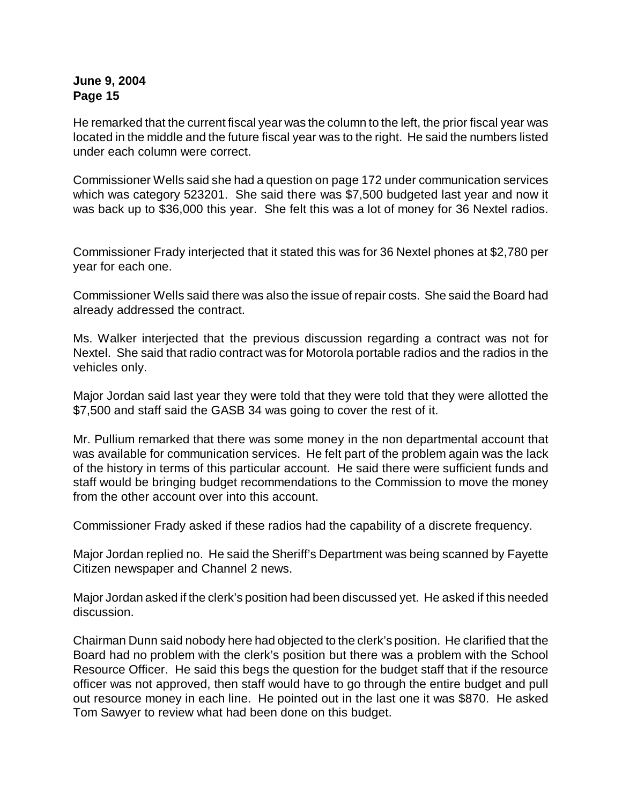He remarked that the current fiscal year was the column to the left, the prior fiscal year was located in the middle and the future fiscal year was to the right. He said the numbers listed under each column were correct.

Commissioner Wells said she had a question on page 172 under communication services which was category 523201. She said there was \$7,500 budgeted last year and now it was back up to \$36,000 this year. She felt this was a lot of money for 36 Nextel radios.

Commissioner Frady interjected that it stated this was for 36 Nextel phones at \$2,780 per year for each one.

Commissioner Wells said there was also the issue of repair costs. She said the Board had already addressed the contract.

Ms. Walker interjected that the previous discussion regarding a contract was not for Nextel. She said that radio contract was for Motorola portable radios and the radios in the vehicles only.

Major Jordan said last year they were told that they were told that they were allotted the \$7,500 and staff said the GASB 34 was going to cover the rest of it.

Mr. Pullium remarked that there was some money in the non departmental account that was available for communication services. He felt part of the problem again was the lack of the history in terms of this particular account. He said there were sufficient funds and staff would be bringing budget recommendations to the Commission to move the money from the other account over into this account.

Commissioner Frady asked if these radios had the capability of a discrete frequency.

Major Jordan replied no. He said the Sheriff's Department was being scanned by Fayette Citizen newspaper and Channel 2 news.

Major Jordan asked if the clerk's position had been discussed yet. He asked if this needed discussion.

Chairman Dunn said nobody here had objected to the clerk's position. He clarified that the Board had no problem with the clerk's position but there was a problem with the School Resource Officer. He said this begs the question for the budget staff that if the resource officer was not approved, then staff would have to go through the entire budget and pull out resource money in each line. He pointed out in the last one it was \$870. He asked Tom Sawyer to review what had been done on this budget.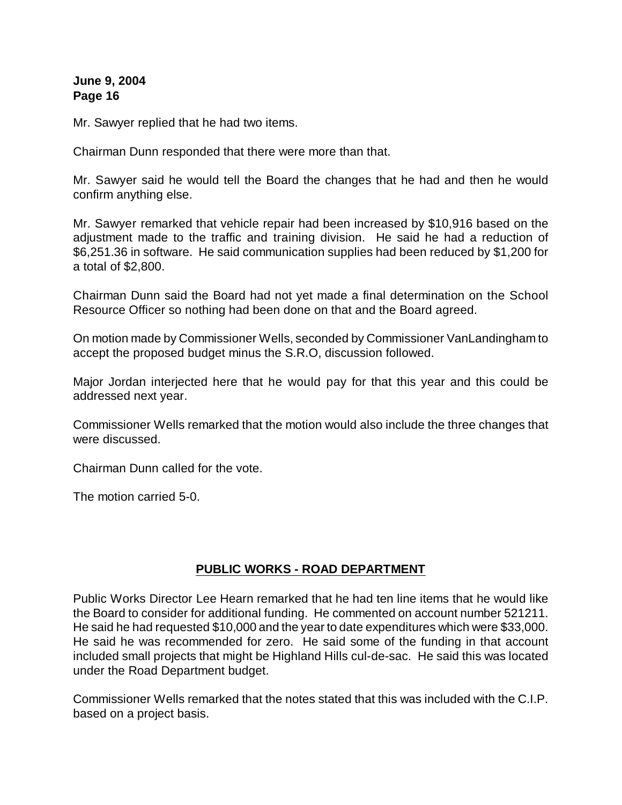Mr. Sawyer replied that he had two items.

Chairman Dunn responded that there were more than that.

Mr. Sawyer said he would tell the Board the changes that he had and then he would confirm anything else.

Mr. Sawyer remarked that vehicle repair had been increased by \$10,916 based on the adjustment made to the traffic and training division. He said he had a reduction of \$6,251.36 in software. He said communication supplies had been reduced by \$1,200 for a total of \$2,800.

Chairman Dunn said the Board had not yet made a final determination on the School Resource Officer so nothing had been done on that and the Board agreed.

On motion made by Commissioner Wells, seconded by Commissioner VanLandingham to accept the proposed budget minus the S.R.O, discussion followed.

Major Jordan interjected here that he would pay for that this year and this could be addressed next year.

Commissioner Wells remarked that the motion would also include the three changes that were discussed.

Chairman Dunn called for the vote.

The motion carried 5-0.

#### **PUBLIC WORKS - ROAD DEPARTMENT**

Public Works Director Lee Hearn remarked that he had ten line items that he would like the Board to consider for additional funding. He commented on account number 521211. He said he had requested \$10,000 and the year to date expenditures which were \$33,000. He said he was recommended for zero. He said some of the funding in that account included small projects that might be Highland Hills cul-de-sac. He said this was located under the Road Department budget.

Commissioner Wells remarked that the notes stated that this was included with the C.I.P. based on a project basis.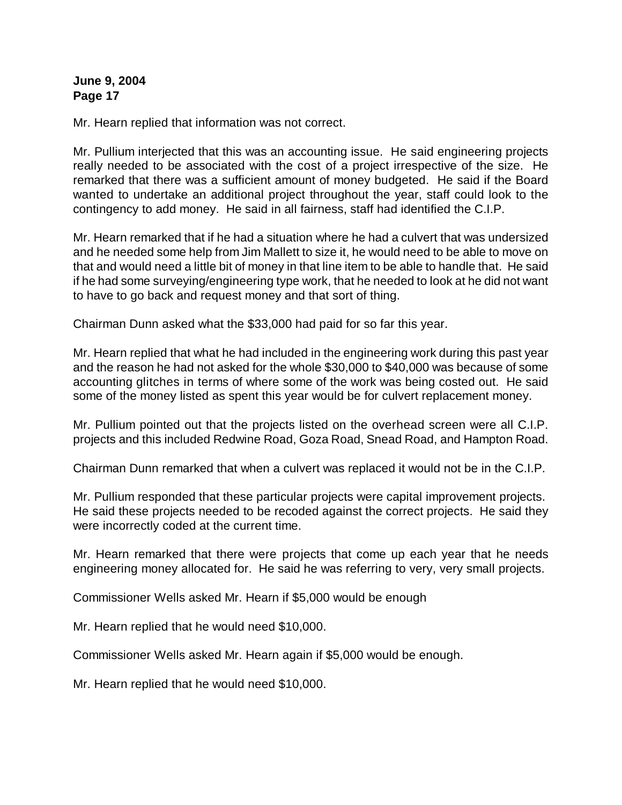Mr. Hearn replied that information was not correct.

Mr. Pullium interjected that this was an accounting issue. He said engineering projects really needed to be associated with the cost of a project irrespective of the size. He remarked that there was a sufficient amount of money budgeted. He said if the Board wanted to undertake an additional project throughout the year, staff could look to the contingency to add money. He said in all fairness, staff had identified the C.I.P.

Mr. Hearn remarked that if he had a situation where he had a culvert that was undersized and he needed some help from Jim Mallett to size it, he would need to be able to move on that and would need a little bit of money in that line item to be able to handle that. He said if he had some surveying/engineering type work, that he needed to look at he did not want to have to go back and request money and that sort of thing.

Chairman Dunn asked what the \$33,000 had paid for so far this year.

Mr. Hearn replied that what he had included in the engineering work during this past year and the reason he had not asked for the whole \$30,000 to \$40,000 was because of some accounting glitches in terms of where some of the work was being costed out. He said some of the money listed as spent this year would be for culvert replacement money.

Mr. Pullium pointed out that the projects listed on the overhead screen were all C.I.P. projects and this included Redwine Road, Goza Road, Snead Road, and Hampton Road.

Chairman Dunn remarked that when a culvert was replaced it would not be in the C.I.P.

Mr. Pullium responded that these particular projects were capital improvement projects. He said these projects needed to be recoded against the correct projects. He said they were incorrectly coded at the current time.

Mr. Hearn remarked that there were projects that come up each year that he needs engineering money allocated for. He said he was referring to very, very small projects.

Commissioner Wells asked Mr. Hearn if \$5,000 would be enough

Mr. Hearn replied that he would need \$10,000.

Commissioner Wells asked Mr. Hearn again if \$5,000 would be enough.

Mr. Hearn replied that he would need \$10,000.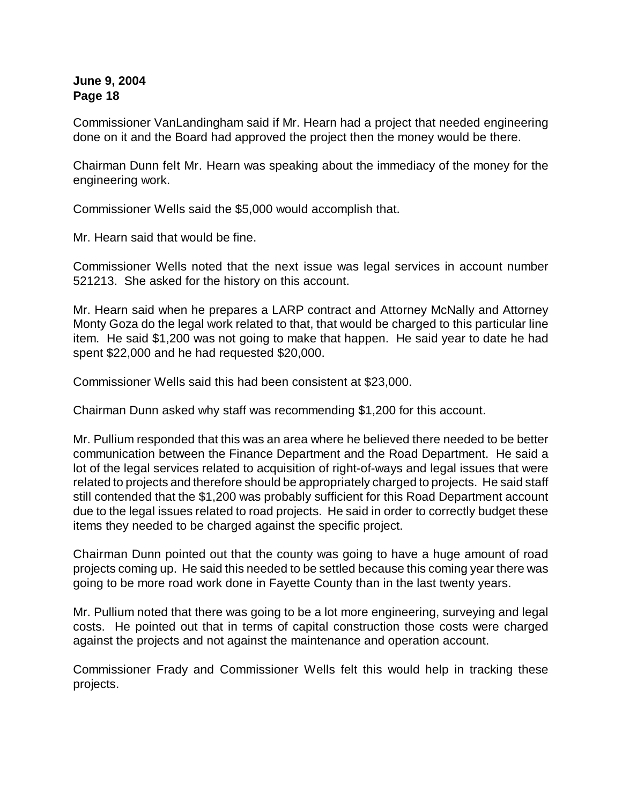Commissioner VanLandingham said if Mr. Hearn had a project that needed engineering done on it and the Board had approved the project then the money would be there.

Chairman Dunn felt Mr. Hearn was speaking about the immediacy of the money for the engineering work.

Commissioner Wells said the \$5,000 would accomplish that.

Mr. Hearn said that would be fine.

Commissioner Wells noted that the next issue was legal services in account number 521213. She asked for the history on this account.

Mr. Hearn said when he prepares a LARP contract and Attorney McNally and Attorney Monty Goza do the legal work related to that, that would be charged to this particular line item. He said \$1,200 was not going to make that happen. He said year to date he had spent \$22,000 and he had requested \$20,000.

Commissioner Wells said this had been consistent at \$23,000.

Chairman Dunn asked why staff was recommending \$1,200 for this account.

Mr. Pullium responded that this was an area where he believed there needed to be better communication between the Finance Department and the Road Department. He said a lot of the legal services related to acquisition of right-of-ways and legal issues that were related to projects and therefore should be appropriately charged to projects. He said staff still contended that the \$1,200 was probably sufficient for this Road Department account due to the legal issues related to road projects. He said in order to correctly budget these items they needed to be charged against the specific project.

Chairman Dunn pointed out that the county was going to have a huge amount of road projects coming up. He said this needed to be settled because this coming year there was going to be more road work done in Fayette County than in the last twenty years.

Mr. Pullium noted that there was going to be a lot more engineering, surveying and legal costs. He pointed out that in terms of capital construction those costs were charged against the projects and not against the maintenance and operation account.

Commissioner Frady and Commissioner Wells felt this would help in tracking these projects.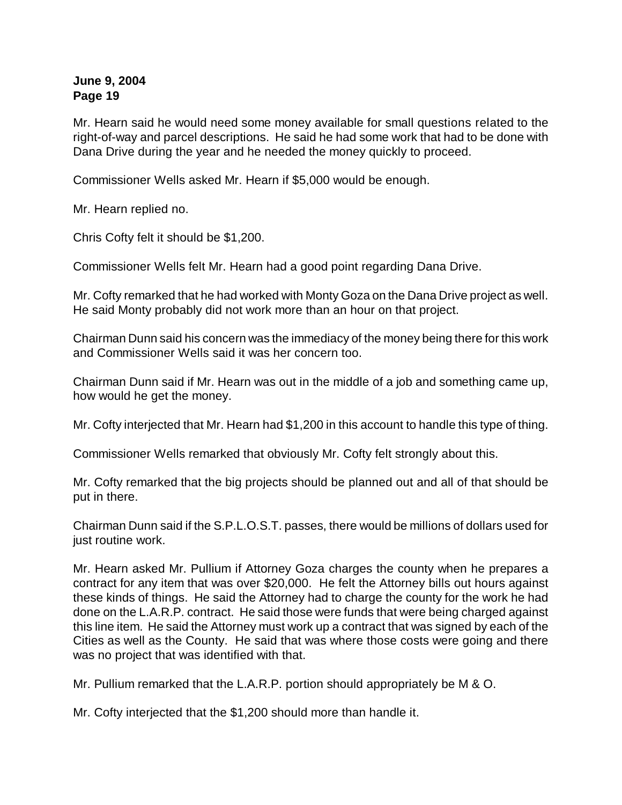Mr. Hearn said he would need some money available for small questions related to the right-of-way and parcel descriptions. He said he had some work that had to be done with Dana Drive during the year and he needed the money quickly to proceed.

Commissioner Wells asked Mr. Hearn if \$5,000 would be enough.

Mr. Hearn replied no.

Chris Cofty felt it should be \$1,200.

Commissioner Wells felt Mr. Hearn had a good point regarding Dana Drive.

Mr. Cofty remarked that he had worked with Monty Goza on the Dana Drive project as well. He said Monty probably did not work more than an hour on that project.

Chairman Dunn said his concern was the immediacy of the money being there for this work and Commissioner Wells said it was her concern too.

Chairman Dunn said if Mr. Hearn was out in the middle of a job and something came up, how would he get the money.

Mr. Cofty interjected that Mr. Hearn had \$1,200 in this account to handle this type of thing.

Commissioner Wells remarked that obviously Mr. Cofty felt strongly about this.

Mr. Cofty remarked that the big projects should be planned out and all of that should be put in there.

Chairman Dunn said if the S.P.L.O.S.T. passes, there would be millions of dollars used for just routine work.

Mr. Hearn asked Mr. Pullium if Attorney Goza charges the county when he prepares a contract for any item that was over \$20,000. He felt the Attorney bills out hours against these kinds of things. He said the Attorney had to charge the county for the work he had done on the L.A.R.P. contract. He said those were funds that were being charged against this line item. He said the Attorney must work up a contract that was signed by each of the Cities as well as the County. He said that was where those costs were going and there was no project that was identified with that.

Mr. Pullium remarked that the L.A.R.P. portion should appropriately be M & O.

Mr. Cofty interjected that the \$1,200 should more than handle it.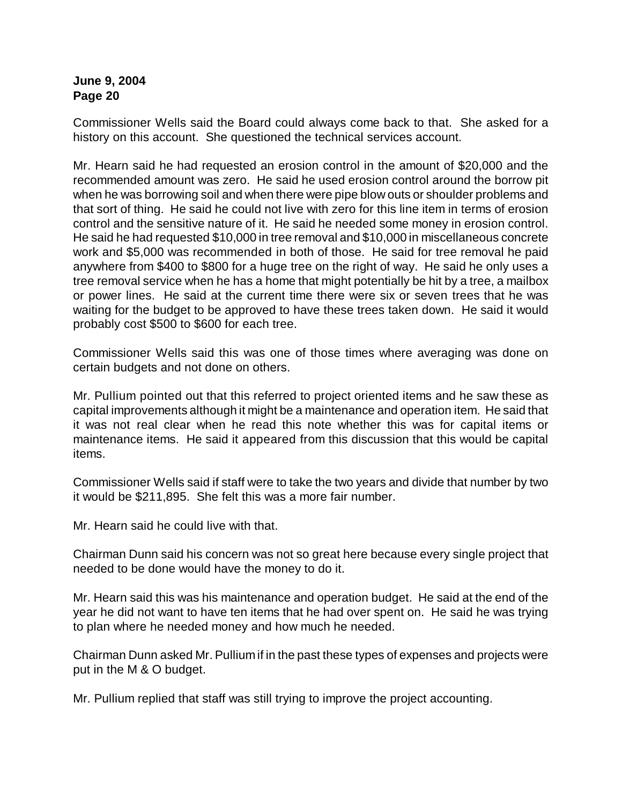Commissioner Wells said the Board could always come back to that. She asked for a history on this account. She questioned the technical services account.

Mr. Hearn said he had requested an erosion control in the amount of \$20,000 and the recommended amount was zero. He said he used erosion control around the borrow pit when he was borrowing soil and when there were pipe blow outs or shoulder problems and that sort of thing. He said he could not live with zero for this line item in terms of erosion control and the sensitive nature of it. He said he needed some money in erosion control. He said he had requested \$10,000 in tree removal and \$10,000 in miscellaneous concrete work and \$5,000 was recommended in both of those. He said for tree removal he paid anywhere from \$400 to \$800 for a huge tree on the right of way. He said he only uses a tree removal service when he has a home that might potentially be hit by a tree, a mailbox or power lines. He said at the current time there were six or seven trees that he was waiting for the budget to be approved to have these trees taken down. He said it would probably cost \$500 to \$600 for each tree.

Commissioner Wells said this was one of those times where averaging was done on certain budgets and not done on others.

Mr. Pullium pointed out that this referred to project oriented items and he saw these as capital improvements although it might be a maintenance and operation item. He said that it was not real clear when he read this note whether this was for capital items or maintenance items. He said it appeared from this discussion that this would be capital items.

Commissioner Wells said if staff were to take the two years and divide that number by two it would be \$211,895. She felt this was a more fair number.

Mr. Hearn said he could live with that.

Chairman Dunn said his concern was not so great here because every single project that needed to be done would have the money to do it.

Mr. Hearn said this was his maintenance and operation budget. He said at the end of the year he did not want to have ten items that he had over spent on. He said he was trying to plan where he needed money and how much he needed.

Chairman Dunn asked Mr. Pullium if in the past these types of expenses and projects were put in the M & O budget.

Mr. Pullium replied that staff was still trying to improve the project accounting.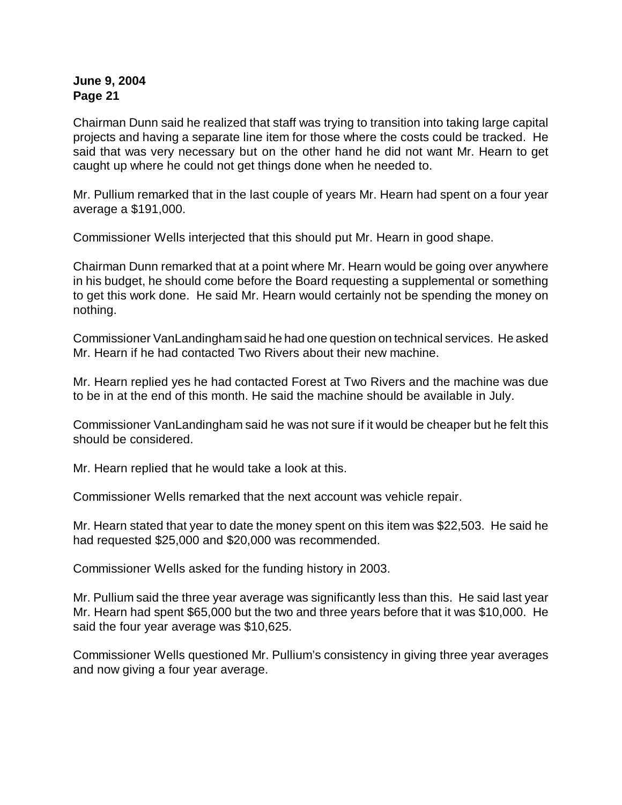Chairman Dunn said he realized that staff was trying to transition into taking large capital projects and having a separate line item for those where the costs could be tracked. He said that was very necessary but on the other hand he did not want Mr. Hearn to get caught up where he could not get things done when he needed to.

Mr. Pullium remarked that in the last couple of years Mr. Hearn had spent on a four year average a \$191,000.

Commissioner Wells interjected that this should put Mr. Hearn in good shape.

Chairman Dunn remarked that at a point where Mr. Hearn would be going over anywhere in his budget, he should come before the Board requesting a supplemental or something to get this work done. He said Mr. Hearn would certainly not be spending the money on nothing.

Commissioner VanLandinghamsaid he had one question on technical services. He asked Mr. Hearn if he had contacted Two Rivers about their new machine.

Mr. Hearn replied yes he had contacted Forest at Two Rivers and the machine was due to be in at the end of this month. He said the machine should be available in July.

Commissioner VanLandingham said he was not sure if it would be cheaper but he felt this should be considered.

Mr. Hearn replied that he would take a look at this.

Commissioner Wells remarked that the next account was vehicle repair.

Mr. Hearn stated that year to date the money spent on this item was \$22,503. He said he had requested \$25,000 and \$20,000 was recommended.

Commissioner Wells asked for the funding history in 2003.

Mr. Pullium said the three year average was significantly less than this. He said last year Mr. Hearn had spent \$65,000 but the two and three years before that it was \$10,000. He said the four year average was \$10,625.

Commissioner Wells questioned Mr. Pullium's consistency in giving three year averages and now giving a four year average.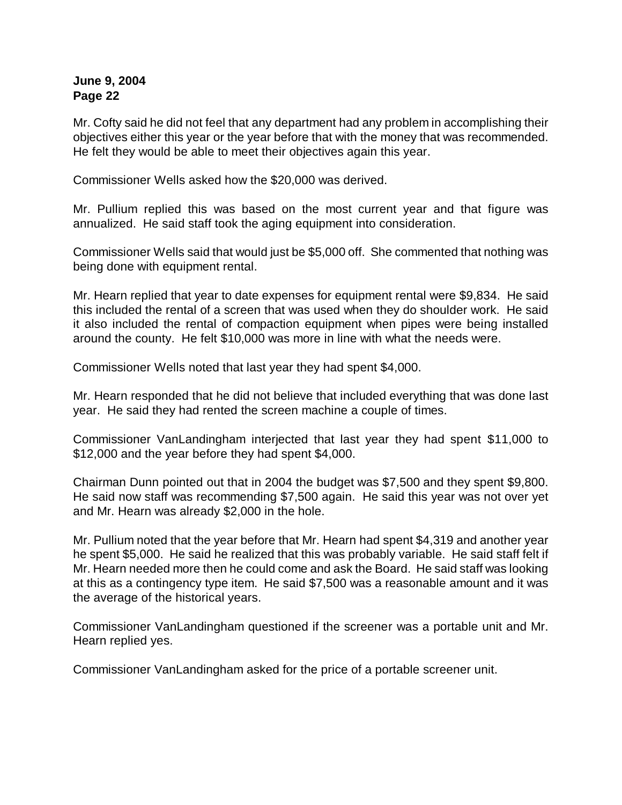Mr. Cofty said he did not feel that any department had any problem in accomplishing their objectives either this year or the year before that with the money that was recommended. He felt they would be able to meet their objectives again this year.

Commissioner Wells asked how the \$20,000 was derived.

Mr. Pullium replied this was based on the most current year and that figure was annualized. He said staff took the aging equipment into consideration.

Commissioner Wells said that would just be \$5,000 off. She commented that nothing was being done with equipment rental.

Mr. Hearn replied that year to date expenses for equipment rental were \$9,834. He said this included the rental of a screen that was used when they do shoulder work. He said it also included the rental of compaction equipment when pipes were being installed around the county. He felt \$10,000 was more in line with what the needs were.

Commissioner Wells noted that last year they had spent \$4,000.

Mr. Hearn responded that he did not believe that included everything that was done last year. He said they had rented the screen machine a couple of times.

Commissioner VanLandingham interjected that last year they had spent \$11,000 to \$12,000 and the year before they had spent \$4,000.

Chairman Dunn pointed out that in 2004 the budget was \$7,500 and they spent \$9,800. He said now staff was recommending \$7,500 again. He said this year was not over yet and Mr. Hearn was already \$2,000 in the hole.

Mr. Pullium noted that the year before that Mr. Hearn had spent \$4,319 and another year he spent \$5,000. He said he realized that this was probably variable. He said staff felt if Mr. Hearn needed more then he could come and ask the Board. He said staff was looking at this as a contingency type item. He said \$7,500 was a reasonable amount and it was the average of the historical years.

Commissioner VanLandingham questioned if the screener was a portable unit and Mr. Hearn replied yes.

Commissioner VanLandingham asked for the price of a portable screener unit.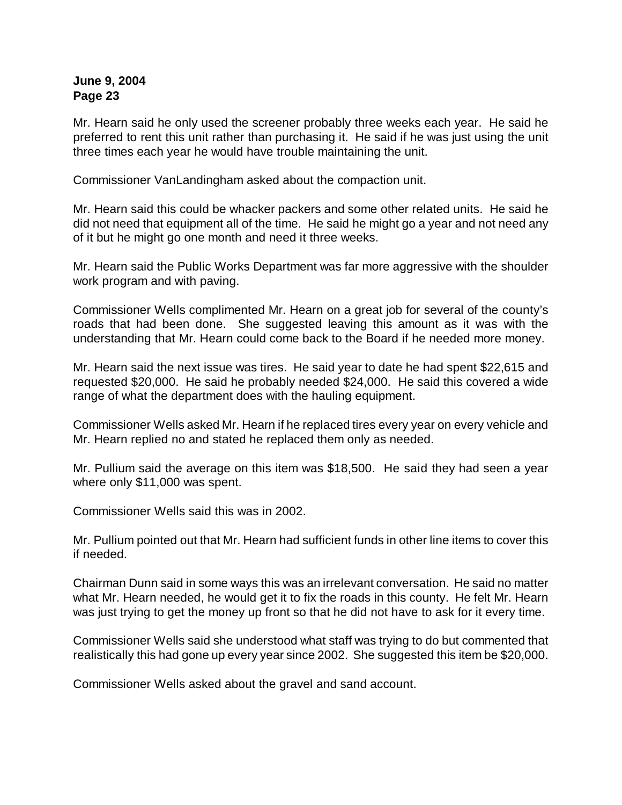Mr. Hearn said he only used the screener probably three weeks each year. He said he preferred to rent this unit rather than purchasing it. He said if he was just using the unit three times each year he would have trouble maintaining the unit.

Commissioner VanLandingham asked about the compaction unit.

Mr. Hearn said this could be whacker packers and some other related units. He said he did not need that equipment all of the time. He said he might go a year and not need any of it but he might go one month and need it three weeks.

Mr. Hearn said the Public Works Department was far more aggressive with the shoulder work program and with paving.

Commissioner Wells complimented Mr. Hearn on a great job for several of the county's roads that had been done. She suggested leaving this amount as it was with the understanding that Mr. Hearn could come back to the Board if he needed more money.

Mr. Hearn said the next issue was tires. He said year to date he had spent \$22,615 and requested \$20,000. He said he probably needed \$24,000. He said this covered a wide range of what the department does with the hauling equipment.

Commissioner Wells asked Mr. Hearn if he replaced tires every year on every vehicle and Mr. Hearn replied no and stated he replaced them only as needed.

Mr. Pullium said the average on this item was \$18,500. He said they had seen a year where only \$11,000 was spent.

Commissioner Wells said this was in 2002.

Mr. Pullium pointed out that Mr. Hearn had sufficient funds in other line items to cover this if needed.

Chairman Dunn said in some ways this was an irrelevant conversation. He said no matter what Mr. Hearn needed, he would get it to fix the roads in this county. He felt Mr. Hearn was just trying to get the money up front so that he did not have to ask for it every time.

Commissioner Wells said she understood what staff was trying to do but commented that realistically this had gone up every year since 2002. She suggested this item be \$20,000.

Commissioner Wells asked about the gravel and sand account.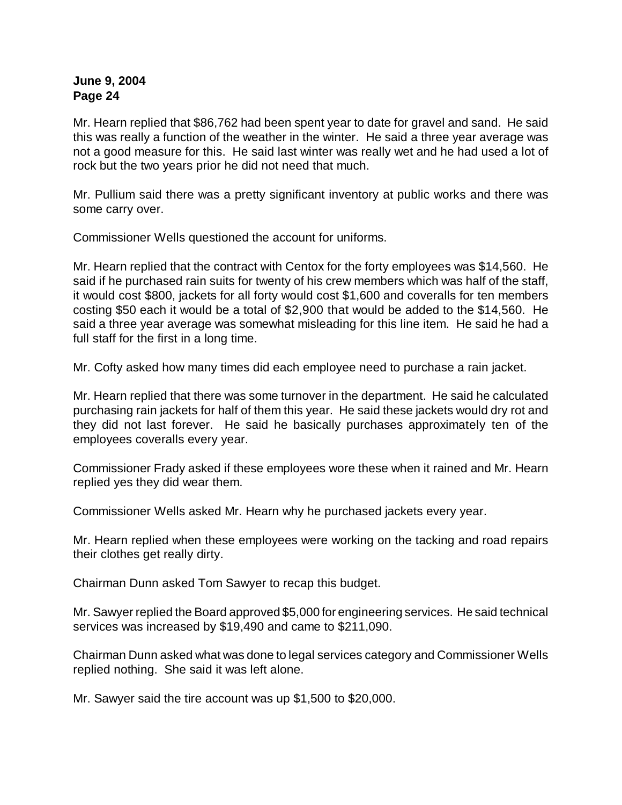Mr. Hearn replied that \$86,762 had been spent year to date for gravel and sand. He said this was really a function of the weather in the winter. He said a three year average was not a good measure for this. He said last winter was really wet and he had used a lot of rock but the two years prior he did not need that much.

Mr. Pullium said there was a pretty significant inventory at public works and there was some carry over.

Commissioner Wells questioned the account for uniforms.

Mr. Hearn replied that the contract with Centox for the forty employees was \$14,560. He said if he purchased rain suits for twenty of his crew members which was half of the staff, it would cost \$800, jackets for all forty would cost \$1,600 and coveralls for ten members costing \$50 each it would be a total of \$2,900 that would be added to the \$14,560. He said a three year average was somewhat misleading for this line item. He said he had a full staff for the first in a long time.

Mr. Cofty asked how many times did each employee need to purchase a rain jacket.

Mr. Hearn replied that there was some turnover in the department. He said he calculated purchasing rain jackets for half of them this year. He said these jackets would dry rot and they did not last forever. He said he basically purchases approximately ten of the employees coveralls every year.

Commissioner Frady asked if these employees wore these when it rained and Mr. Hearn replied yes they did wear them.

Commissioner Wells asked Mr. Hearn why he purchased jackets every year.

Mr. Hearn replied when these employees were working on the tacking and road repairs their clothes get really dirty.

Chairman Dunn asked Tom Sawyer to recap this budget.

Mr. Sawyer replied the Board approved \$5,000 for engineering services. He said technical services was increased by \$19,490 and came to \$211,090.

Chairman Dunn asked what was done to legal services category and Commissioner Wells replied nothing. She said it was left alone.

Mr. Sawyer said the tire account was up \$1,500 to \$20,000.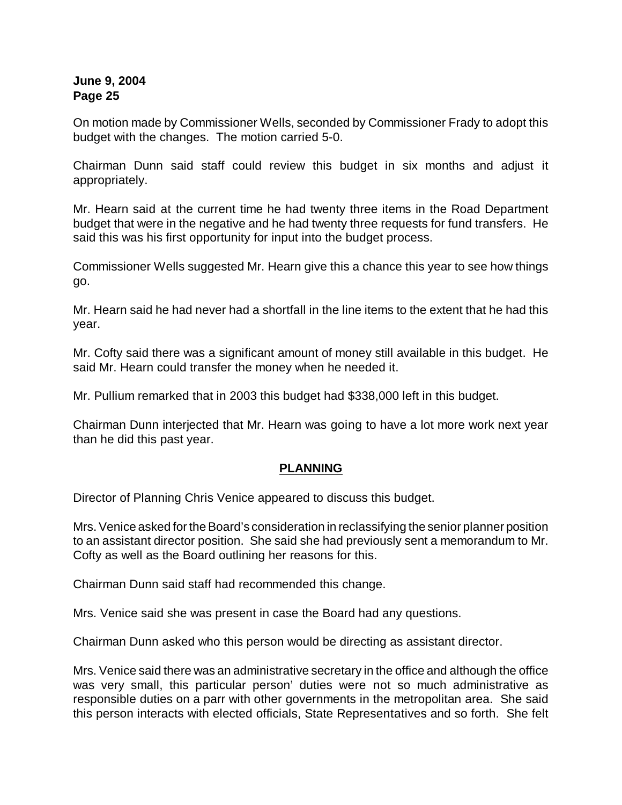On motion made by Commissioner Wells, seconded by Commissioner Frady to adopt this budget with the changes. The motion carried 5-0.

Chairman Dunn said staff could review this budget in six months and adjust it appropriately.

Mr. Hearn said at the current time he had twenty three items in the Road Department budget that were in the negative and he had twenty three requests for fund transfers. He said this was his first opportunity for input into the budget process.

Commissioner Wells suggested Mr. Hearn give this a chance this year to see how things go.

Mr. Hearn said he had never had a shortfall in the line items to the extent that he had this year.

Mr. Cofty said there was a significant amount of money still available in this budget. He said Mr. Hearn could transfer the money when he needed it.

Mr. Pullium remarked that in 2003 this budget had \$338,000 left in this budget.

Chairman Dunn interjected that Mr. Hearn was going to have a lot more work next year than he did this past year.

# **PLANNING**

Director of Planning Chris Venice appeared to discuss this budget.

Mrs. Venice asked for the Board's consideration in reclassifying the senior planner position to an assistant director position. She said she had previously sent a memorandum to Mr. Cofty as well as the Board outlining her reasons for this.

Chairman Dunn said staff had recommended this change.

Mrs. Venice said she was present in case the Board had any questions.

Chairman Dunn asked who this person would be directing as assistant director.

Mrs. Venice said there was an administrative secretary in the office and although the office was very small, this particular person' duties were not so much administrative as responsible duties on a parr with other governments in the metropolitan area. She said this person interacts with elected officials, State Representatives and so forth. She felt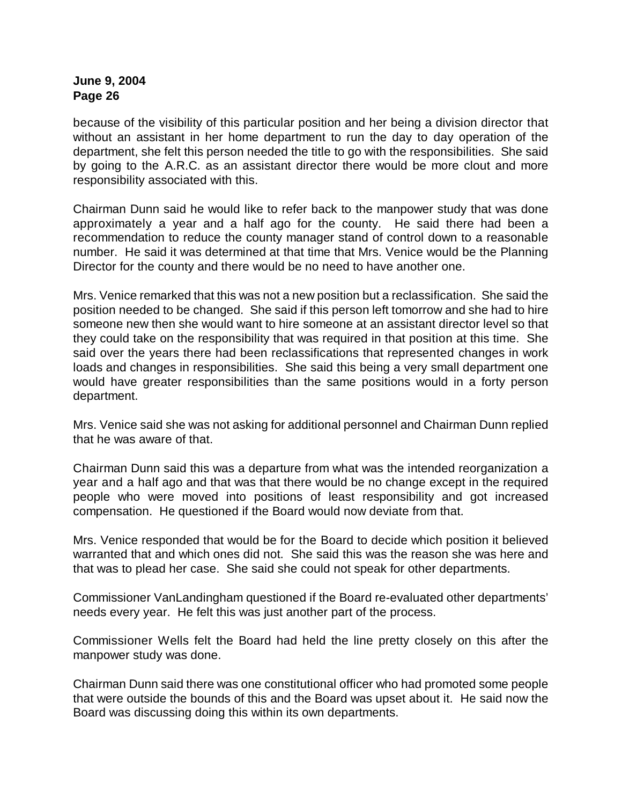because of the visibility of this particular position and her being a division director that without an assistant in her home department to run the day to day operation of the department, she felt this person needed the title to go with the responsibilities. She said by going to the A.R.C. as an assistant director there would be more clout and more responsibility associated with this.

Chairman Dunn said he would like to refer back to the manpower study that was done approximately a year and a half ago for the county. He said there had been a recommendation to reduce the county manager stand of control down to a reasonable number. He said it was determined at that time that Mrs. Venice would be the Planning Director for the county and there would be no need to have another one.

Mrs. Venice remarked that this was not a new position but a reclassification. She said the position needed to be changed. She said if this person left tomorrow and she had to hire someone new then she would want to hire someone at an assistant director level so that they could take on the responsibility that was required in that position at this time. She said over the years there had been reclassifications that represented changes in work loads and changes in responsibilities. She said this being a very small department one would have greater responsibilities than the same positions would in a forty person department.

Mrs. Venice said she was not asking for additional personnel and Chairman Dunn replied that he was aware of that.

Chairman Dunn said this was a departure from what was the intended reorganization a year and a half ago and that was that there would be no change except in the required people who were moved into positions of least responsibility and got increased compensation. He questioned if the Board would now deviate from that.

Mrs. Venice responded that would be for the Board to decide which position it believed warranted that and which ones did not. She said this was the reason she was here and that was to plead her case. She said she could not speak for other departments.

Commissioner VanLandingham questioned if the Board re-evaluated other departments' needs every year. He felt this was just another part of the process.

Commissioner Wells felt the Board had held the line pretty closely on this after the manpower study was done.

Chairman Dunn said there was one constitutional officer who had promoted some people that were outside the bounds of this and the Board was upset about it. He said now the Board was discussing doing this within its own departments.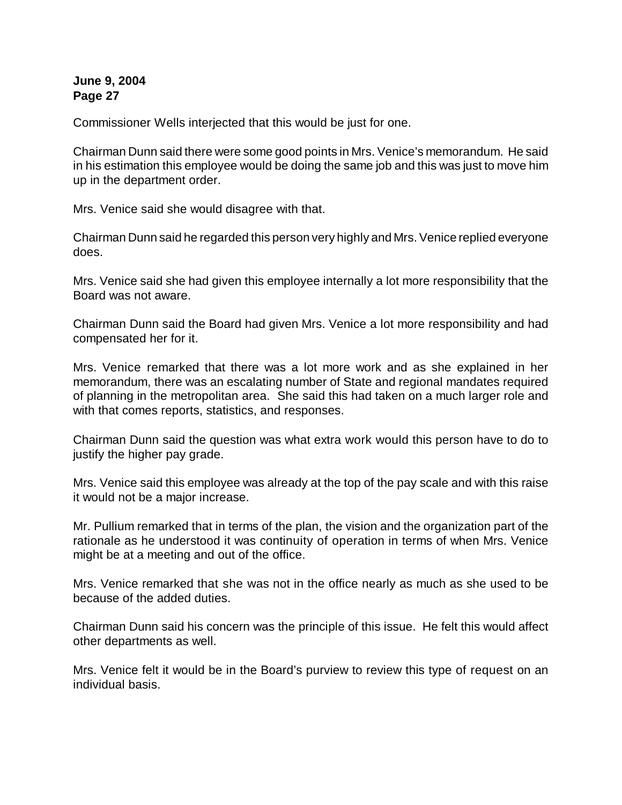Commissioner Wells interjected that this would be just for one.

Chairman Dunn said there were some good points in Mrs. Venice's memorandum. He said in his estimation this employee would be doing the same job and this was just to move him up in the department order.

Mrs. Venice said she would disagree with that.

Chairman Dunn said he regarded this person very highly and Mrs. Venice replied everyone does.

Mrs. Venice said she had given this employee internally a lot more responsibility that the Board was not aware.

Chairman Dunn said the Board had given Mrs. Venice a lot more responsibility and had compensated her for it.

Mrs. Venice remarked that there was a lot more work and as she explained in her memorandum, there was an escalating number of State and regional mandates required of planning in the metropolitan area. She said this had taken on a much larger role and with that comes reports, statistics, and responses.

Chairman Dunn said the question was what extra work would this person have to do to justify the higher pay grade.

Mrs. Venice said this employee was already at the top of the pay scale and with this raise it would not be a major increase.

Mr. Pullium remarked that in terms of the plan, the vision and the organization part of the rationale as he understood it was continuity of operation in terms of when Mrs. Venice might be at a meeting and out of the office.

Mrs. Venice remarked that she was not in the office nearly as much as she used to be because of the added duties.

Chairman Dunn said his concern was the principle of this issue. He felt this would affect other departments as well.

Mrs. Venice felt it would be in the Board's purview to review this type of request on an individual basis.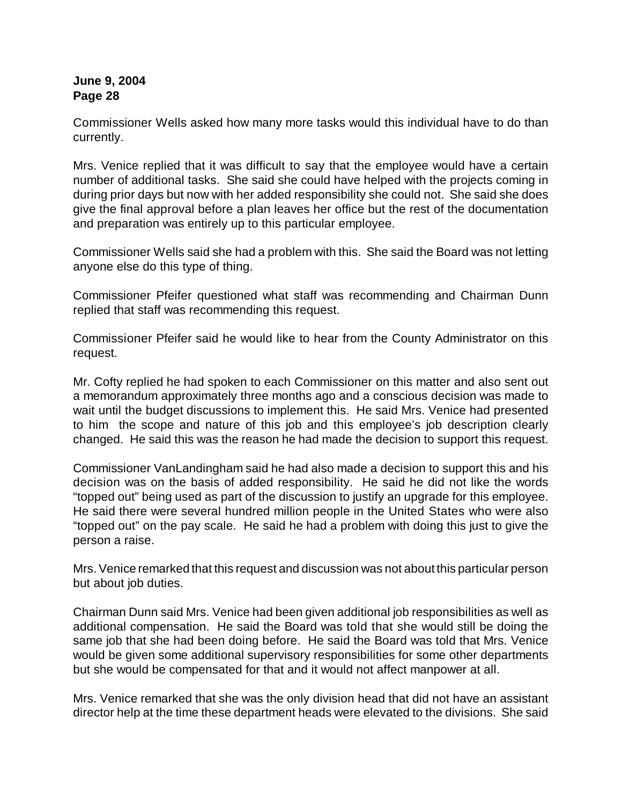Commissioner Wells asked how many more tasks would this individual have to do than currently.

Mrs. Venice replied that it was difficult to say that the employee would have a certain number of additional tasks. She said she could have helped with the projects coming in during prior days but now with her added responsibility she could not. She said she does give the final approval before a plan leaves her office but the rest of the documentation and preparation was entirely up to this particular employee.

Commissioner Wells said she had a problem with this. She said the Board was not letting anyone else do this type of thing.

Commissioner Pfeifer questioned what staff was recommending and Chairman Dunn replied that staff was recommending this request.

Commissioner Pfeifer said he would like to hear from the County Administrator on this request.

Mr. Cofty replied he had spoken to each Commissioner on this matter and also sent out a memorandum approximately three months ago and a conscious decision was made to wait until the budget discussions to implement this. He said Mrs. Venice had presented to him the scope and nature of this job and this employee's job description clearly changed. He said this was the reason he had made the decision to support this request.

Commissioner VanLandingham said he had also made a decision to support this and his decision was on the basis of added responsibility. He said he did not like the words "topped out" being used as part of the discussion to justify an upgrade for this employee. He said there were several hundred million people in the United States who were also "topped out" on the pay scale. He said he had a problem with doing this just to give the person a raise.

Mrs. Venice remarked that this request and discussion was not about this particular person but about job duties.

Chairman Dunn said Mrs. Venice had been given additional job responsibilities as well as additional compensation. He said the Board was told that she would still be doing the same job that she had been doing before. He said the Board was told that Mrs. Venice would be given some additional supervisory responsibilities for some other departments but she would be compensated for that and it would not affect manpower at all.

Mrs. Venice remarked that she was the only division head that did not have an assistant director help at the time these department heads were elevated to the divisions. She said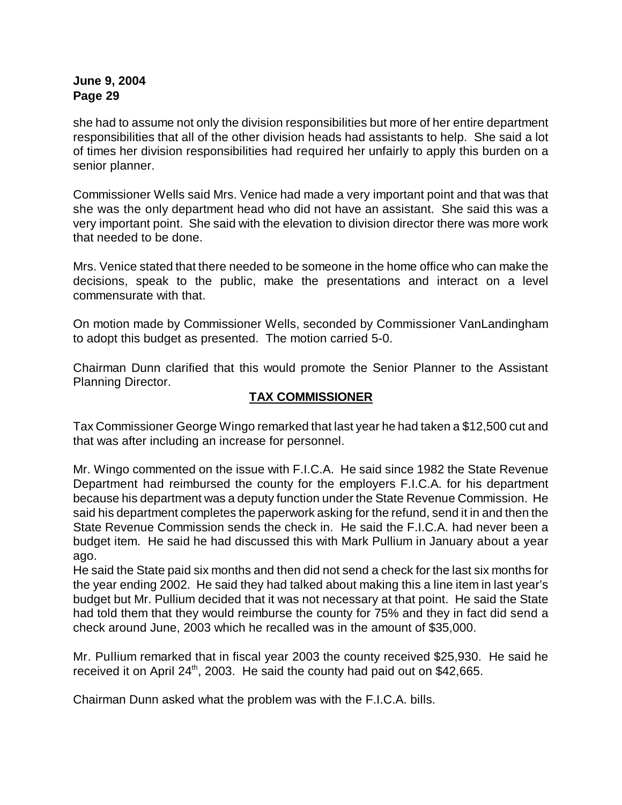she had to assume not only the division responsibilities but more of her entire department responsibilities that all of the other division heads had assistants to help. She said a lot of times her division responsibilities had required her unfairly to apply this burden on a senior planner.

Commissioner Wells said Mrs. Venice had made a very important point and that was that she was the only department head who did not have an assistant. She said this was a very important point. She said with the elevation to division director there was more work that needed to be done.

Mrs. Venice stated that there needed to be someone in the home office who can make the decisions, speak to the public, make the presentations and interact on a level commensurate with that.

On motion made by Commissioner Wells, seconded by Commissioner VanLandingham to adopt this budget as presented. The motion carried 5-0.

Chairman Dunn clarified that this would promote the Senior Planner to the Assistant Planning Director.

# **TAX COMMISSIONER**

Tax Commissioner George Wingo remarked that last year he had taken a \$12,500 cut and that was after including an increase for personnel.

Mr. Wingo commented on the issue with F.I.C.A. He said since 1982 the State Revenue Department had reimbursed the county for the employers F.I.C.A. for his department because his department was a deputy function under the State Revenue Commission. He said his department completes the paperwork asking for the refund, send it in and then the State Revenue Commission sends the check in. He said the F.I.C.A. had never been a budget item. He said he had discussed this with Mark Pullium in January about a year ago.

He said the State paid six months and then did not send a check for the last six months for the year ending 2002. He said they had talked about making this a line item in last year's budget but Mr. Pullium decided that it was not necessary at that point. He said the State had told them that they would reimburse the county for 75% and they in fact did send a check around June, 2003 which he recalled was in the amount of \$35,000.

Mr. Pullium remarked that in fiscal year 2003 the county received \$25,930. He said he received it on April  $24<sup>th</sup>$ , 2003. He said the county had paid out on \$42,665.

Chairman Dunn asked what the problem was with the F.I.C.A. bills.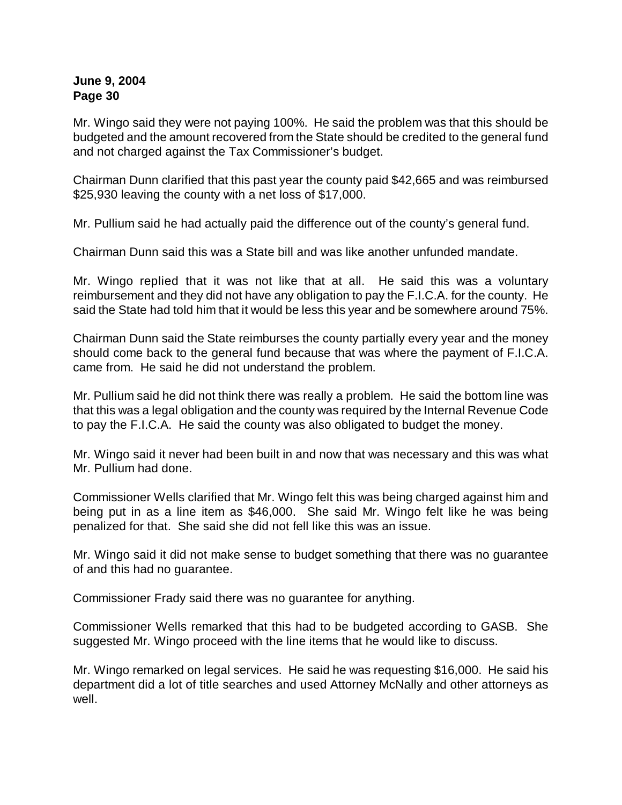Mr. Wingo said they were not paying 100%. He said the problem was that this should be budgeted and the amount recovered from the State should be credited to the general fund and not charged against the Tax Commissioner's budget.

Chairman Dunn clarified that this past year the county paid \$42,665 and was reimbursed \$25,930 leaving the county with a net loss of \$17,000.

Mr. Pullium said he had actually paid the difference out of the county's general fund.

Chairman Dunn said this was a State bill and was like another unfunded mandate.

Mr. Wingo replied that it was not like that at all. He said this was a voluntary reimbursement and they did not have any obligation to pay the F.I.C.A. for the county. He said the State had told him that it would be less this year and be somewhere around 75%.

Chairman Dunn said the State reimburses the county partially every year and the money should come back to the general fund because that was where the payment of F.I.C.A. came from. He said he did not understand the problem.

Mr. Pullium said he did not think there was really a problem. He said the bottom line was that this was a legal obligation and the county was required by the Internal Revenue Code to pay the F.I.C.A. He said the county was also obligated to budget the money.

Mr. Wingo said it never had been built in and now that was necessary and this was what Mr. Pullium had done.

Commissioner Wells clarified that Mr. Wingo felt this was being charged against him and being put in as a line item as \$46,000. She said Mr. Wingo felt like he was being penalized for that. She said she did not fell like this was an issue.

Mr. Wingo said it did not make sense to budget something that there was no guarantee of and this had no guarantee.

Commissioner Frady said there was no guarantee for anything.

Commissioner Wells remarked that this had to be budgeted according to GASB. She suggested Mr. Wingo proceed with the line items that he would like to discuss.

Mr. Wingo remarked on legal services. He said he was requesting \$16,000. He said his department did a lot of title searches and used Attorney McNally and other attorneys as well.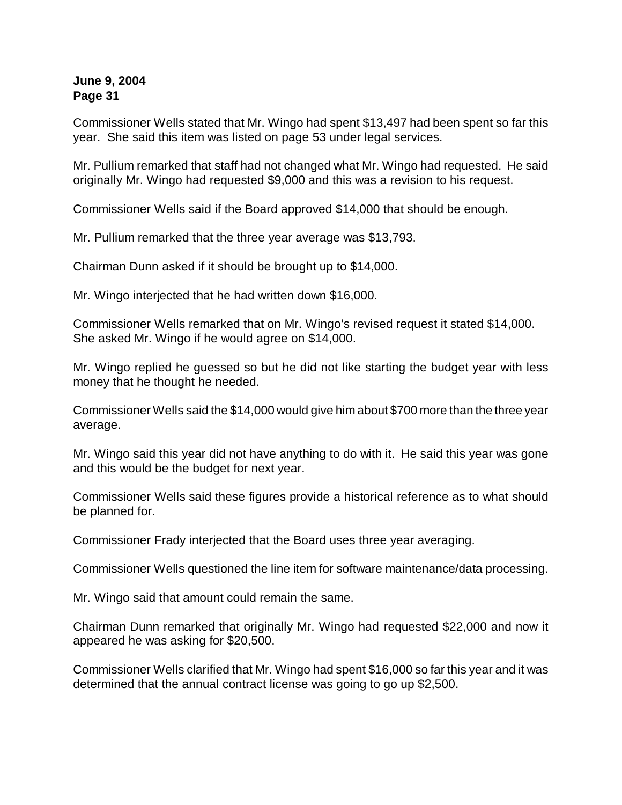Commissioner Wells stated that Mr. Wingo had spent \$13,497 had been spent so far this year. She said this item was listed on page 53 under legal services.

Mr. Pullium remarked that staff had not changed what Mr. Wingo had requested. He said originally Mr. Wingo had requested \$9,000 and this was a revision to his request.

Commissioner Wells said if the Board approved \$14,000 that should be enough.

Mr. Pullium remarked that the three year average was \$13,793.

Chairman Dunn asked if it should be brought up to \$14,000.

Mr. Wingo interjected that he had written down \$16,000.

Commissioner Wells remarked that on Mr. Wingo's revised request it stated \$14,000. She asked Mr. Wingo if he would agree on \$14,000.

Mr. Wingo replied he guessed so but he did not like starting the budget year with less money that he thought he needed.

Commissioner Wells said the \$14,000 would give him about \$700 more than the three year average.

Mr. Wingo said this year did not have anything to do with it. He said this year was gone and this would be the budget for next year.

Commissioner Wells said these figures provide a historical reference as to what should be planned for.

Commissioner Frady interjected that the Board uses three year averaging.

Commissioner Wells questioned the line item for software maintenance/data processing.

Mr. Wingo said that amount could remain the same.

Chairman Dunn remarked that originally Mr. Wingo had requested \$22,000 and now it appeared he was asking for \$20,500.

Commissioner Wells clarified that Mr. Wingo had spent \$16,000 so far this year and it was determined that the annual contract license was going to go up \$2,500.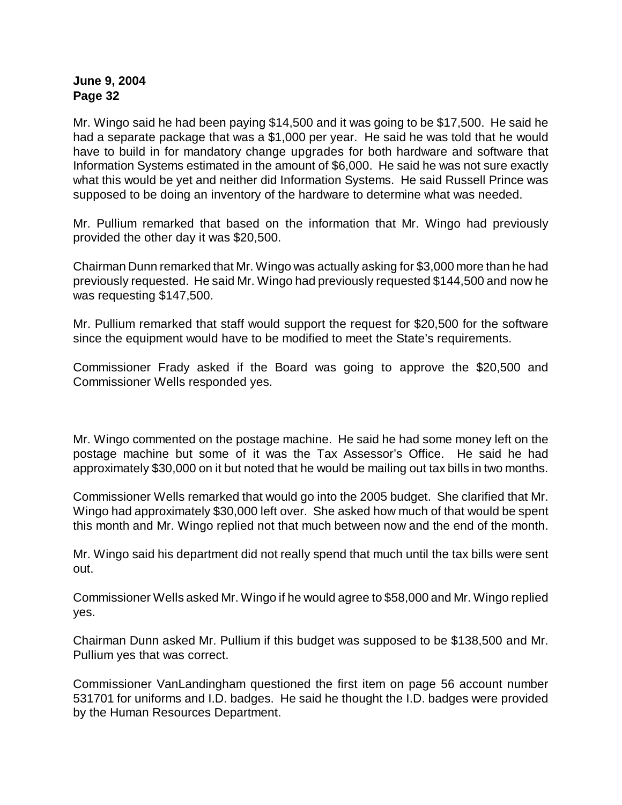Mr. Wingo said he had been paying \$14,500 and it was going to be \$17,500. He said he had a separate package that was a \$1,000 per year. He said he was told that he would have to build in for mandatory change upgrades for both hardware and software that Information Systems estimated in the amount of \$6,000. He said he was not sure exactly what this would be yet and neither did Information Systems. He said Russell Prince was supposed to be doing an inventory of the hardware to determine what was needed.

Mr. Pullium remarked that based on the information that Mr. Wingo had previously provided the other day it was \$20,500.

Chairman Dunn remarked that Mr. Wingo was actually asking for \$3,000 more than he had previously requested. He said Mr. Wingo had previously requested \$144,500 and now he was requesting \$147,500.

Mr. Pullium remarked that staff would support the request for \$20,500 for the software since the equipment would have to be modified to meet the State's requirements.

Commissioner Frady asked if the Board was going to approve the \$20,500 and Commissioner Wells responded yes.

Mr. Wingo commented on the postage machine. He said he had some money left on the postage machine but some of it was the Tax Assessor's Office. He said he had approximately \$30,000 on it but noted that he would be mailing out tax bills in two months.

Commissioner Wells remarked that would go into the 2005 budget. She clarified that Mr. Wingo had approximately \$30,000 left over. She asked how much of that would be spent this month and Mr. Wingo replied not that much between now and the end of the month.

Mr. Wingo said his department did not really spend that much until the tax bills were sent out.

Commissioner Wells asked Mr. Wingo if he would agree to \$58,000 and Mr. Wingo replied yes.

Chairman Dunn asked Mr. Pullium if this budget was supposed to be \$138,500 and Mr. Pullium yes that was correct.

Commissioner VanLandingham questioned the first item on page 56 account number 531701 for uniforms and I.D. badges. He said he thought the I.D. badges were provided by the Human Resources Department.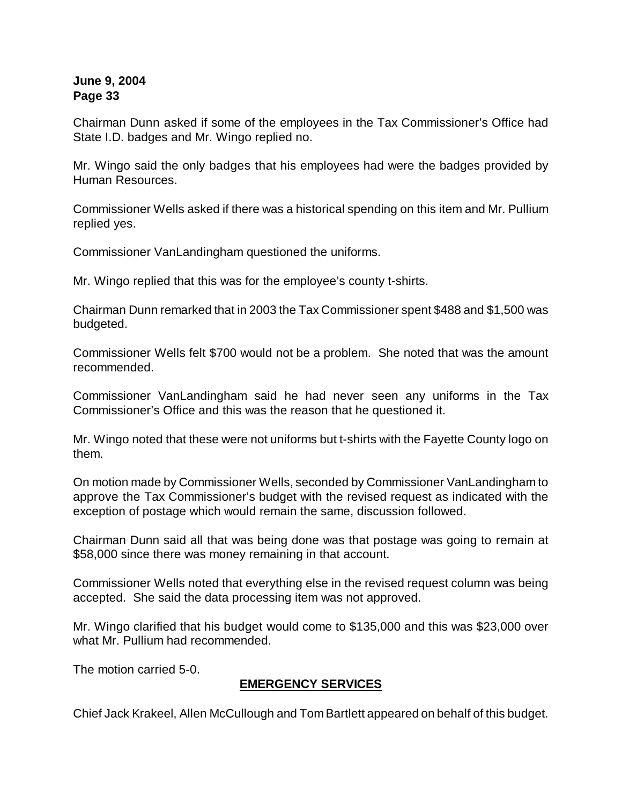Chairman Dunn asked if some of the employees in the Tax Commissioner's Office had State I.D. badges and Mr. Wingo replied no.

Mr. Wingo said the only badges that his employees had were the badges provided by Human Resources.

Commissioner Wells asked if there was a historical spending on this item and Mr. Pullium replied yes.

Commissioner VanLandingham questioned the uniforms.

Mr. Wingo replied that this was for the employee's county t-shirts.

Chairman Dunn remarked that in 2003 the Tax Commissioner spent \$488 and \$1,500 was budgeted.

Commissioner Wells felt \$700 would not be a problem. She noted that was the amount recommended.

Commissioner VanLandingham said he had never seen any uniforms in the Tax Commissioner's Office and this was the reason that he questioned it.

Mr. Wingo noted that these were not uniforms but t-shirts with the Fayette County logo on them.

On motion made by Commissioner Wells, seconded by Commissioner VanLandingham to approve the Tax Commissioner's budget with the revised request as indicated with the exception of postage which would remain the same, discussion followed.

Chairman Dunn said all that was being done was that postage was going to remain at \$58,000 since there was money remaining in that account.

Commissioner Wells noted that everything else in the revised request column was being accepted. She said the data processing item was not approved.

Mr. Wingo clarified that his budget would come to \$135,000 and this was \$23,000 over what Mr. Pullium had recommended.

The motion carried 5-0.

# **EMERGENCY SERVICES**

Chief Jack Krakeel, Allen McCullough and Tom Bartlett appeared on behalf of this budget.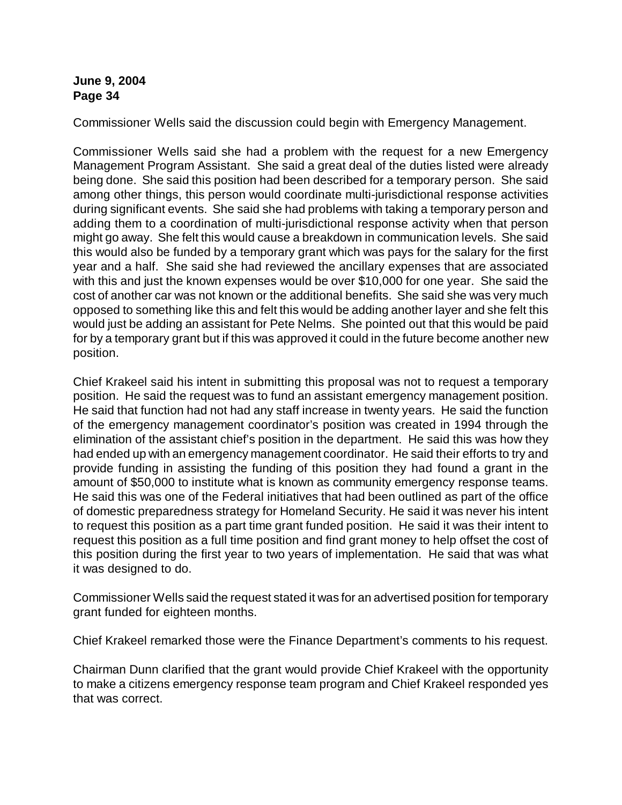Commissioner Wells said the discussion could begin with Emergency Management.

Commissioner Wells said she had a problem with the request for a new Emergency Management Program Assistant. She said a great deal of the duties listed were already being done. She said this position had been described for a temporary person. She said among other things, this person would coordinate multi-jurisdictional response activities during significant events. She said she had problems with taking a temporary person and adding them to a coordination of multi-jurisdictional response activity when that person might go away. She felt this would cause a breakdown in communication levels. She said this would also be funded by a temporary grant which was pays for the salary for the first year and a half. She said she had reviewed the ancillary expenses that are associated with this and just the known expenses would be over \$10,000 for one year. She said the cost of another car was not known or the additional benefits. She said she was very much opposed to something like this and felt this would be adding another layer and she felt this would just be adding an assistant for Pete Nelms. She pointed out that this would be paid for by a temporary grant but if this was approved it could in the future become another new position.

Chief Krakeel said his intent in submitting this proposal was not to request a temporary position. He said the request was to fund an assistant emergency management position. He said that function had not had any staff increase in twenty years. He said the function of the emergency management coordinator's position was created in 1994 through the elimination of the assistant chief's position in the department. He said this was how they had ended up with an emergency management coordinator. He said their efforts to try and provide funding in assisting the funding of this position they had found a grant in the amount of \$50,000 to institute what is known as community emergency response teams. He said this was one of the Federal initiatives that had been outlined as part of the office of domestic preparedness strategy for Homeland Security. He said it was never his intent to request this position as a part time grant funded position. He said it was their intent to request this position as a full time position and find grant money to help offset the cost of this position during the first year to two years of implementation. He said that was what it was designed to do.

Commissioner Wells said the request stated it was for an advertised position for temporary grant funded for eighteen months.

Chief Krakeel remarked those were the Finance Department's comments to his request.

Chairman Dunn clarified that the grant would provide Chief Krakeel with the opportunity to make a citizens emergency response team program and Chief Krakeel responded yes that was correct.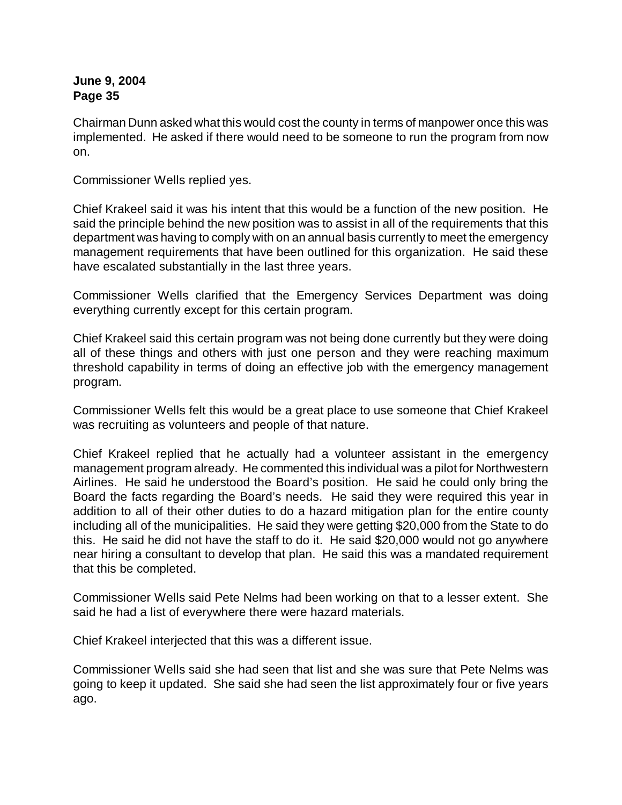Chairman Dunn asked what this would cost the county in terms of manpower once this was implemented. He asked if there would need to be someone to run the program from now on.

Commissioner Wells replied yes.

Chief Krakeel said it was his intent that this would be a function of the new position. He said the principle behind the new position was to assist in all of the requirements that this department was having to comply with on an annual basis currently to meet the emergency management requirements that have been outlined for this organization. He said these have escalated substantially in the last three years.

Commissioner Wells clarified that the Emergency Services Department was doing everything currently except for this certain program.

Chief Krakeel said this certain program was not being done currently but they were doing all of these things and others with just one person and they were reaching maximum threshold capability in terms of doing an effective job with the emergency management program.

Commissioner Wells felt this would be a great place to use someone that Chief Krakeel was recruiting as volunteers and people of that nature.

Chief Krakeel replied that he actually had a volunteer assistant in the emergency management program already. He commented this individual was a pilot for Northwestern Airlines. He said he understood the Board's position. He said he could only bring the Board the facts regarding the Board's needs. He said they were required this year in addition to all of their other duties to do a hazard mitigation plan for the entire county including all of the municipalities. He said they were getting \$20,000 from the State to do this. He said he did not have the staff to do it. He said \$20,000 would not go anywhere near hiring a consultant to develop that plan. He said this was a mandated requirement that this be completed.

Commissioner Wells said Pete Nelms had been working on that to a lesser extent. She said he had a list of everywhere there were hazard materials.

Chief Krakeel interjected that this was a different issue.

Commissioner Wells said she had seen that list and she was sure that Pete Nelms was going to keep it updated. She said she had seen the list approximately four or five years ago.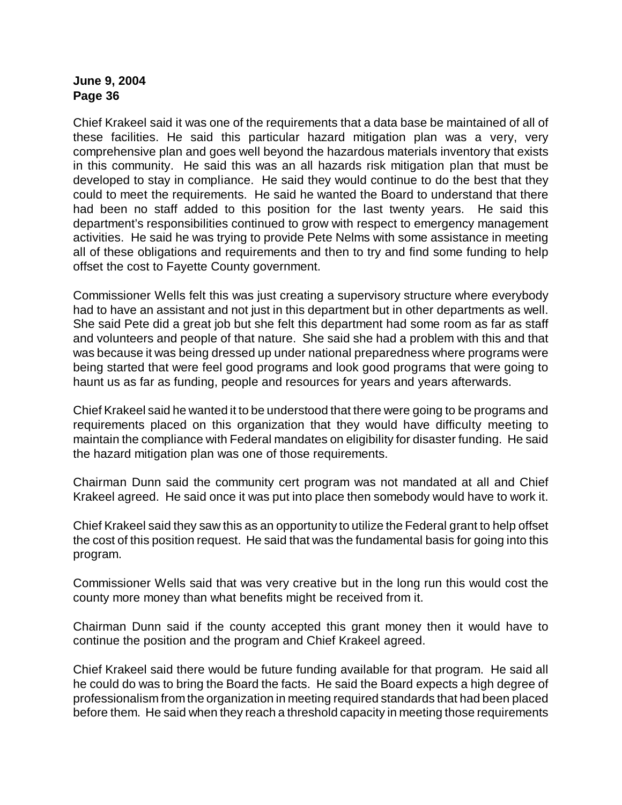Chief Krakeel said it was one of the requirements that a data base be maintained of all of these facilities. He said this particular hazard mitigation plan was a very, very comprehensive plan and goes well beyond the hazardous materials inventory that exists in this community. He said this was an all hazards risk mitigation plan that must be developed to stay in compliance. He said they would continue to do the best that they could to meet the requirements. He said he wanted the Board to understand that there had been no staff added to this position for the last twenty years. He said this department's responsibilities continued to grow with respect to emergency management activities. He said he was trying to provide Pete Nelms with some assistance in meeting all of these obligations and requirements and then to try and find some funding to help offset the cost to Fayette County government.

Commissioner Wells felt this was just creating a supervisory structure where everybody had to have an assistant and not just in this department but in other departments as well. She said Pete did a great job but she felt this department had some room as far as staff and volunteers and people of that nature. She said she had a problem with this and that was because it was being dressed up under national preparedness where programs were being started that were feel good programs and look good programs that were going to haunt us as far as funding, people and resources for years and years afterwards.

Chief Krakeel said he wanted it to be understood that there were going to be programs and requirements placed on this organization that they would have difficulty meeting to maintain the compliance with Federal mandates on eligibility for disaster funding. He said the hazard mitigation plan was one of those requirements.

Chairman Dunn said the community cert program was not mandated at all and Chief Krakeel agreed. He said once it was put into place then somebody would have to work it.

Chief Krakeel said they saw this as an opportunity to utilize the Federal grant to help offset the cost of this position request. He said that was the fundamental basis for going into this program.

Commissioner Wells said that was very creative but in the long run this would cost the county more money than what benefits might be received from it.

Chairman Dunn said if the county accepted this grant money then it would have to continue the position and the program and Chief Krakeel agreed.

Chief Krakeel said there would be future funding available for that program. He said all he could do was to bring the Board the facts. He said the Board expects a high degree of professionalism from the organization in meeting required standards that had been placed before them. He said when they reach a threshold capacity in meeting those requirements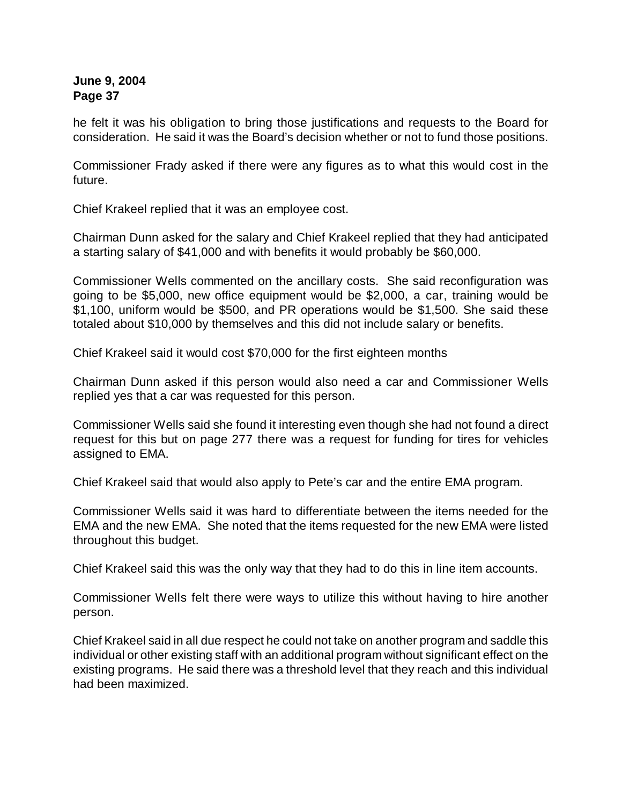he felt it was his obligation to bring those justifications and requests to the Board for consideration. He said it was the Board's decision whether or not to fund those positions.

Commissioner Frady asked if there were any figures as to what this would cost in the future.

Chief Krakeel replied that it was an employee cost.

Chairman Dunn asked for the salary and Chief Krakeel replied that they had anticipated a starting salary of \$41,000 and with benefits it would probably be \$60,000.

Commissioner Wells commented on the ancillary costs. She said reconfiguration was going to be \$5,000, new office equipment would be \$2,000, a car, training would be \$1,100, uniform would be \$500, and PR operations would be \$1,500. She said these totaled about \$10,000 by themselves and this did not include salary or benefits.

Chief Krakeel said it would cost \$70,000 for the first eighteen months

Chairman Dunn asked if this person would also need a car and Commissioner Wells replied yes that a car was requested for this person.

Commissioner Wells said she found it interesting even though she had not found a direct request for this but on page 277 there was a request for funding for tires for vehicles assigned to EMA.

Chief Krakeel said that would also apply to Pete's car and the entire EMA program.

Commissioner Wells said it was hard to differentiate between the items needed for the EMA and the new EMA. She noted that the items requested for the new EMA were listed throughout this budget.

Chief Krakeel said this was the only way that they had to do this in line item accounts.

Commissioner Wells felt there were ways to utilize this without having to hire another person.

Chief Krakeel said in all due respect he could not take on another program and saddle this individual or other existing staff with an additional program without significant effect on the existing programs. He said there was a threshold level that they reach and this individual had been maximized.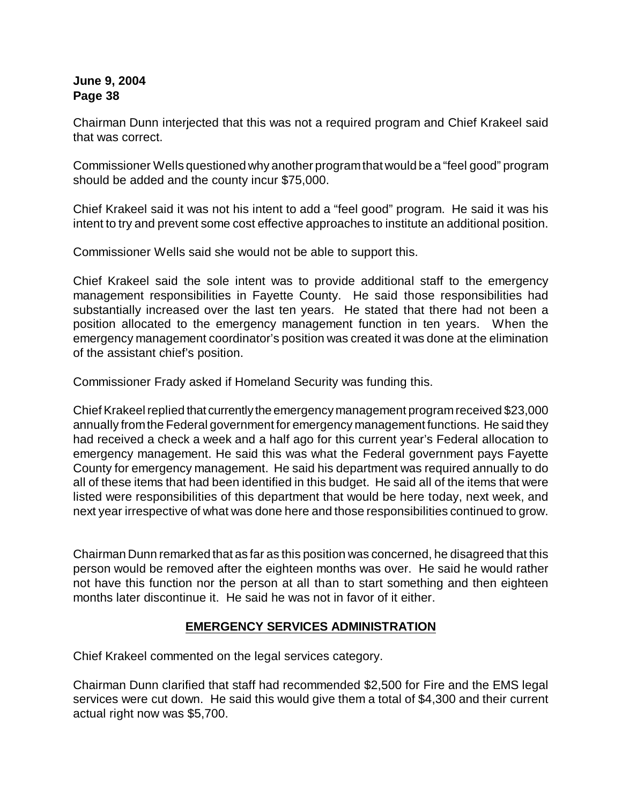Chairman Dunn interjected that this was not a required program and Chief Krakeel said that was correct.

Commissioner Wells questioned why another programthat would be a "feel good" program should be added and the county incur \$75,000.

Chief Krakeel said it was not his intent to add a "feel good" program. He said it was his intent to try and prevent some cost effective approaches to institute an additional position.

Commissioner Wells said she would not be able to support this.

Chief Krakeel said the sole intent was to provide additional staff to the emergency management responsibilities in Fayette County. He said those responsibilities had substantially increased over the last ten years. He stated that there had not been a position allocated to the emergency management function in ten years. When the emergency management coordinator's position was created it was done at the elimination of the assistant chief's position.

Commissioner Frady asked if Homeland Security was funding this.

Chief Krakeel replied that currently the emergency management program received \$23,000 annually from the Federal government for emergency management functions. He said they had received a check a week and a half ago for this current year's Federal allocation to emergency management. He said this was what the Federal government pays Fayette County for emergency management. He said his department was required annually to do all of these items that had been identified in this budget. He said all of the items that were listed were responsibilities of this department that would be here today, next week, and next year irrespective of what was done here and those responsibilities continued to grow.

Chairman Dunn remarked that as far as this position was concerned, he disagreed that this person would be removed after the eighteen months was over. He said he would rather not have this function nor the person at all than to start something and then eighteen months later discontinue it. He said he was not in favor of it either.

# **EMERGENCY SERVICES ADMINISTRATION**

Chief Krakeel commented on the legal services category.

Chairman Dunn clarified that staff had recommended \$2,500 for Fire and the EMS legal services were cut down. He said this would give them a total of \$4,300 and their current actual right now was \$5,700.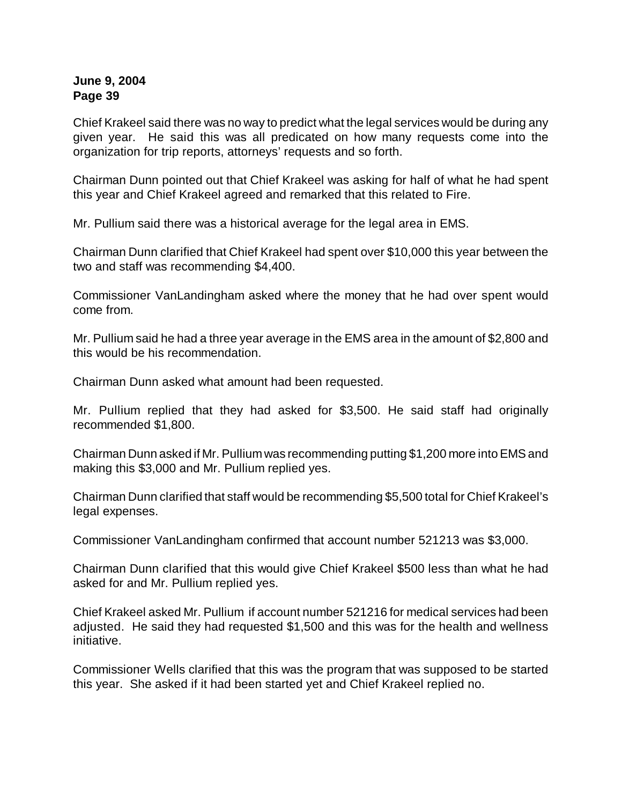Chief Krakeel said there was no way to predict what the legal services would be during any given year. He said this was all predicated on how many requests come into the organization for trip reports, attorneys' requests and so forth.

Chairman Dunn pointed out that Chief Krakeel was asking for half of what he had spent this year and Chief Krakeel agreed and remarked that this related to Fire.

Mr. Pullium said there was a historical average for the legal area in EMS.

Chairman Dunn clarified that Chief Krakeel had spent over \$10,000 this year between the two and staff was recommending \$4,400.

Commissioner VanLandingham asked where the money that he had over spent would come from.

Mr. Pullium said he had a three year average in the EMS area in the amount of \$2,800 and this would be his recommendation.

Chairman Dunn asked what amount had been requested.

Mr. Pullium replied that they had asked for \$3,500. He said staff had originally recommended \$1,800.

Chairman Dunn asked if Mr. Pullium was recommending putting \$1,200 more into EMS and making this \$3,000 and Mr. Pullium replied yes.

Chairman Dunn clarified that staff would be recommending \$5,500 total for Chief Krakeel's legal expenses.

Commissioner VanLandingham confirmed that account number 521213 was \$3,000.

Chairman Dunn clarified that this would give Chief Krakeel \$500 less than what he had asked for and Mr. Pullium replied yes.

Chief Krakeel asked Mr. Pullium if account number 521216 for medical services had been adjusted. He said they had requested \$1,500 and this was for the health and wellness initiative.

Commissioner Wells clarified that this was the program that was supposed to be started this year. She asked if it had been started yet and Chief Krakeel replied no.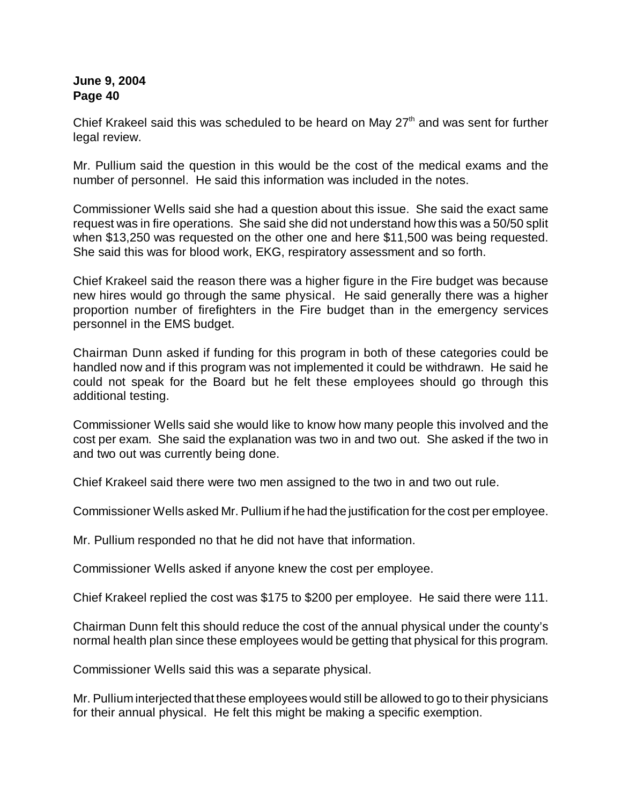Chief Krakeel said this was scheduled to be heard on May  $27<sup>th</sup>$  and was sent for further legal review.

Mr. Pullium said the question in this would be the cost of the medical exams and the number of personnel. He said this information was included in the notes.

Commissioner Wells said she had a question about this issue. She said the exact same request was in fire operations. She said she did not understand how this was a 50/50 split when \$13,250 was requested on the other one and here \$11,500 was being requested. She said this was for blood work, EKG, respiratory assessment and so forth.

Chief Krakeel said the reason there was a higher figure in the Fire budget was because new hires would go through the same physical. He said generally there was a higher proportion number of firefighters in the Fire budget than in the emergency services personnel in the EMS budget.

Chairman Dunn asked if funding for this program in both of these categories could be handled now and if this program was not implemented it could be withdrawn. He said he could not speak for the Board but he felt these employees should go through this additional testing.

Commissioner Wells said she would like to know how many people this involved and the cost per exam. She said the explanation was two in and two out. She asked if the two in and two out was currently being done.

Chief Krakeel said there were two men assigned to the two in and two out rule.

Commissioner Wells asked Mr. Pullium if he had the justification for the cost per employee.

Mr. Pullium responded no that he did not have that information.

Commissioner Wells asked if anyone knew the cost per employee.

Chief Krakeel replied the cost was \$175 to \$200 per employee. He said there were 111.

Chairman Dunn felt this should reduce the cost of the annual physical under the county's normal health plan since these employees would be getting that physical for this program.

Commissioner Wells said this was a separate physical.

Mr. Pullium interjected that these employees would still be allowed to go to their physicians for their annual physical. He felt this might be making a specific exemption.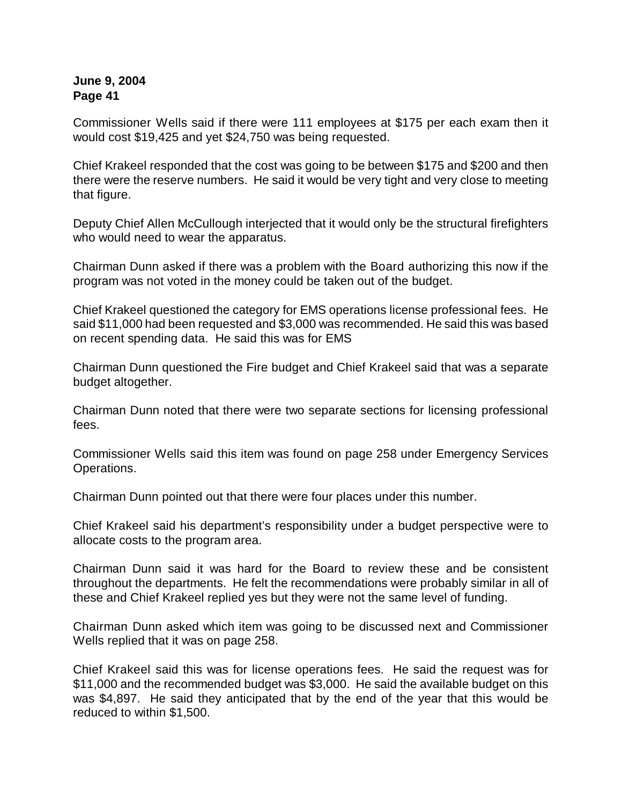Commissioner Wells said if there were 111 employees at \$175 per each exam then it would cost \$19,425 and yet \$24,750 was being requested.

Chief Krakeel responded that the cost was going to be between \$175 and \$200 and then there were the reserve numbers. He said it would be very tight and very close to meeting that figure.

Deputy Chief Allen McCullough interjected that it would only be the structural firefighters who would need to wear the apparatus.

Chairman Dunn asked if there was a problem with the Board authorizing this now if the program was not voted in the money could be taken out of the budget.

Chief Krakeel questioned the category for EMS operations license professional fees. He said \$11,000 had been requested and \$3,000 was recommended. He said this was based on recent spending data. He said this was for EMS

Chairman Dunn questioned the Fire budget and Chief Krakeel said that was a separate budget altogether.

Chairman Dunn noted that there were two separate sections for licensing professional fees.

Commissioner Wells said this item was found on page 258 under Emergency Services Operations.

Chairman Dunn pointed out that there were four places under this number.

Chief Krakeel said his department's responsibility under a budget perspective were to allocate costs to the program area.

Chairman Dunn said it was hard for the Board to review these and be consistent throughout the departments. He felt the recommendations were probably similar in all of these and Chief Krakeel replied yes but they were not the same level of funding.

Chairman Dunn asked which item was going to be discussed next and Commissioner Wells replied that it was on page 258.

Chief Krakeel said this was for license operations fees. He said the request was for \$11,000 and the recommended budget was \$3,000. He said the available budget on this was \$4,897. He said they anticipated that by the end of the year that this would be reduced to within \$1,500.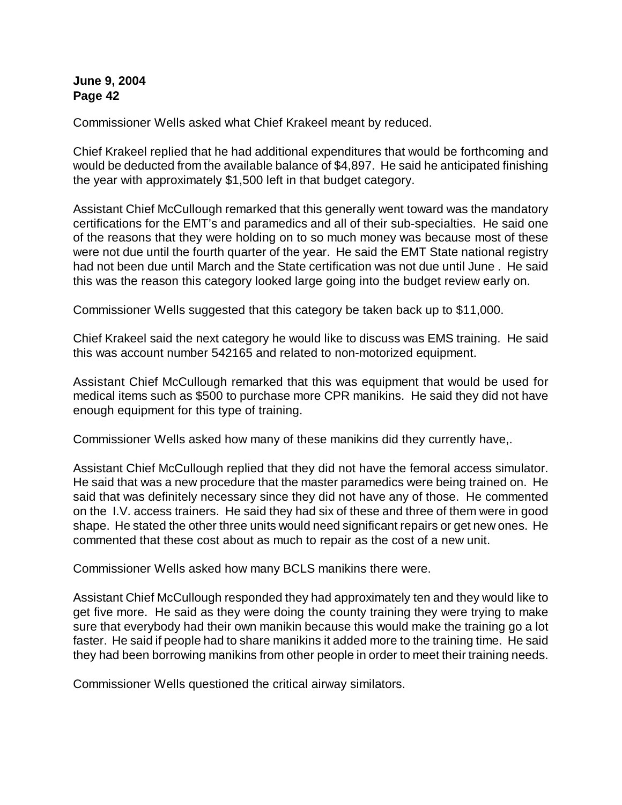Commissioner Wells asked what Chief Krakeel meant by reduced.

Chief Krakeel replied that he had additional expenditures that would be forthcoming and would be deducted from the available balance of \$4,897. He said he anticipated finishing the year with approximately \$1,500 left in that budget category.

Assistant Chief McCullough remarked that this generally went toward was the mandatory certifications for the EMT's and paramedics and all of their sub-specialties. He said one of the reasons that they were holding on to so much money was because most of these were not due until the fourth quarter of the year. He said the EMT State national registry had not been due until March and the State certification was not due until June . He said this was the reason this category looked large going into the budget review early on.

Commissioner Wells suggested that this category be taken back up to \$11,000.

Chief Krakeel said the next category he would like to discuss was EMS training. He said this was account number 542165 and related to non-motorized equipment.

Assistant Chief McCullough remarked that this was equipment that would be used for medical items such as \$500 to purchase more CPR manikins. He said they did not have enough equipment for this type of training.

Commissioner Wells asked how many of these manikins did they currently have,.

Assistant Chief McCullough replied that they did not have the femoral access simulator. He said that was a new procedure that the master paramedics were being trained on. He said that was definitely necessary since they did not have any of those. He commented on the I.V. access trainers. He said they had six of these and three of them were in good shape. He stated the other three units would need significant repairs or get new ones. He commented that these cost about as much to repair as the cost of a new unit.

Commissioner Wells asked how many BCLS manikins there were.

Assistant Chief McCullough responded they had approximately ten and they would like to get five more. He said as they were doing the county training they were trying to make sure that everybody had their own manikin because this would make the training go a lot faster. He said if people had to share manikins it added more to the training time. He said they had been borrowing manikins from other people in order to meet their training needs.

Commissioner Wells questioned the critical airway similators.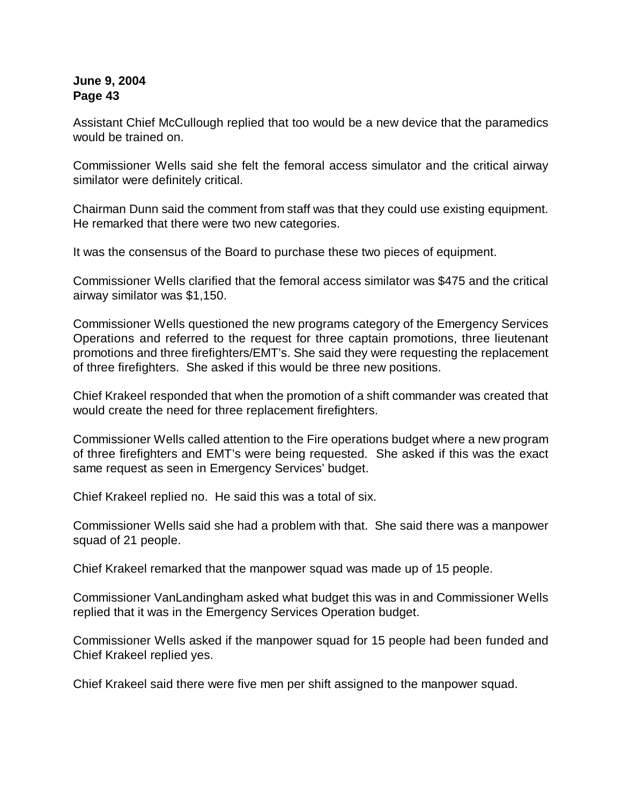Assistant Chief McCullough replied that too would be a new device that the paramedics would be trained on.

Commissioner Wells said she felt the femoral access simulator and the critical airway similator were definitely critical.

Chairman Dunn said the comment from staff was that they could use existing equipment. He remarked that there were two new categories.

It was the consensus of the Board to purchase these two pieces of equipment.

Commissioner Wells clarified that the femoral access similator was \$475 and the critical airway similator was \$1,150.

Commissioner Wells questioned the new programs category of the Emergency Services Operations and referred to the request for three captain promotions, three lieutenant promotions and three firefighters/EMT's. She said they were requesting the replacement of three firefighters. She asked if this would be three new positions.

Chief Krakeel responded that when the promotion of a shift commander was created that would create the need for three replacement firefighters.

Commissioner Wells called attention to the Fire operations budget where a new program of three firefighters and EMT's were being requested. She asked if this was the exact same request as seen in Emergency Services' budget.

Chief Krakeel replied no. He said this was a total of six.

Commissioner Wells said she had a problem with that. She said there was a manpower squad of 21 people.

Chief Krakeel remarked that the manpower squad was made up of 15 people.

Commissioner VanLandingham asked what budget this was in and Commissioner Wells replied that it was in the Emergency Services Operation budget.

Commissioner Wells asked if the manpower squad for 15 people had been funded and Chief Krakeel replied yes.

Chief Krakeel said there were five men per shift assigned to the manpower squad.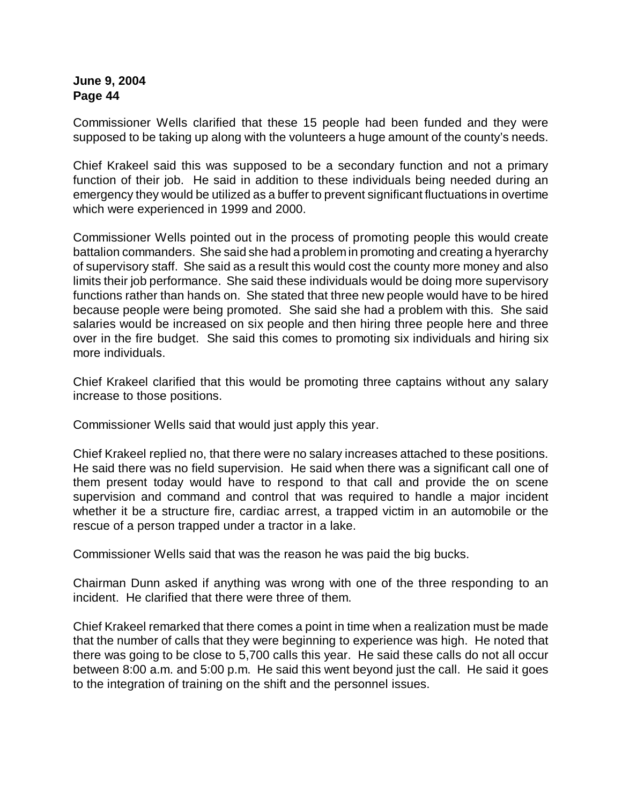Commissioner Wells clarified that these 15 people had been funded and they were supposed to be taking up along with the volunteers a huge amount of the county's needs.

Chief Krakeel said this was supposed to be a secondary function and not a primary function of their job. He said in addition to these individuals being needed during an emergency they would be utilized as a buffer to prevent significant fluctuations in overtime which were experienced in 1999 and 2000.

Commissioner Wells pointed out in the process of promoting people this would create battalion commanders. She said she had a problem in promoting and creating a hyerarchy of supervisory staff. She said as a result this would cost the county more money and also limits their job performance. She said these individuals would be doing more supervisory functions rather than hands on. She stated that three new people would have to be hired because people were being promoted. She said she had a problem with this. She said salaries would be increased on six people and then hiring three people here and three over in the fire budget. She said this comes to promoting six individuals and hiring six more individuals.

Chief Krakeel clarified that this would be promoting three captains without any salary increase to those positions.

Commissioner Wells said that would just apply this year.

Chief Krakeel replied no, that there were no salary increases attached to these positions. He said there was no field supervision. He said when there was a significant call one of them present today would have to respond to that call and provide the on scene supervision and command and control that was required to handle a major incident whether it be a structure fire, cardiac arrest, a trapped victim in an automobile or the rescue of a person trapped under a tractor in a lake.

Commissioner Wells said that was the reason he was paid the big bucks.

Chairman Dunn asked if anything was wrong with one of the three responding to an incident. He clarified that there were three of them.

Chief Krakeel remarked that there comes a point in time when a realization must be made that the number of calls that they were beginning to experience was high. He noted that there was going to be close to 5,700 calls this year. He said these calls do not all occur between 8:00 a.m. and 5:00 p.m. He said this went beyond just the call. He said it goes to the integration of training on the shift and the personnel issues.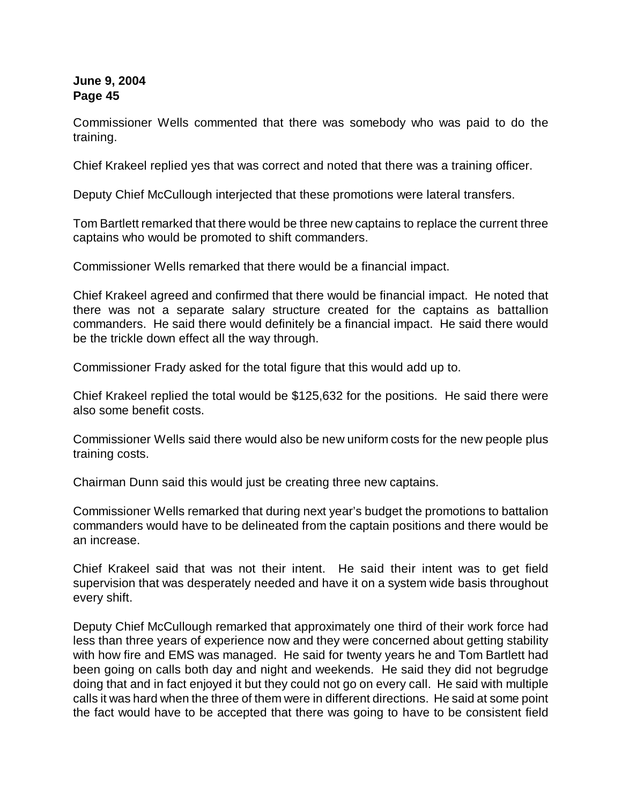Commissioner Wells commented that there was somebody who was paid to do the training.

Chief Krakeel replied yes that was correct and noted that there was a training officer.

Deputy Chief McCullough interjected that these promotions were lateral transfers.

Tom Bartlett remarked that there would be three new captains to replace the current three captains who would be promoted to shift commanders.

Commissioner Wells remarked that there would be a financial impact.

Chief Krakeel agreed and confirmed that there would be financial impact. He noted that there was not a separate salary structure created for the captains as battallion commanders. He said there would definitely be a financial impact. He said there would be the trickle down effect all the way through.

Commissioner Frady asked for the total figure that this would add up to.

Chief Krakeel replied the total would be \$125,632 for the positions. He said there were also some benefit costs.

Commissioner Wells said there would also be new uniform costs for the new people plus training costs.

Chairman Dunn said this would just be creating three new captains.

Commissioner Wells remarked that during next year's budget the promotions to battalion commanders would have to be delineated from the captain positions and there would be an increase.

Chief Krakeel said that was not their intent. He said their intent was to get field supervision that was desperately needed and have it on a system wide basis throughout every shift.

Deputy Chief McCullough remarked that approximately one third of their work force had less than three years of experience now and they were concerned about getting stability with how fire and EMS was managed. He said for twenty years he and Tom Bartlett had been going on calls both day and night and weekends. He said they did not begrudge doing that and in fact enjoyed it but they could not go on every call. He said with multiple calls it was hard when the three of them were in different directions. He said at some point the fact would have to be accepted that there was going to have to be consistent field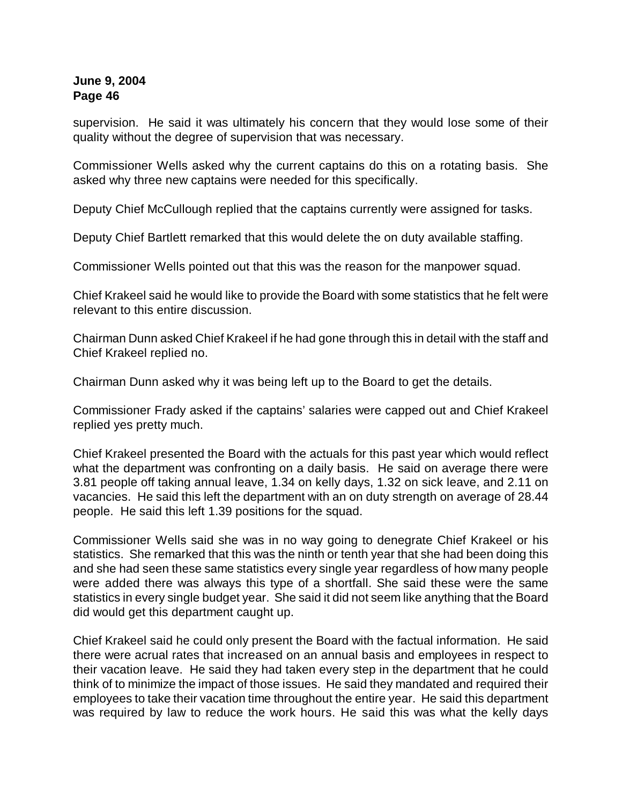supervision. He said it was ultimately his concern that they would lose some of their quality without the degree of supervision that was necessary.

Commissioner Wells asked why the current captains do this on a rotating basis. She asked why three new captains were needed for this specifically.

Deputy Chief McCullough replied that the captains currently were assigned for tasks.

Deputy Chief Bartlett remarked that this would delete the on duty available staffing.

Commissioner Wells pointed out that this was the reason for the manpower squad.

Chief Krakeel said he would like to provide the Board with some statistics that he felt were relevant to this entire discussion.

Chairman Dunn asked Chief Krakeel if he had gone through this in detail with the staff and Chief Krakeel replied no.

Chairman Dunn asked why it was being left up to the Board to get the details.

Commissioner Frady asked if the captains' salaries were capped out and Chief Krakeel replied yes pretty much.

Chief Krakeel presented the Board with the actuals for this past year which would reflect what the department was confronting on a daily basis. He said on average there were 3.81 people off taking annual leave, 1.34 on kelly days, 1.32 on sick leave, and 2.11 on vacancies. He said this left the department with an on duty strength on average of 28.44 people. He said this left 1.39 positions for the squad.

Commissioner Wells said she was in no way going to denegrate Chief Krakeel or his statistics. She remarked that this was the ninth or tenth year that she had been doing this and she had seen these same statistics every single year regardless of how many people were added there was always this type of a shortfall. She said these were the same statistics in every single budget year. She said it did not seem like anything that the Board did would get this department caught up.

Chief Krakeel said he could only present the Board with the factual information. He said there were acrual rates that increased on an annual basis and employees in respect to their vacation leave. He said they had taken every step in the department that he could think of to minimize the impact of those issues. He said they mandated and required their employees to take their vacation time throughout the entire year. He said this department was required by law to reduce the work hours. He said this was what the kelly days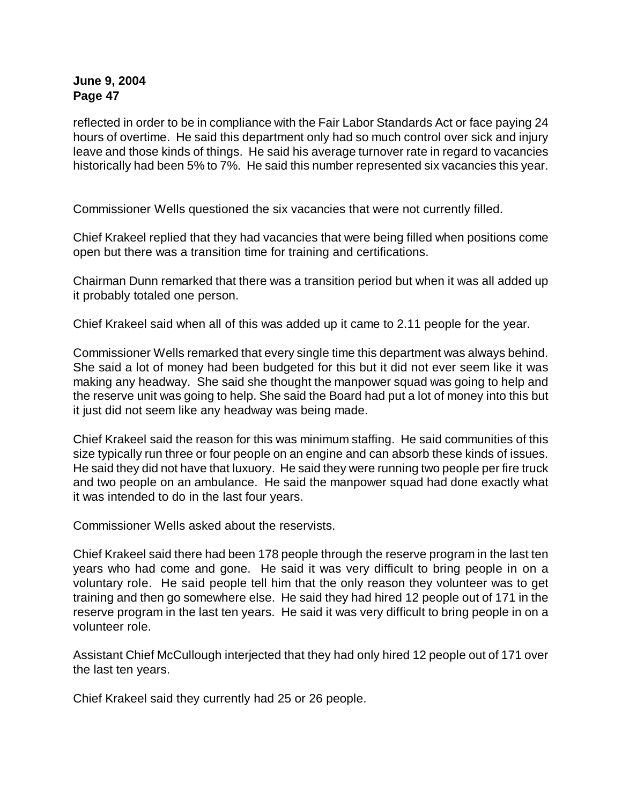reflected in order to be in compliance with the Fair Labor Standards Act or face paying 24 hours of overtime. He said this department only had so much control over sick and injury leave and those kinds of things. He said his average turnover rate in regard to vacancies historically had been 5% to 7%. He said this number represented six vacancies this year.

Commissioner Wells questioned the six vacancies that were not currently filled.

Chief Krakeel replied that they had vacancies that were being filled when positions come open but there was a transition time for training and certifications.

Chairman Dunn remarked that there was a transition period but when it was all added up it probably totaled one person.

Chief Krakeel said when all of this was added up it came to 2.11 people for the year.

Commissioner Wells remarked that every single time this department was always behind. She said a lot of money had been budgeted for this but it did not ever seem like it was making any headway. She said she thought the manpower squad was going to help and the reserve unit was going to help. She said the Board had put a lot of money into this but it just did not seem like any headway was being made.

Chief Krakeel said the reason for this was minimum staffing. He said communities of this size typically run three or four people on an engine and can absorb these kinds of issues. He said they did not have that luxuory. He said they were running two people per fire truck and two people on an ambulance. He said the manpower squad had done exactly what it was intended to do in the last four years.

Commissioner Wells asked about the reservists.

Chief Krakeel said there had been 178 people through the reserve program in the last ten years who had come and gone. He said it was very difficult to bring people in on a voluntary role. He said people tell him that the only reason they volunteer was to get training and then go somewhere else. He said they had hired 12 people out of 171 in the reserve program in the last ten years. He said it was very difficult to bring people in on a volunteer role.

Assistant Chief McCullough interjected that they had only hired 12 people out of 171 over the last ten years.

Chief Krakeel said they currently had 25 or 26 people.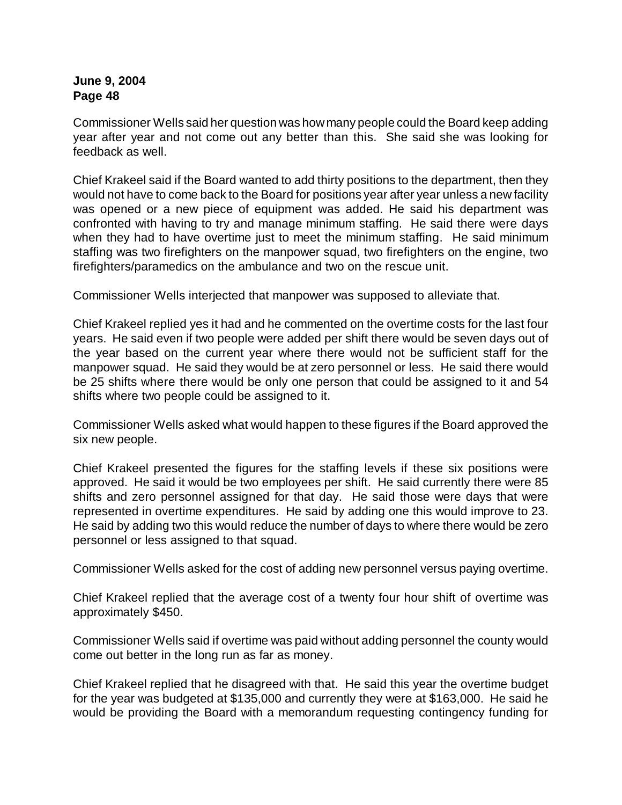Commissioner Wells said her question was howmany people could the Board keep adding year after year and not come out any better than this. She said she was looking for feedback as well.

Chief Krakeel said if the Board wanted to add thirty positions to the department, then they would not have to come back to the Board for positions year after year unless a new facility was opened or a new piece of equipment was added. He said his department was confronted with having to try and manage minimum staffing. He said there were days when they had to have overtime just to meet the minimum staffing. He said minimum staffing was two firefighters on the manpower squad, two firefighters on the engine, two firefighters/paramedics on the ambulance and two on the rescue unit.

Commissioner Wells interjected that manpower was supposed to alleviate that.

Chief Krakeel replied yes it had and he commented on the overtime costs for the last four years. He said even if two people were added per shift there would be seven days out of the year based on the current year where there would not be sufficient staff for the manpower squad. He said they would be at zero personnel or less. He said there would be 25 shifts where there would be only one person that could be assigned to it and 54 shifts where two people could be assigned to it.

Commissioner Wells asked what would happen to these figures if the Board approved the six new people.

Chief Krakeel presented the figures for the staffing levels if these six positions were approved. He said it would be two employees per shift. He said currently there were 85 shifts and zero personnel assigned for that day. He said those were days that were represented in overtime expenditures. He said by adding one this would improve to 23. He said by adding two this would reduce the number of days to where there would be zero personnel or less assigned to that squad.

Commissioner Wells asked for the cost of adding new personnel versus paying overtime.

Chief Krakeel replied that the average cost of a twenty four hour shift of overtime was approximately \$450.

Commissioner Wells said if overtime was paid without adding personnel the county would come out better in the long run as far as money.

Chief Krakeel replied that he disagreed with that. He said this year the overtime budget for the year was budgeted at \$135,000 and currently they were at \$163,000. He said he would be providing the Board with a memorandum requesting contingency funding for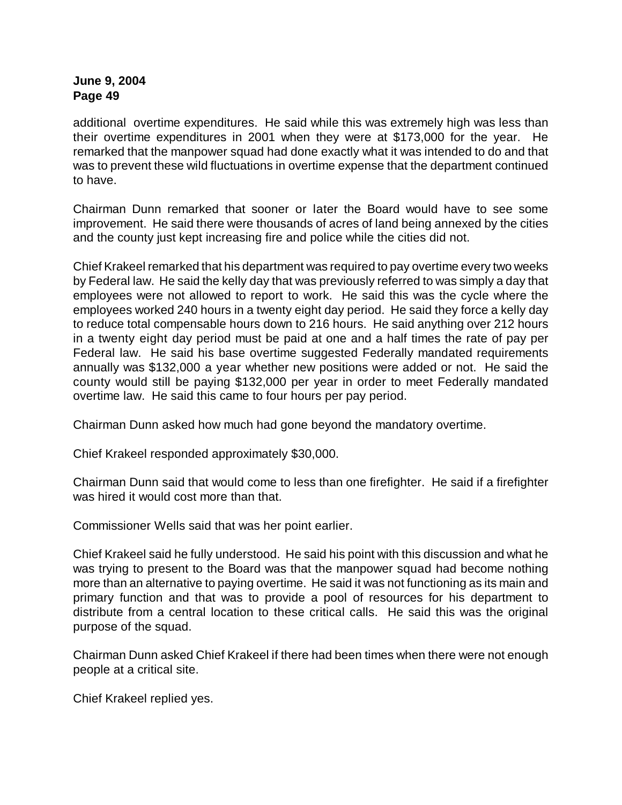additional overtime expenditures. He said while this was extremely high was less than their overtime expenditures in 2001 when they were at \$173,000 for the year. He remarked that the manpower squad had done exactly what it was intended to do and that was to prevent these wild fluctuations in overtime expense that the department continued to have.

Chairman Dunn remarked that sooner or later the Board would have to see some improvement. He said there were thousands of acres of land being annexed by the cities and the county just kept increasing fire and police while the cities did not.

Chief Krakeel remarked that his department was required to pay overtime every two weeks by Federal law. He said the kelly day that was previously referred to was simply a day that employees were not allowed to report to work. He said this was the cycle where the employees worked 240 hours in a twenty eight day period. He said they force a kelly day to reduce total compensable hours down to 216 hours. He said anything over 212 hours in a twenty eight day period must be paid at one and a half times the rate of pay per Federal law. He said his base overtime suggested Federally mandated requirements annually was \$132,000 a year whether new positions were added or not. He said the county would still be paying \$132,000 per year in order to meet Federally mandated overtime law. He said this came to four hours per pay period.

Chairman Dunn asked how much had gone beyond the mandatory overtime.

Chief Krakeel responded approximately \$30,000.

Chairman Dunn said that would come to less than one firefighter. He said if a firefighter was hired it would cost more than that.

Commissioner Wells said that was her point earlier.

Chief Krakeel said he fully understood. He said his point with this discussion and what he was trying to present to the Board was that the manpower squad had become nothing more than an alternative to paying overtime. He said it was not functioning as its main and primary function and that was to provide a pool of resources for his department to distribute from a central location to these critical calls. He said this was the original purpose of the squad.

Chairman Dunn asked Chief Krakeel if there had been times when there were not enough people at a critical site.

Chief Krakeel replied yes.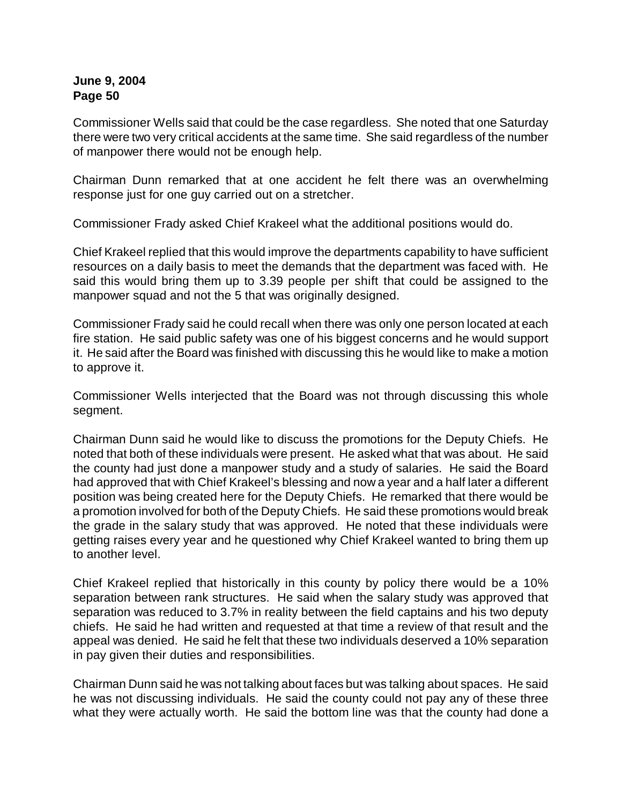Commissioner Wells said that could be the case regardless. She noted that one Saturday there were two very critical accidents at the same time. She said regardless of the number of manpower there would not be enough help.

Chairman Dunn remarked that at one accident he felt there was an overwhelming response just for one guy carried out on a stretcher.

Commissioner Frady asked Chief Krakeel what the additional positions would do.

Chief Krakeel replied that this would improve the departments capability to have sufficient resources on a daily basis to meet the demands that the department was faced with. He said this would bring them up to 3.39 people per shift that could be assigned to the manpower squad and not the 5 that was originally designed.

Commissioner Frady said he could recall when there was only one person located at each fire station. He said public safety was one of his biggest concerns and he would support it. He said after the Board was finished with discussing this he would like to make a motion to approve it.

Commissioner Wells interjected that the Board was not through discussing this whole segment.

Chairman Dunn said he would like to discuss the promotions for the Deputy Chiefs. He noted that both of these individuals were present. He asked what that was about. He said the county had just done a manpower study and a study of salaries. He said the Board had approved that with Chief Krakeel's blessing and now a year and a half later a different position was being created here for the Deputy Chiefs. He remarked that there would be a promotion involved for both of the Deputy Chiefs. He said these promotions would break the grade in the salary study that was approved. He noted that these individuals were getting raises every year and he questioned why Chief Krakeel wanted to bring them up to another level.

Chief Krakeel replied that historically in this county by policy there would be a 10% separation between rank structures. He said when the salary study was approved that separation was reduced to 3.7% in reality between the field captains and his two deputy chiefs. He said he had written and requested at that time a review of that result and the appeal was denied. He said he felt that these two individuals deserved a 10% separation in pay given their duties and responsibilities.

Chairman Dunn said he was not talking about faces but was talking about spaces. He said he was not discussing individuals. He said the county could not pay any of these three what they were actually worth. He said the bottom line was that the county had done a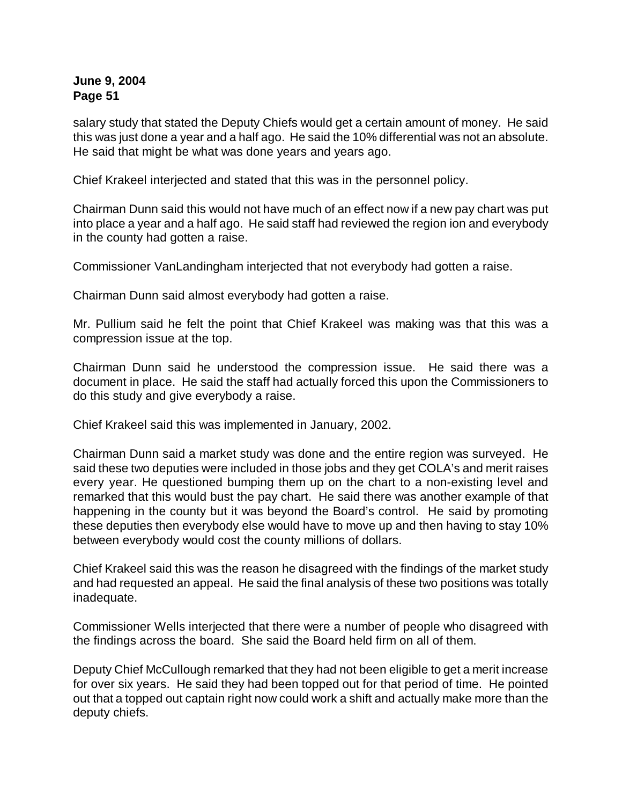salary study that stated the Deputy Chiefs would get a certain amount of money. He said this was just done a year and a half ago. He said the 10% differential was not an absolute. He said that might be what was done years and years ago.

Chief Krakeel interjected and stated that this was in the personnel policy.

Chairman Dunn said this would not have much of an effect now if a new pay chart was put into place a year and a half ago. He said staff had reviewed the region ion and everybody in the county had gotten a raise.

Commissioner VanLandingham interjected that not everybody had gotten a raise.

Chairman Dunn said almost everybody had gotten a raise.

Mr. Pullium said he felt the point that Chief Krakeel was making was that this was a compression issue at the top.

Chairman Dunn said he understood the compression issue. He said there was a document in place. He said the staff had actually forced this upon the Commissioners to do this study and give everybody a raise.

Chief Krakeel said this was implemented in January, 2002.

Chairman Dunn said a market study was done and the entire region was surveyed. He said these two deputies were included in those jobs and they get COLA's and merit raises every year. He questioned bumping them up on the chart to a non-existing level and remarked that this would bust the pay chart. He said there was another example of that happening in the county but it was beyond the Board's control. He said by promoting these deputies then everybody else would have to move up and then having to stay 10% between everybody would cost the county millions of dollars.

Chief Krakeel said this was the reason he disagreed with the findings of the market study and had requested an appeal. He said the final analysis of these two positions was totally inadequate.

Commissioner Wells interjected that there were a number of people who disagreed with the findings across the board. She said the Board held firm on all of them.

Deputy Chief McCullough remarked that they had not been eligible to get a merit increase for over six years. He said they had been topped out for that period of time. He pointed out that a topped out captain right now could work a shift and actually make more than the deputy chiefs.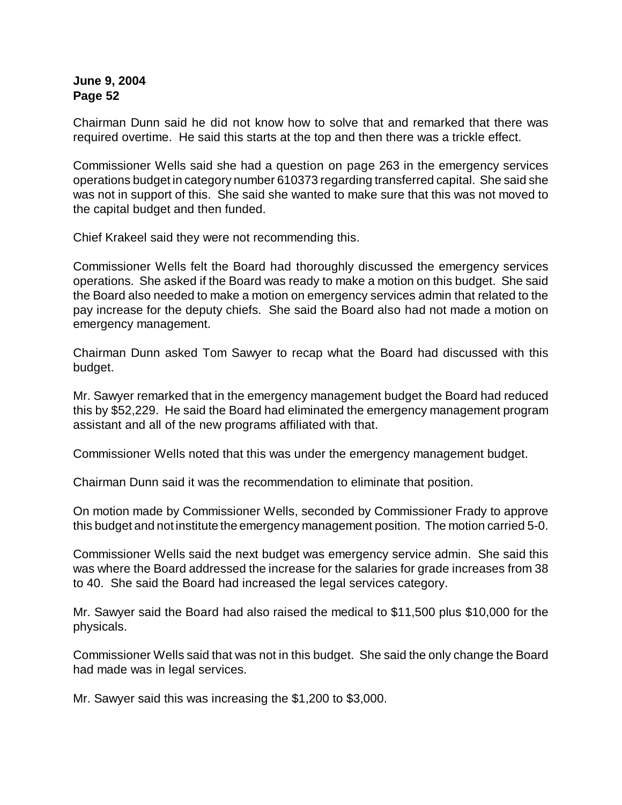Chairman Dunn said he did not know how to solve that and remarked that there was required overtime. He said this starts at the top and then there was a trickle effect.

Commissioner Wells said she had a question on page 263 in the emergency services operations budget in category number 610373 regarding transferred capital. She said she was not in support of this. She said she wanted to make sure that this was not moved to the capital budget and then funded.

Chief Krakeel said they were not recommending this.

Commissioner Wells felt the Board had thoroughly discussed the emergency services operations. She asked if the Board was ready to make a motion on this budget. She said the Board also needed to make a motion on emergency services admin that related to the pay increase for the deputy chiefs. She said the Board also had not made a motion on emergency management.

Chairman Dunn asked Tom Sawyer to recap what the Board had discussed with this budget.

Mr. Sawyer remarked that in the emergency management budget the Board had reduced this by \$52,229. He said the Board had eliminated the emergency management program assistant and all of the new programs affiliated with that.

Commissioner Wells noted that this was under the emergency management budget.

Chairman Dunn said it was the recommendation to eliminate that position.

On motion made by Commissioner Wells, seconded by Commissioner Frady to approve this budget and not institute the emergency management position. The motion carried 5-0.

Commissioner Wells said the next budget was emergency service admin. She said this was where the Board addressed the increase for the salaries for grade increases from 38 to 40. She said the Board had increased the legal services category.

Mr. Sawyer said the Board had also raised the medical to \$11,500 plus \$10,000 for the physicals.

Commissioner Wells said that was not in this budget. She said the only change the Board had made was in legal services.

Mr. Sawyer said this was increasing the \$1,200 to \$3,000.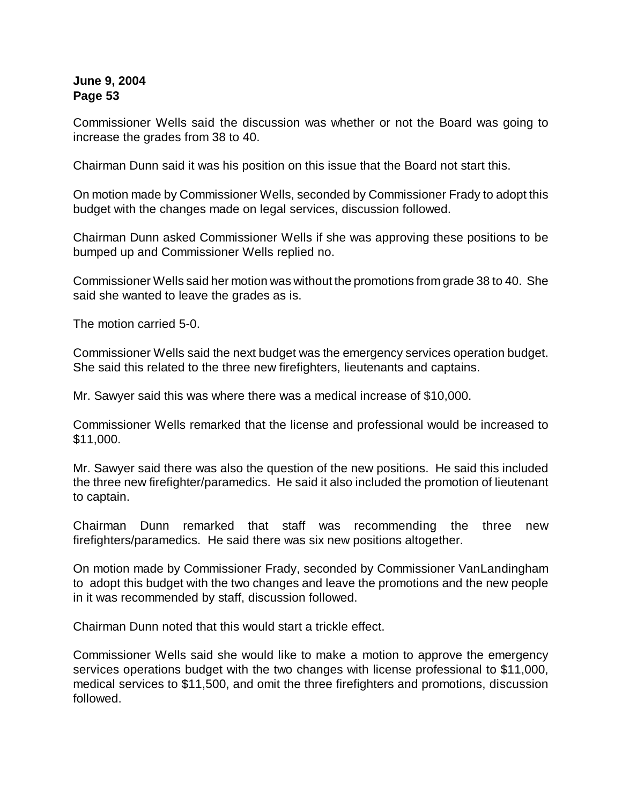Commissioner Wells said the discussion was whether or not the Board was going to increase the grades from 38 to 40.

Chairman Dunn said it was his position on this issue that the Board not start this.

On motion made by Commissioner Wells, seconded by Commissioner Frady to adopt this budget with the changes made on legal services, discussion followed.

Chairman Dunn asked Commissioner Wells if she was approving these positions to be bumped up and Commissioner Wells replied no.

Commissioner Wells said her motion was without the promotions from grade 38 to 40. She said she wanted to leave the grades as is.

The motion carried 5-0.

Commissioner Wells said the next budget was the emergency services operation budget. She said this related to the three new firefighters, lieutenants and captains.

Mr. Sawyer said this was where there was a medical increase of \$10,000.

Commissioner Wells remarked that the license and professional would be increased to \$11,000.

Mr. Sawyer said there was also the question of the new positions. He said this included the three new firefighter/paramedics. He said it also included the promotion of lieutenant to captain.

Chairman Dunn remarked that staff was recommending the three new firefighters/paramedics. He said there was six new positions altogether.

On motion made by Commissioner Frady, seconded by Commissioner VanLandingham to adopt this budget with the two changes and leave the promotions and the new people in it was recommended by staff, discussion followed.

Chairman Dunn noted that this would start a trickle effect.

Commissioner Wells said she would like to make a motion to approve the emergency services operations budget with the two changes with license professional to \$11,000, medical services to \$11,500, and omit the three firefighters and promotions, discussion followed.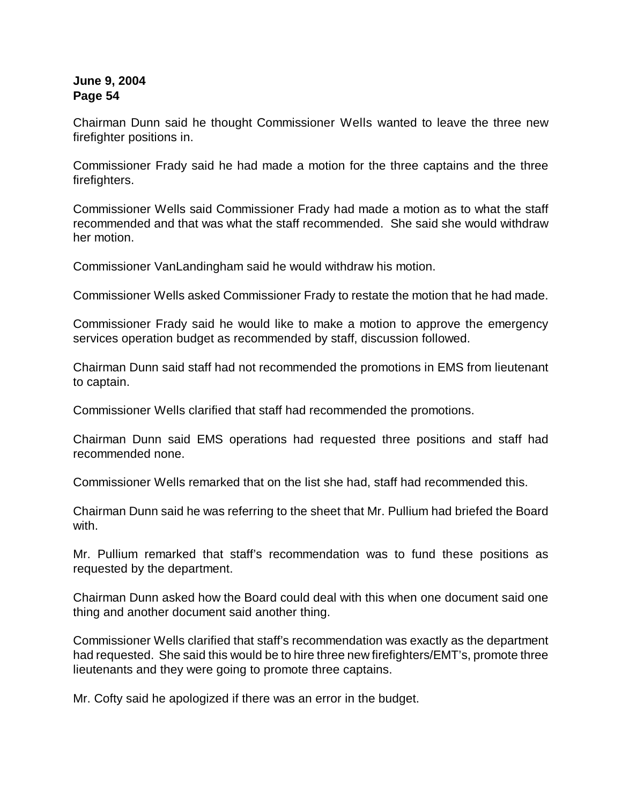Chairman Dunn said he thought Commissioner Wells wanted to leave the three new firefighter positions in.

Commissioner Frady said he had made a motion for the three captains and the three firefighters.

Commissioner Wells said Commissioner Frady had made a motion as to what the staff recommended and that was what the staff recommended. She said she would withdraw her motion.

Commissioner VanLandingham said he would withdraw his motion.

Commissioner Wells asked Commissioner Frady to restate the motion that he had made.

Commissioner Frady said he would like to make a motion to approve the emergency services operation budget as recommended by staff, discussion followed.

Chairman Dunn said staff had not recommended the promotions in EMS from lieutenant to captain.

Commissioner Wells clarified that staff had recommended the promotions.

Chairman Dunn said EMS operations had requested three positions and staff had recommended none.

Commissioner Wells remarked that on the list she had, staff had recommended this.

Chairman Dunn said he was referring to the sheet that Mr. Pullium had briefed the Board with.

Mr. Pullium remarked that staff's recommendation was to fund these positions as requested by the department.

Chairman Dunn asked how the Board could deal with this when one document said one thing and another document said another thing.

Commissioner Wells clarified that staff's recommendation was exactly as the department had requested. She said this would be to hire three new firefighters/EMT's, promote three lieutenants and they were going to promote three captains.

Mr. Cofty said he apologized if there was an error in the budget.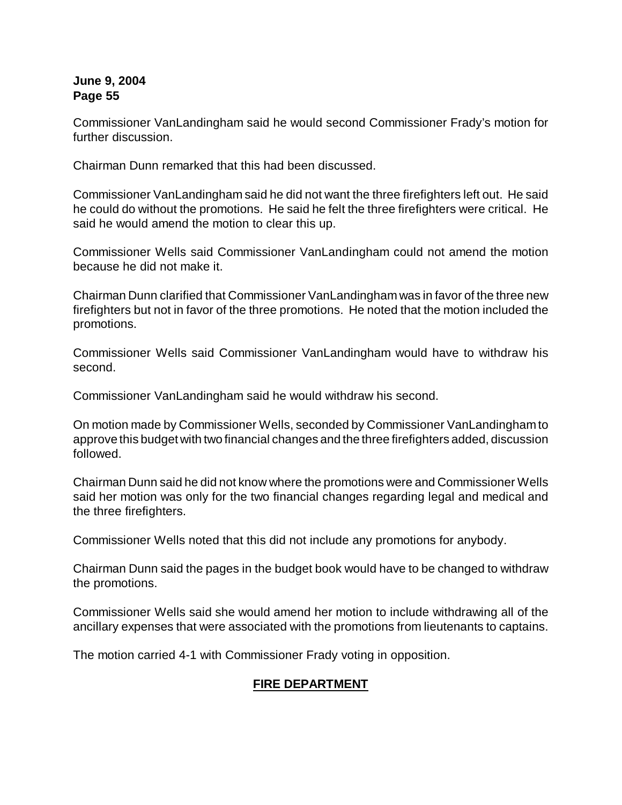Commissioner VanLandingham said he would second Commissioner Frady's motion for further discussion.

Chairman Dunn remarked that this had been discussed.

Commissioner VanLandingham said he did not want the three firefighters left out. He said he could do without the promotions. He said he felt the three firefighters were critical. He said he would amend the motion to clear this up.

Commissioner Wells said Commissioner VanLandingham could not amend the motion because he did not make it.

Chairman Dunn clarified that Commissioner VanLandingham was in favor of the three new firefighters but not in favor of the three promotions. He noted that the motion included the promotions.

Commissioner Wells said Commissioner VanLandingham would have to withdraw his second.

Commissioner VanLandingham said he would withdraw his second.

On motion made by Commissioner Wells, seconded by Commissioner VanLandingham to approve this budget with two financial changes and the three firefighters added, discussion followed.

Chairman Dunn said he did not know where the promotions were and Commissioner Wells said her motion was only for the two financial changes regarding legal and medical and the three firefighters.

Commissioner Wells noted that this did not include any promotions for anybody.

Chairman Dunn said the pages in the budget book would have to be changed to withdraw the promotions.

Commissioner Wells said she would amend her motion to include withdrawing all of the ancillary expenses that were associated with the promotions from lieutenants to captains.

The motion carried 4-1 with Commissioner Frady voting in opposition.

# **FIRE DEPARTMENT**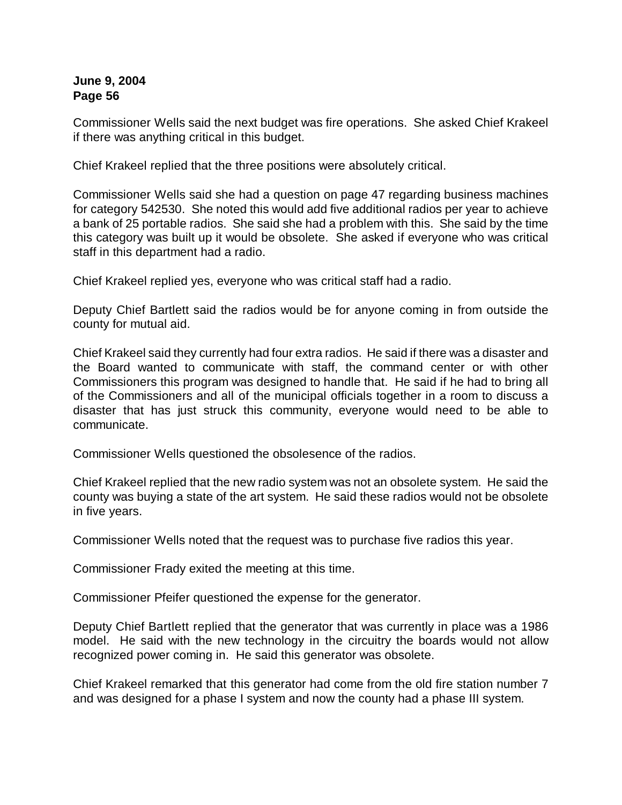Commissioner Wells said the next budget was fire operations. She asked Chief Krakeel if there was anything critical in this budget.

Chief Krakeel replied that the three positions were absolutely critical.

Commissioner Wells said she had a question on page 47 regarding business machines for category 542530. She noted this would add five additional radios per year to achieve a bank of 25 portable radios. She said she had a problem with this. She said by the time this category was built up it would be obsolete. She asked if everyone who was critical staff in this department had a radio.

Chief Krakeel replied yes, everyone who was critical staff had a radio.

Deputy Chief Bartlett said the radios would be for anyone coming in from outside the county for mutual aid.

Chief Krakeel said they currently had four extra radios. He said if there was a disaster and the Board wanted to communicate with staff, the command center or with other Commissioners this program was designed to handle that. He said if he had to bring all of the Commissioners and all of the municipal officials together in a room to discuss a disaster that has just struck this community, everyone would need to be able to communicate.

Commissioner Wells questioned the obsolesence of the radios.

Chief Krakeel replied that the new radio system was not an obsolete system. He said the county was buying a state of the art system. He said these radios would not be obsolete in five years.

Commissioner Wells noted that the request was to purchase five radios this year.

Commissioner Frady exited the meeting at this time.

Commissioner Pfeifer questioned the expense for the generator.

Deputy Chief Bartlett replied that the generator that was currently in place was a 1986 model. He said with the new technology in the circuitry the boards would not allow recognized power coming in. He said this generator was obsolete.

Chief Krakeel remarked that this generator had come from the old fire station number 7 and was designed for a phase I system and now the county had a phase III system.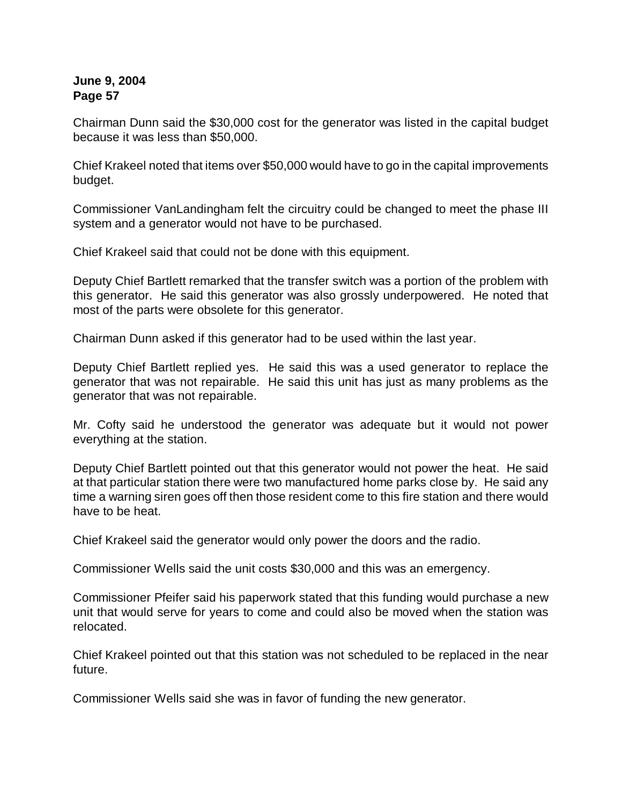Chairman Dunn said the \$30,000 cost for the generator was listed in the capital budget because it was less than \$50,000.

Chief Krakeel noted that items over \$50,000 would have to go in the capital improvements budget.

Commissioner VanLandingham felt the circuitry could be changed to meet the phase III system and a generator would not have to be purchased.

Chief Krakeel said that could not be done with this equipment.

Deputy Chief Bartlett remarked that the transfer switch was a portion of the problem with this generator. He said this generator was also grossly underpowered. He noted that most of the parts were obsolete for this generator.

Chairman Dunn asked if this generator had to be used within the last year.

Deputy Chief Bartlett replied yes. He said this was a used generator to replace the generator that was not repairable. He said this unit has just as many problems as the generator that was not repairable.

Mr. Cofty said he understood the generator was adequate but it would not power everything at the station.

Deputy Chief Bartlett pointed out that this generator would not power the heat. He said at that particular station there were two manufactured home parks close by. He said any time a warning siren goes off then those resident come to this fire station and there would have to be heat.

Chief Krakeel said the generator would only power the doors and the radio.

Commissioner Wells said the unit costs \$30,000 and this was an emergency.

Commissioner Pfeifer said his paperwork stated that this funding would purchase a new unit that would serve for years to come and could also be moved when the station was relocated.

Chief Krakeel pointed out that this station was not scheduled to be replaced in the near future.

Commissioner Wells said she was in favor of funding the new generator.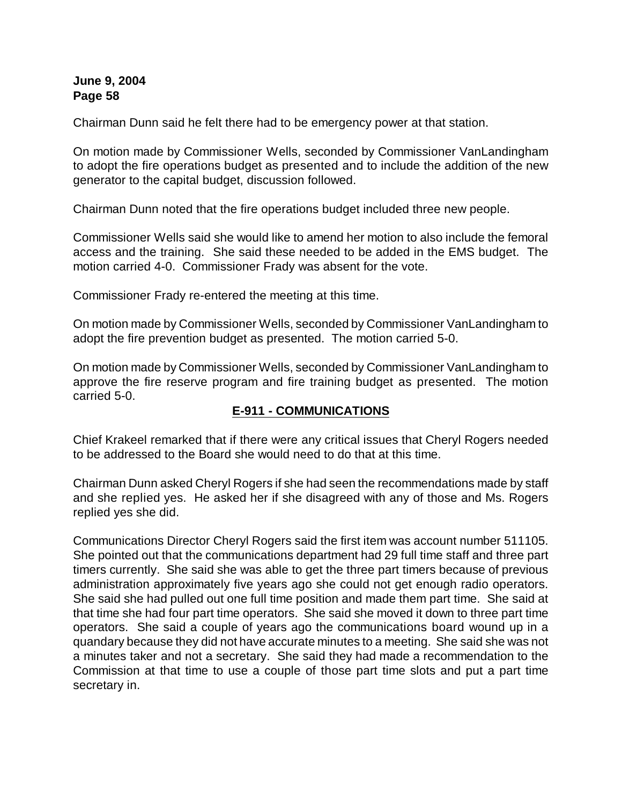Chairman Dunn said he felt there had to be emergency power at that station.

On motion made by Commissioner Wells, seconded by Commissioner VanLandingham to adopt the fire operations budget as presented and to include the addition of the new generator to the capital budget, discussion followed.

Chairman Dunn noted that the fire operations budget included three new people.

Commissioner Wells said she would like to amend her motion to also include the femoral access and the training. She said these needed to be added in the EMS budget. The motion carried 4-0. Commissioner Frady was absent for the vote.

Commissioner Frady re-entered the meeting at this time.

On motion made by Commissioner Wells, seconded by Commissioner VanLandingham to adopt the fire prevention budget as presented. The motion carried 5-0.

On motion made by Commissioner Wells, seconded by Commissioner VanLandingham to approve the fire reserve program and fire training budget as presented. The motion carried 5-0.

# **E-911 - COMMUNICATIONS**

Chief Krakeel remarked that if there were any critical issues that Cheryl Rogers needed to be addressed to the Board she would need to do that at this time.

Chairman Dunn asked Cheryl Rogers if she had seen the recommendations made by staff and she replied yes. He asked her if she disagreed with any of those and Ms. Rogers replied yes she did.

Communications Director Cheryl Rogers said the first item was account number 511105. She pointed out that the communications department had 29 full time staff and three part timers currently. She said she was able to get the three part timers because of previous administration approximately five years ago she could not get enough radio operators. She said she had pulled out one full time position and made them part time. She said at that time she had four part time operators. She said she moved it down to three part time operators. She said a couple of years ago the communications board wound up in a quandary because they did not have accurate minutes to a meeting. She said she was not a minutes taker and not a secretary. She said they had made a recommendation to the Commission at that time to use a couple of those part time slots and put a part time secretary in.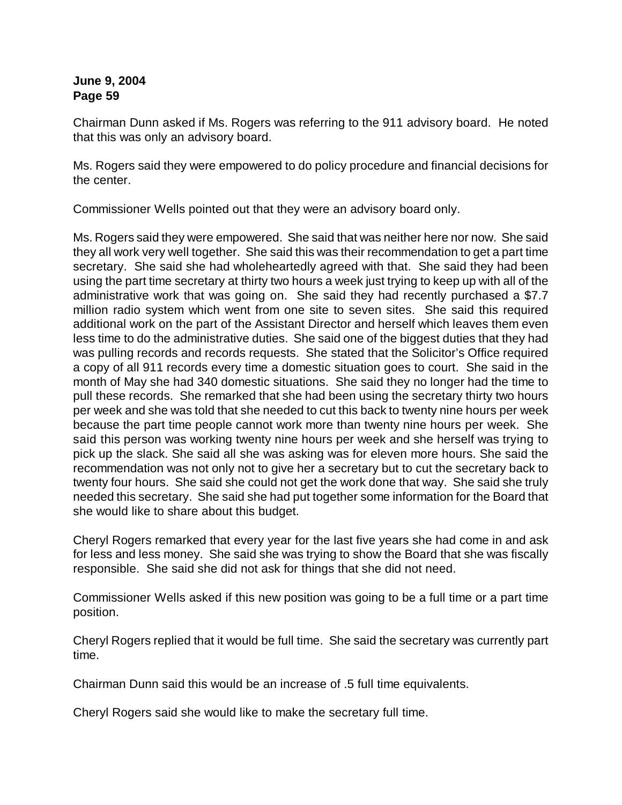Chairman Dunn asked if Ms. Rogers was referring to the 911 advisory board. He noted that this was only an advisory board.

Ms. Rogers said they were empowered to do policy procedure and financial decisions for the center.

Commissioner Wells pointed out that they were an advisory board only.

Ms. Rogers said they were empowered. She said that was neither here nor now. She said they all work very well together. She said this was their recommendation to get a part time secretary. She said she had wholeheartedly agreed with that. She said they had been using the part time secretary at thirty two hours a week just trying to keep up with all of the administrative work that was going on. She said they had recently purchased a \$7.7 million radio system which went from one site to seven sites. She said this required additional work on the part of the Assistant Director and herself which leaves them even less time to do the administrative duties. She said one of the biggest duties that they had was pulling records and records requests. She stated that the Solicitor's Office required a copy of all 911 records every time a domestic situation goes to court. She said in the month of May she had 340 domestic situations. She said they no longer had the time to pull these records. She remarked that she had been using the secretary thirty two hours per week and she was told that she needed to cut this back to twenty nine hours per week because the part time people cannot work more than twenty nine hours per week. She said this person was working twenty nine hours per week and she herself was trying to pick up the slack. She said all she was asking was for eleven more hours. She said the recommendation was not only not to give her a secretary but to cut the secretary back to twenty four hours. She said she could not get the work done that way. She said she truly needed this secretary. She said she had put together some information for the Board that she would like to share about this budget.

Cheryl Rogers remarked that every year for the last five years she had come in and ask for less and less money. She said she was trying to show the Board that she was fiscally responsible. She said she did not ask for things that she did not need.

Commissioner Wells asked if this new position was going to be a full time or a part time position.

Cheryl Rogers replied that it would be full time. She said the secretary was currently part time.

Chairman Dunn said this would be an increase of .5 full time equivalents.

Cheryl Rogers said she would like to make the secretary full time.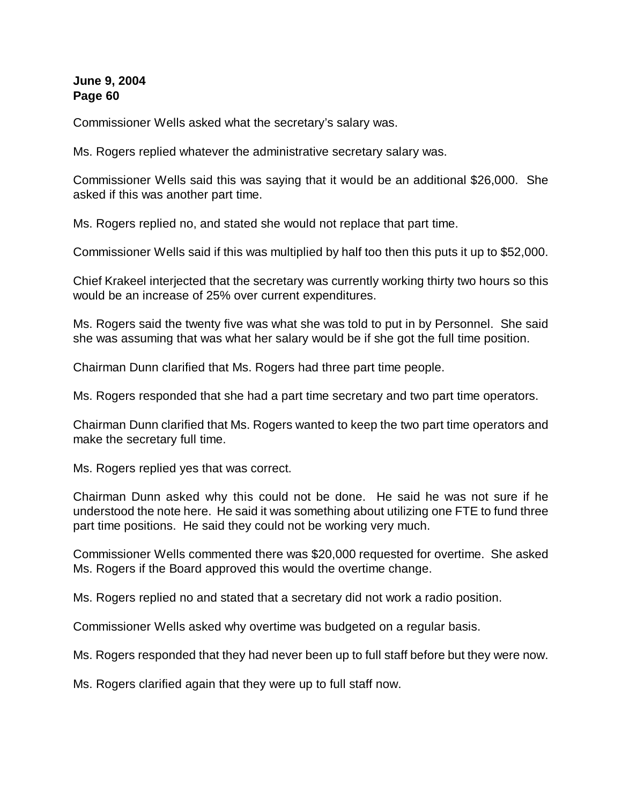Commissioner Wells asked what the secretary's salary was.

Ms. Rogers replied whatever the administrative secretary salary was.

Commissioner Wells said this was saying that it would be an additional \$26,000. She asked if this was another part time.

Ms. Rogers replied no, and stated she would not replace that part time.

Commissioner Wells said if this was multiplied by half too then this puts it up to \$52,000.

Chief Krakeel interjected that the secretary was currently working thirty two hours so this would be an increase of 25% over current expenditures.

Ms. Rogers said the twenty five was what she was told to put in by Personnel. She said she was assuming that was what her salary would be if she got the full time position.

Chairman Dunn clarified that Ms. Rogers had three part time people.

Ms. Rogers responded that she had a part time secretary and two part time operators.

Chairman Dunn clarified that Ms. Rogers wanted to keep the two part time operators and make the secretary full time.

Ms. Rogers replied yes that was correct.

Chairman Dunn asked why this could not be done. He said he was not sure if he understood the note here. He said it was something about utilizing one FTE to fund three part time positions. He said they could not be working very much.

Commissioner Wells commented there was \$20,000 requested for overtime. She asked Ms. Rogers if the Board approved this would the overtime change.

Ms. Rogers replied no and stated that a secretary did not work a radio position.

Commissioner Wells asked why overtime was budgeted on a regular basis.

Ms. Rogers responded that they had never been up to full staff before but they were now.

Ms. Rogers clarified again that they were up to full staff now.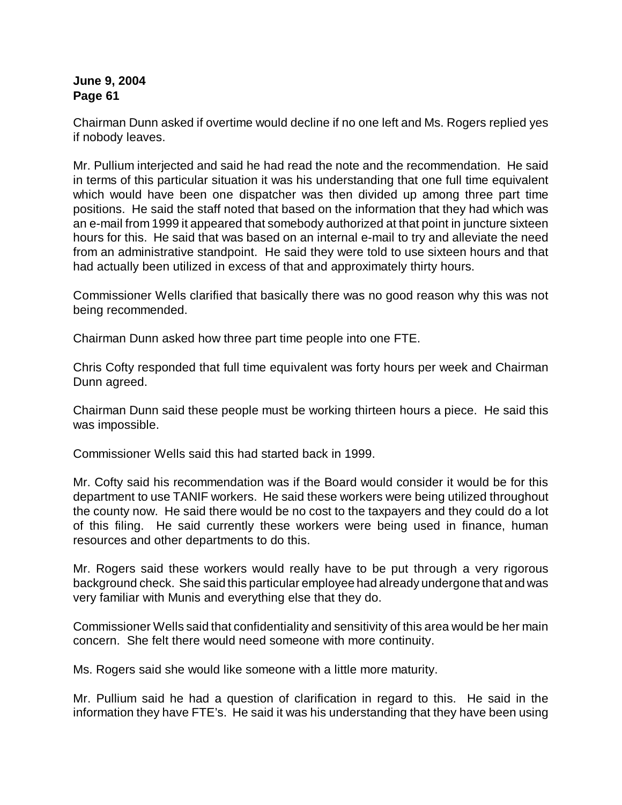Chairman Dunn asked if overtime would decline if no one left and Ms. Rogers replied yes if nobody leaves.

Mr. Pullium interjected and said he had read the note and the recommendation. He said in terms of this particular situation it was his understanding that one full time equivalent which would have been one dispatcher was then divided up among three part time positions. He said the staff noted that based on the information that they had which was an e-mail from 1999 it appeared that somebody authorized at that point in juncture sixteen hours for this. He said that was based on an internal e-mail to try and alleviate the need from an administrative standpoint. He said they were told to use sixteen hours and that had actually been utilized in excess of that and approximately thirty hours.

Commissioner Wells clarified that basically there was no good reason why this was not being recommended.

Chairman Dunn asked how three part time people into one FTE.

Chris Cofty responded that full time equivalent was forty hours per week and Chairman Dunn agreed.

Chairman Dunn said these people must be working thirteen hours a piece. He said this was impossible.

Commissioner Wells said this had started back in 1999.

Mr. Cofty said his recommendation was if the Board would consider it would be for this department to use TANIF workers. He said these workers were being utilized throughout the county now. He said there would be no cost to the taxpayers and they could do a lot of this filing. He said currently these workers were being used in finance, human resources and other departments to do this.

Mr. Rogers said these workers would really have to be put through a very rigorous background check. She said this particular employee had already undergone that and was very familiar with Munis and everything else that they do.

Commissioner Wells said that confidentiality and sensitivity of this area would be her main concern. She felt there would need someone with more continuity.

Ms. Rogers said she would like someone with a little more maturity.

Mr. Pullium said he had a question of clarification in regard to this. He said in the information they have FTE's. He said it was his understanding that they have been using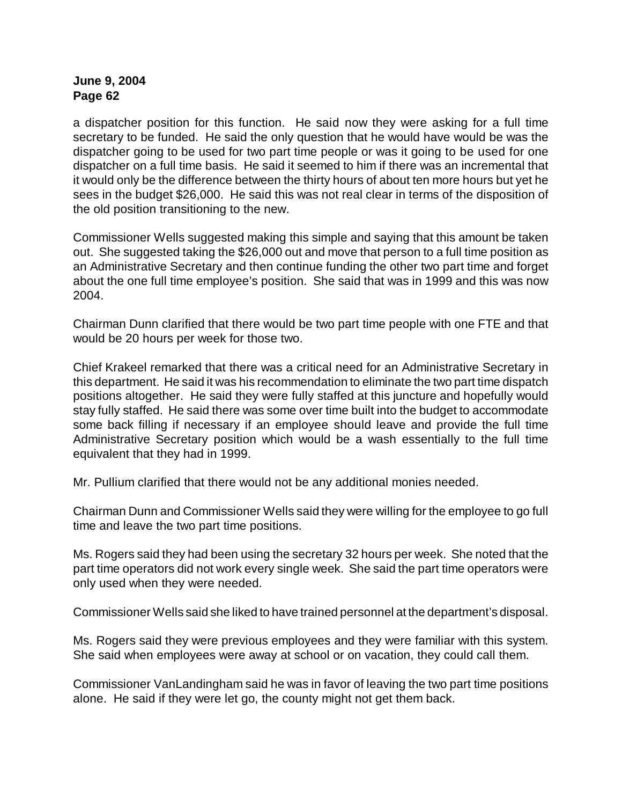a dispatcher position for this function. He said now they were asking for a full time secretary to be funded. He said the only question that he would have would be was the dispatcher going to be used for two part time people or was it going to be used for one dispatcher on a full time basis. He said it seemed to him if there was an incremental that it would only be the difference between the thirty hours of about ten more hours but yet he sees in the budget \$26,000. He said this was not real clear in terms of the disposition of the old position transitioning to the new.

Commissioner Wells suggested making this simple and saying that this amount be taken out. She suggested taking the \$26,000 out and move that person to a full time position as an Administrative Secretary and then continue funding the other two part time and forget about the one full time employee's position. She said that was in 1999 and this was now 2004.

Chairman Dunn clarified that there would be two part time people with one FTE and that would be 20 hours per week for those two.

Chief Krakeel remarked that there was a critical need for an Administrative Secretary in this department. He said it was his recommendation to eliminate the two part time dispatch positions altogether. He said they were fully staffed at this juncture and hopefully would stay fully staffed. He said there was some over time built into the budget to accommodate some back filling if necessary if an employee should leave and provide the full time Administrative Secretary position which would be a wash essentially to the full time equivalent that they had in 1999.

Mr. Pullium clarified that there would not be any additional monies needed.

Chairman Dunn and Commissioner Wells said they were willing for the employee to go full time and leave the two part time positions.

Ms. Rogers said they had been using the secretary 32 hours per week. She noted that the part time operators did not work every single week. She said the part time operators were only used when they were needed.

Commissioner Wells said she liked to have trained personnel at the department's disposal.

Ms. Rogers said they were previous employees and they were familiar with this system. She said when employees were away at school or on vacation, they could call them.

Commissioner VanLandingham said he was in favor of leaving the two part time positions alone. He said if they were let go, the county might not get them back.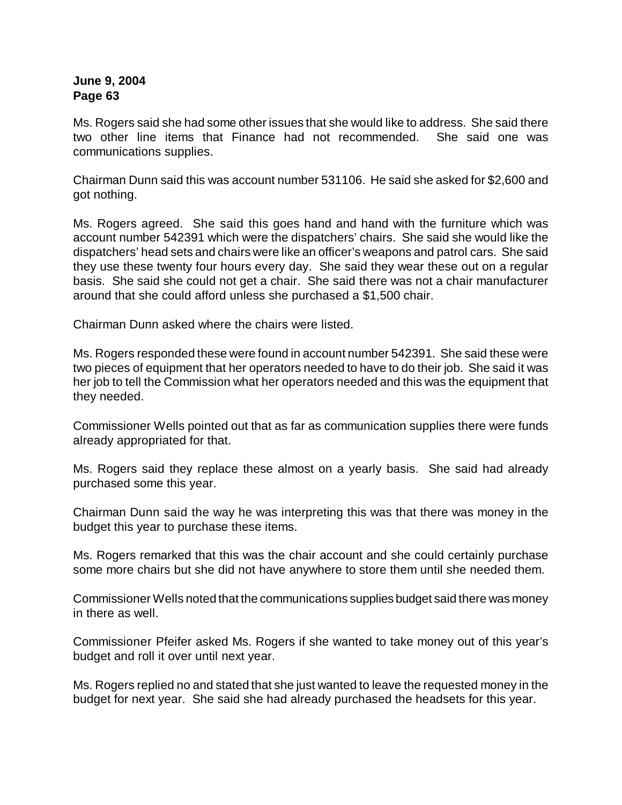Ms. Rogers said she had some other issues that she would like to address. She said there two other line items that Finance had not recommended. She said one was communications supplies.

Chairman Dunn said this was account number 531106. He said she asked for \$2,600 and got nothing.

Ms. Rogers agreed. She said this goes hand and hand with the furniture which was account number 542391 which were the dispatchers' chairs. She said she would like the dispatchers' head sets and chairs were like an officer's weapons and patrol cars. She said they use these twenty four hours every day. She said they wear these out on a regular basis. She said she could not get a chair. She said there was not a chair manufacturer around that she could afford unless she purchased a \$1,500 chair.

Chairman Dunn asked where the chairs were listed.

Ms. Rogers responded these were found in account number 542391. She said these were two pieces of equipment that her operators needed to have to do their job. She said it was her job to tell the Commission what her operators needed and this was the equipment that they needed.

Commissioner Wells pointed out that as far as communication supplies there were funds already appropriated for that.

Ms. Rogers said they replace these almost on a yearly basis. She said had already purchased some this year.

Chairman Dunn said the way he was interpreting this was that there was money in the budget this year to purchase these items.

Ms. Rogers remarked that this was the chair account and she could certainly purchase some more chairs but she did not have anywhere to store them until she needed them.

Commissioner Wells noted that the communications supplies budget said there was money in there as well.

Commissioner Pfeifer asked Ms. Rogers if she wanted to take money out of this year's budget and roll it over until next year.

Ms. Rogers replied no and stated that she just wanted to leave the requested money in the budget for next year. She said she had already purchased the headsets for this year.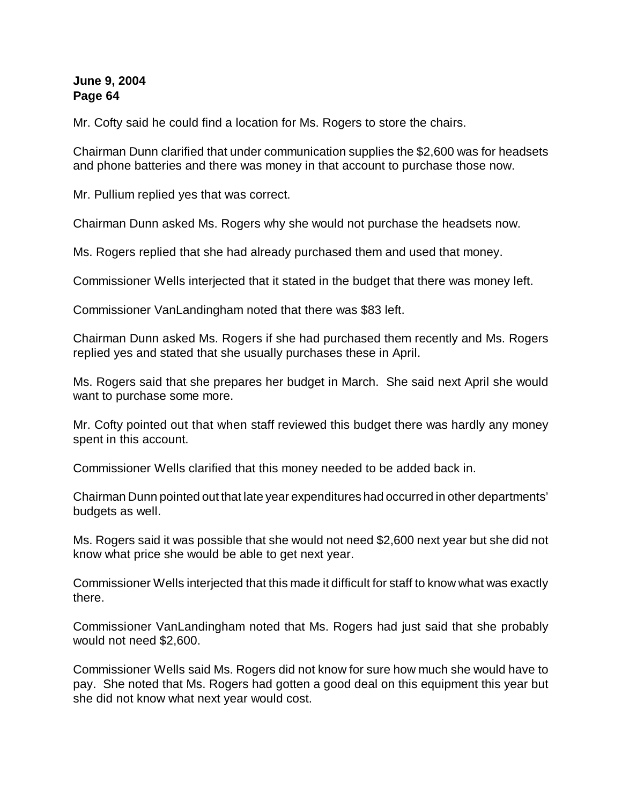Mr. Cofty said he could find a location for Ms. Rogers to store the chairs.

Chairman Dunn clarified that under communication supplies the \$2,600 was for headsets and phone batteries and there was money in that account to purchase those now.

Mr. Pullium replied yes that was correct.

Chairman Dunn asked Ms. Rogers why she would not purchase the headsets now.

Ms. Rogers replied that she had already purchased them and used that money.

Commissioner Wells interjected that it stated in the budget that there was money left.

Commissioner VanLandingham noted that there was \$83 left.

Chairman Dunn asked Ms. Rogers if she had purchased them recently and Ms. Rogers replied yes and stated that she usually purchases these in April.

Ms. Rogers said that she prepares her budget in March. She said next April she would want to purchase some more.

Mr. Cofty pointed out that when staff reviewed this budget there was hardly any money spent in this account.

Commissioner Wells clarified that this money needed to be added back in.

Chairman Dunn pointed out that late year expenditures had occurred in other departments' budgets as well.

Ms. Rogers said it was possible that she would not need \$2,600 next year but she did not know what price she would be able to get next year.

Commissioner Wells interjected that this made it difficult for staff to know what was exactly there.

Commissioner VanLandingham noted that Ms. Rogers had just said that she probably would not need \$2,600.

Commissioner Wells said Ms. Rogers did not know for sure how much she would have to pay. She noted that Ms. Rogers had gotten a good deal on this equipment this year but she did not know what next year would cost.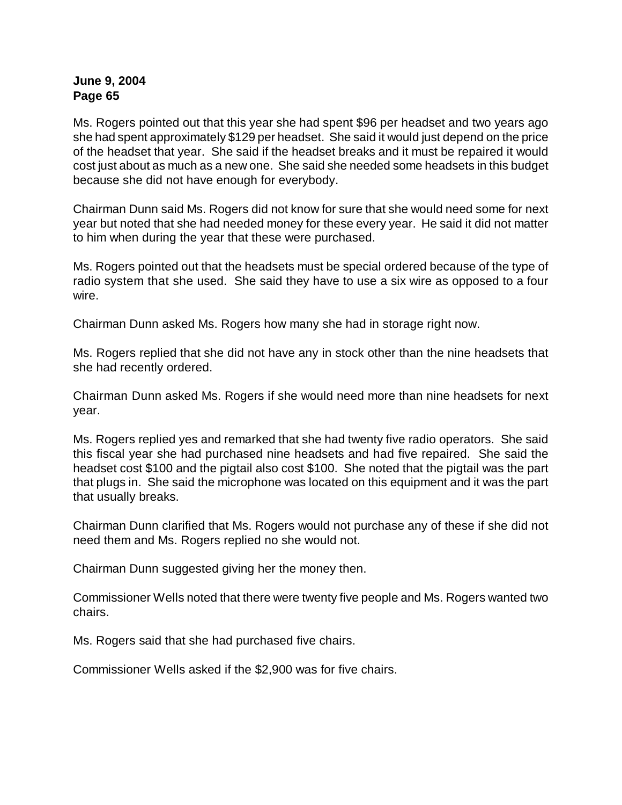Ms. Rogers pointed out that this year she had spent \$96 per headset and two years ago she had spent approximately \$129 per headset. She said it would just depend on the price of the headset that year. She said if the headset breaks and it must be repaired it would cost just about as much as a new one. She said she needed some headsets in this budget because she did not have enough for everybody.

Chairman Dunn said Ms. Rogers did not know for sure that she would need some for next year but noted that she had needed money for these every year. He said it did not matter to him when during the year that these were purchased.

Ms. Rogers pointed out that the headsets must be special ordered because of the type of radio system that she used. She said they have to use a six wire as opposed to a four wire.

Chairman Dunn asked Ms. Rogers how many she had in storage right now.

Ms. Rogers replied that she did not have any in stock other than the nine headsets that she had recently ordered.

Chairman Dunn asked Ms. Rogers if she would need more than nine headsets for next year.

Ms. Rogers replied yes and remarked that she had twenty five radio operators. She said this fiscal year she had purchased nine headsets and had five repaired. She said the headset cost \$100 and the pigtail also cost \$100. She noted that the pigtail was the part that plugs in. She said the microphone was located on this equipment and it was the part that usually breaks.

Chairman Dunn clarified that Ms. Rogers would not purchase any of these if she did not need them and Ms. Rogers replied no she would not.

Chairman Dunn suggested giving her the money then.

Commissioner Wells noted that there were twenty five people and Ms. Rogers wanted two chairs.

Ms. Rogers said that she had purchased five chairs.

Commissioner Wells asked if the \$2,900 was for five chairs.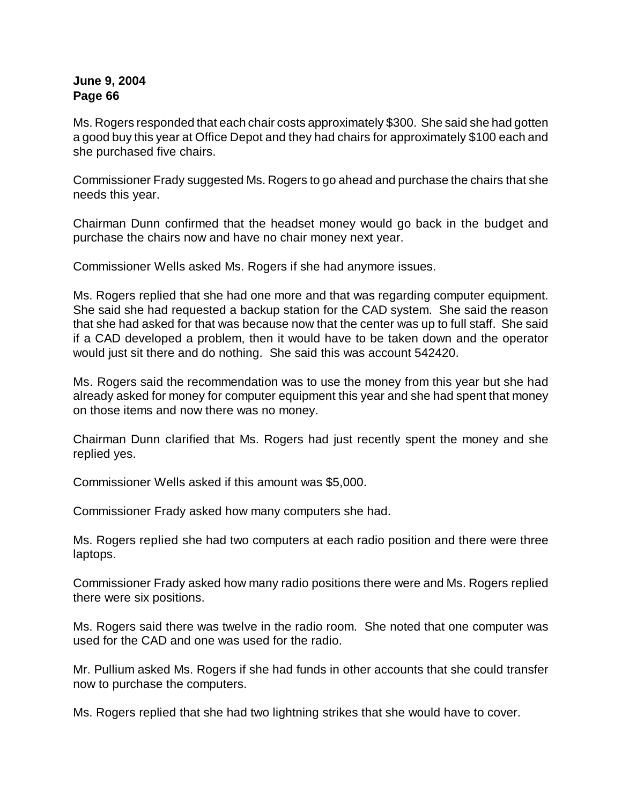Ms. Rogers responded that each chair costs approximately \$300. She said she had gotten a good buy this year at Office Depot and they had chairs for approximately \$100 each and she purchased five chairs.

Commissioner Frady suggested Ms. Rogers to go ahead and purchase the chairs that she needs this year.

Chairman Dunn confirmed that the headset money would go back in the budget and purchase the chairs now and have no chair money next year.

Commissioner Wells asked Ms. Rogers if she had anymore issues.

Ms. Rogers replied that she had one more and that was regarding computer equipment. She said she had requested a backup station for the CAD system. She said the reason that she had asked for that was because now that the center was up to full staff. She said if a CAD developed a problem, then it would have to be taken down and the operator would just sit there and do nothing. She said this was account 542420.

Ms. Rogers said the recommendation was to use the money from this year but she had already asked for money for computer equipment this year and she had spent that money on those items and now there was no money.

Chairman Dunn clarified that Ms. Rogers had just recently spent the money and she replied yes.

Commissioner Wells asked if this amount was \$5,000.

Commissioner Frady asked how many computers she had.

Ms. Rogers replied she had two computers at each radio position and there were three laptops.

Commissioner Frady asked how many radio positions there were and Ms. Rogers replied there were six positions.

Ms. Rogers said there was twelve in the radio room. She noted that one computer was used for the CAD and one was used for the radio.

Mr. Pullium asked Ms. Rogers if she had funds in other accounts that she could transfer now to purchase the computers.

Ms. Rogers replied that she had two lightning strikes that she would have to cover.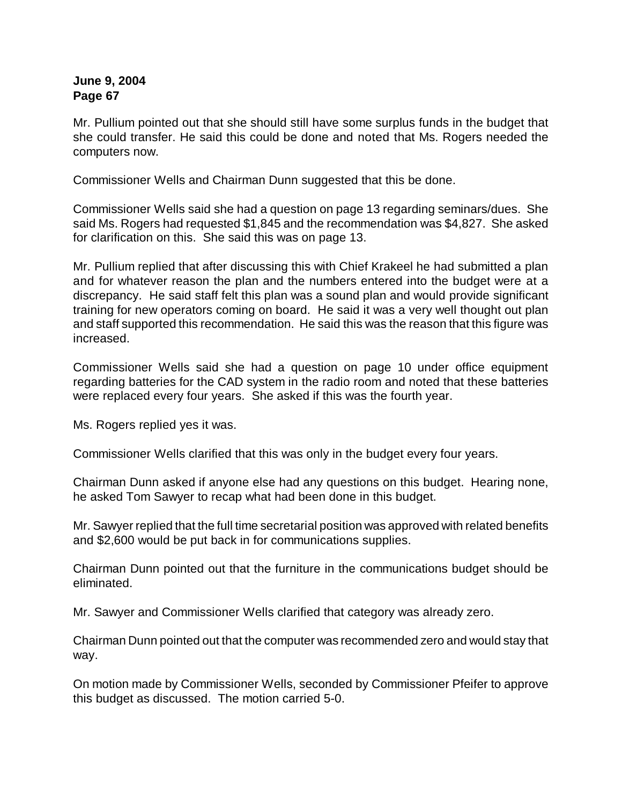Mr. Pullium pointed out that she should still have some surplus funds in the budget that she could transfer. He said this could be done and noted that Ms. Rogers needed the computers now.

Commissioner Wells and Chairman Dunn suggested that this be done.

Commissioner Wells said she had a question on page 13 regarding seminars/dues. She said Ms. Rogers had requested \$1,845 and the recommendation was \$4,827. She asked for clarification on this. She said this was on page 13.

Mr. Pullium replied that after discussing this with Chief Krakeel he had submitted a plan and for whatever reason the plan and the numbers entered into the budget were at a discrepancy. He said staff felt this plan was a sound plan and would provide significant training for new operators coming on board. He said it was a very well thought out plan and staff supported this recommendation. He said this was the reason that this figure was increased.

Commissioner Wells said she had a question on page 10 under office equipment regarding batteries for the CAD system in the radio room and noted that these batteries were replaced every four years. She asked if this was the fourth year.

Ms. Rogers replied yes it was.

Commissioner Wells clarified that this was only in the budget every four years.

Chairman Dunn asked if anyone else had any questions on this budget. Hearing none, he asked Tom Sawyer to recap what had been done in this budget.

Mr. Sawyer replied that the full time secretarial position was approved with related benefits and \$2,600 would be put back in for communications supplies.

Chairman Dunn pointed out that the furniture in the communications budget should be eliminated.

Mr. Sawyer and Commissioner Wells clarified that category was already zero.

Chairman Dunn pointed out that the computer was recommended zero and would stay that way.

On motion made by Commissioner Wells, seconded by Commissioner Pfeifer to approve this budget as discussed. The motion carried 5-0.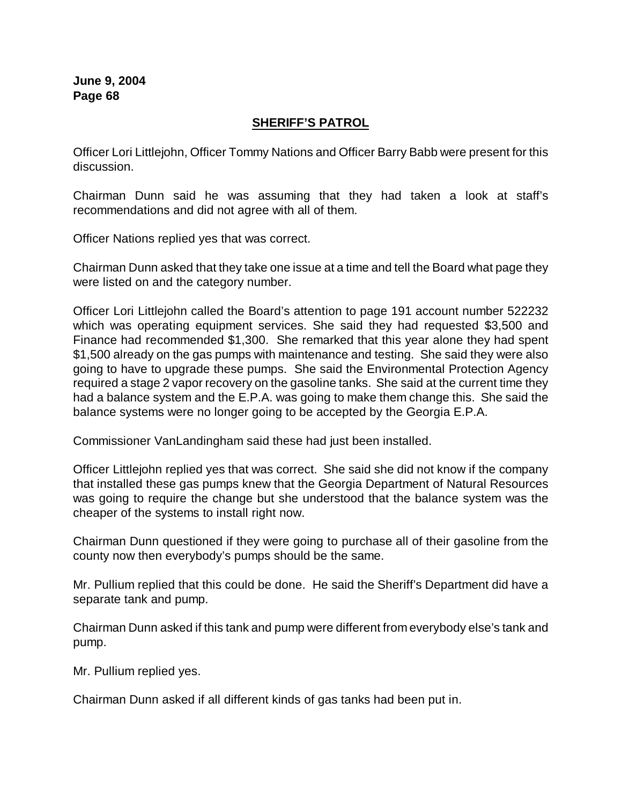## **SHERIFF'S PATROL**

Officer Lori Littlejohn, Officer Tommy Nations and Officer Barry Babb were present for this discussion.

Chairman Dunn said he was assuming that they had taken a look at staff's recommendations and did not agree with all of them.

Officer Nations replied yes that was correct.

Chairman Dunn asked that they take one issue at a time and tell the Board what page they were listed on and the category number.

Officer Lori Littlejohn called the Board's attention to page 191 account number 522232 which was operating equipment services. She said they had requested \$3,500 and Finance had recommended \$1,300. She remarked that this year alone they had spent \$1,500 already on the gas pumps with maintenance and testing. She said they were also going to have to upgrade these pumps. She said the Environmental Protection Agency required a stage 2 vapor recovery on the gasoline tanks. She said at the current time they had a balance system and the E.P.A. was going to make them change this. She said the balance systems were no longer going to be accepted by the Georgia E.P.A.

Commissioner VanLandingham said these had just been installed.

Officer Littlejohn replied yes that was correct. She said she did not know if the company that installed these gas pumps knew that the Georgia Department of Natural Resources was going to require the change but she understood that the balance system was the cheaper of the systems to install right now.

Chairman Dunn questioned if they were going to purchase all of their gasoline from the county now then everybody's pumps should be the same.

Mr. Pullium replied that this could be done. He said the Sheriff's Department did have a separate tank and pump.

Chairman Dunn asked if this tank and pump were different from everybody else's tank and pump.

Mr. Pullium replied yes.

Chairman Dunn asked if all different kinds of gas tanks had been put in.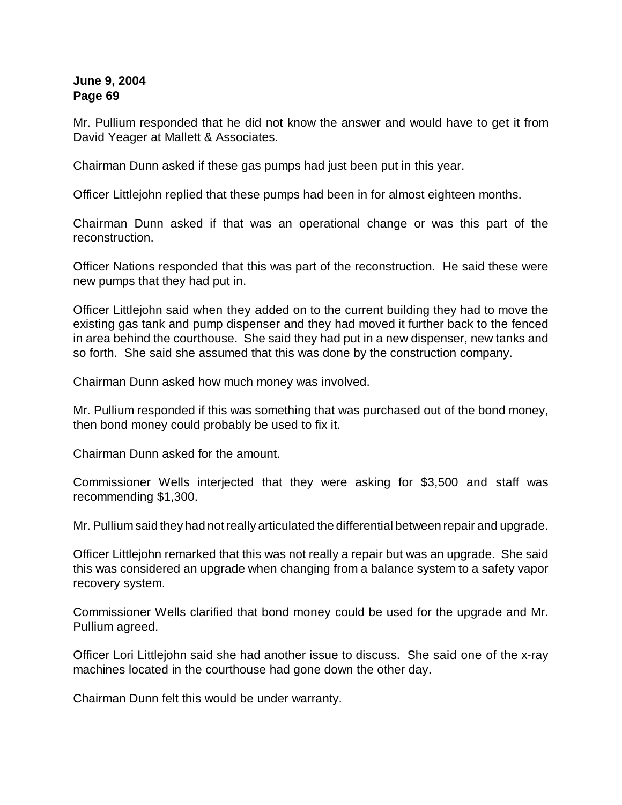Mr. Pullium responded that he did not know the answer and would have to get it from David Yeager at Mallett & Associates.

Chairman Dunn asked if these gas pumps had just been put in this year.

Officer Littlejohn replied that these pumps had been in for almost eighteen months.

Chairman Dunn asked if that was an operational change or was this part of the reconstruction.

Officer Nations responded that this was part of the reconstruction. He said these were new pumps that they had put in.

Officer Littlejohn said when they added on to the current building they had to move the existing gas tank and pump dispenser and they had moved it further back to the fenced in area behind the courthouse. She said they had put in a new dispenser, new tanks and so forth. She said she assumed that this was done by the construction company.

Chairman Dunn asked how much money was involved.

Mr. Pullium responded if this was something that was purchased out of the bond money, then bond money could probably be used to fix it.

Chairman Dunn asked for the amount.

Commissioner Wells interjected that they were asking for \$3,500 and staff was recommending \$1,300.

Mr. Pullium said they had not really articulated the differential between repair and upgrade.

Officer Littlejohn remarked that this was not really a repair but was an upgrade. She said this was considered an upgrade when changing from a balance system to a safety vapor recovery system.

Commissioner Wells clarified that bond money could be used for the upgrade and Mr. Pullium agreed.

Officer Lori Littlejohn said she had another issue to discuss. She said one of the x-ray machines located in the courthouse had gone down the other day.

Chairman Dunn felt this would be under warranty.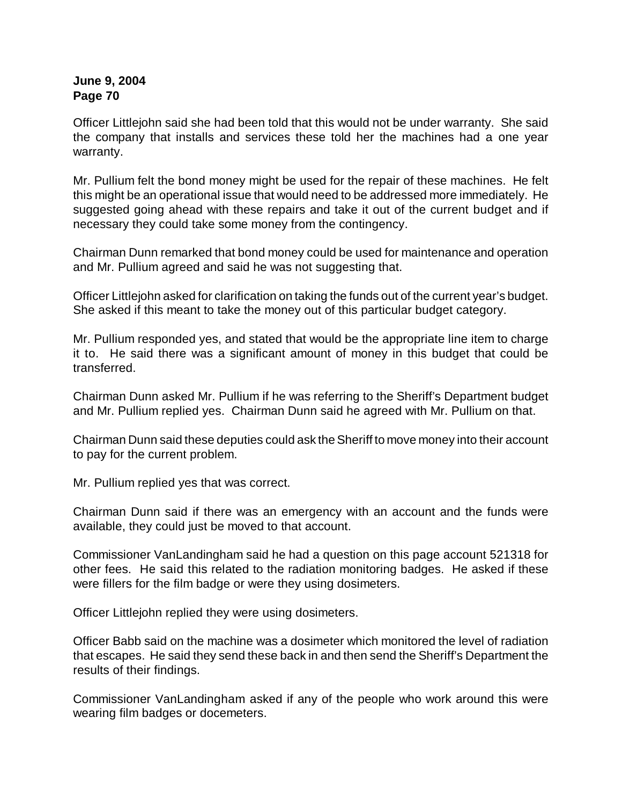Officer Littlejohn said she had been told that this would not be under warranty. She said the company that installs and services these told her the machines had a one year warranty.

Mr. Pullium felt the bond money might be used for the repair of these machines. He felt this might be an operational issue that would need to be addressed more immediately. He suggested going ahead with these repairs and take it out of the current budget and if necessary they could take some money from the contingency.

Chairman Dunn remarked that bond money could be used for maintenance and operation and Mr. Pullium agreed and said he was not suggesting that.

Officer Littlejohn asked for clarification on taking the funds out of the current year's budget. She asked if this meant to take the money out of this particular budget category.

Mr. Pullium responded yes, and stated that would be the appropriate line item to charge it to. He said there was a significant amount of money in this budget that could be transferred.

Chairman Dunn asked Mr. Pullium if he was referring to the Sheriff's Department budget and Mr. Pullium replied yes. Chairman Dunn said he agreed with Mr. Pullium on that.

Chairman Dunn said these deputies could ask the Sheriff to move money into their account to pay for the current problem.

Mr. Pullium replied yes that was correct.

Chairman Dunn said if there was an emergency with an account and the funds were available, they could just be moved to that account.

Commissioner VanLandingham said he had a question on this page account 521318 for other fees. He said this related to the radiation monitoring badges. He asked if these were fillers for the film badge or were they using dosimeters.

Officer Littlejohn replied they were using dosimeters.

Officer Babb said on the machine was a dosimeter which monitored the level of radiation that escapes. He said they send these back in and then send the Sheriff's Department the results of their findings.

Commissioner VanLandingham asked if any of the people who work around this were wearing film badges or docemeters.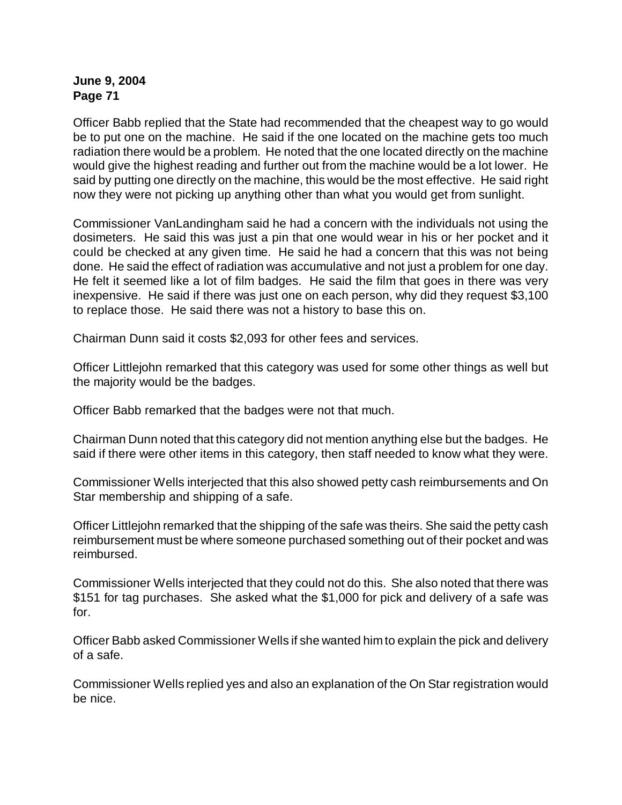Officer Babb replied that the State had recommended that the cheapest way to go would be to put one on the machine. He said if the one located on the machine gets too much radiation there would be a problem. He noted that the one located directly on the machine would give the highest reading and further out from the machine would be a lot lower. He said by putting one directly on the machine, this would be the most effective. He said right now they were not picking up anything other than what you would get from sunlight.

Commissioner VanLandingham said he had a concern with the individuals not using the dosimeters. He said this was just a pin that one would wear in his or her pocket and it could be checked at any given time. He said he had a concern that this was not being done. He said the effect of radiation was accumulative and not just a problem for one day. He felt it seemed like a lot of film badges. He said the film that goes in there was very inexpensive. He said if there was just one on each person, why did they request \$3,100 to replace those. He said there was not a history to base this on.

Chairman Dunn said it costs \$2,093 for other fees and services.

Officer Littlejohn remarked that this category was used for some other things as well but the majority would be the badges.

Officer Babb remarked that the badges were not that much.

Chairman Dunn noted that this category did not mention anything else but the badges. He said if there were other items in this category, then staff needed to know what they were.

Commissioner Wells interjected that this also showed petty cash reimbursements and On Star membership and shipping of a safe.

Officer Littlejohn remarked that the shipping of the safe was theirs. She said the petty cash reimbursement must be where someone purchased something out of their pocket and was reimbursed.

Commissioner Wells interjected that they could not do this. She also noted that there was \$151 for tag purchases. She asked what the \$1,000 for pick and delivery of a safe was for.

Officer Babb asked Commissioner Wells if she wanted him to explain the pick and delivery of a safe.

Commissioner Wells replied yes and also an explanation of the On Star registration would be nice.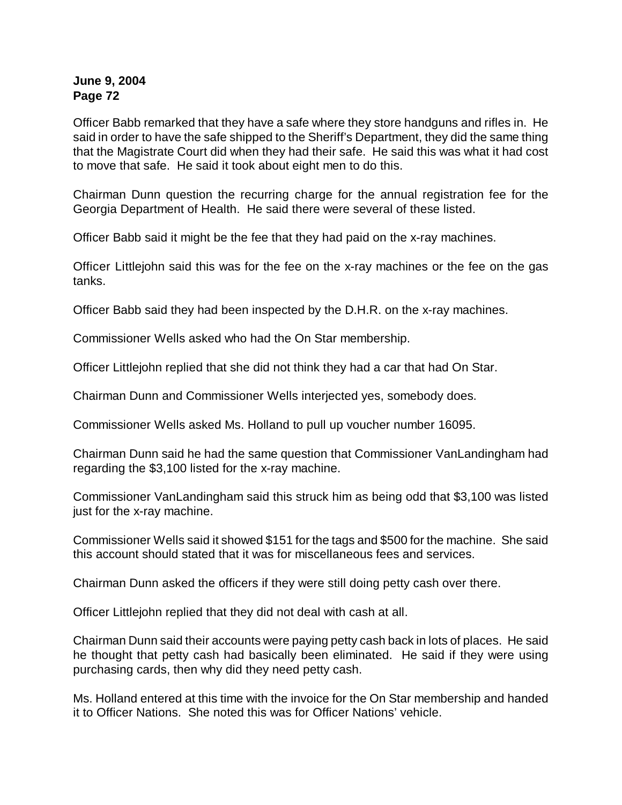Officer Babb remarked that they have a safe where they store handguns and rifles in. He said in order to have the safe shipped to the Sheriff's Department, they did the same thing that the Magistrate Court did when they had their safe. He said this was what it had cost to move that safe. He said it took about eight men to do this.

Chairman Dunn question the recurring charge for the annual registration fee for the Georgia Department of Health. He said there were several of these listed.

Officer Babb said it might be the fee that they had paid on the x-ray machines.

Officer Littlejohn said this was for the fee on the x-ray machines or the fee on the gas tanks.

Officer Babb said they had been inspected by the D.H.R. on the x-ray machines.

Commissioner Wells asked who had the On Star membership.

Officer Littlejohn replied that she did not think they had a car that had On Star.

Chairman Dunn and Commissioner Wells interjected yes, somebody does.

Commissioner Wells asked Ms. Holland to pull up voucher number 16095.

Chairman Dunn said he had the same question that Commissioner VanLandingham had regarding the \$3,100 listed for the x-ray machine.

Commissioner VanLandingham said this struck him as being odd that \$3,100 was listed just for the x-ray machine.

Commissioner Wells said it showed \$151 for the tags and \$500 for the machine. She said this account should stated that it was for miscellaneous fees and services.

Chairman Dunn asked the officers if they were still doing petty cash over there.

Officer Littlejohn replied that they did not deal with cash at all.

Chairman Dunn said their accounts were paying petty cash back in lots of places. He said he thought that petty cash had basically been eliminated. He said if they were using purchasing cards, then why did they need petty cash.

Ms. Holland entered at this time with the invoice for the On Star membership and handed it to Officer Nations. She noted this was for Officer Nations' vehicle.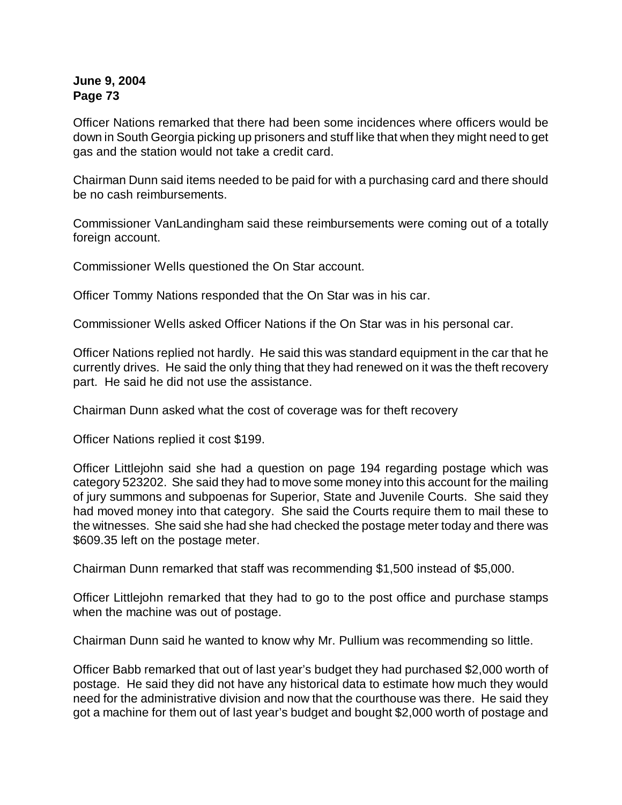Officer Nations remarked that there had been some incidences where officers would be down in South Georgia picking up prisoners and stuff like that when they might need to get gas and the station would not take a credit card.

Chairman Dunn said items needed to be paid for with a purchasing card and there should be no cash reimbursements.

Commissioner VanLandingham said these reimbursements were coming out of a totally foreign account.

Commissioner Wells questioned the On Star account.

Officer Tommy Nations responded that the On Star was in his car.

Commissioner Wells asked Officer Nations if the On Star was in his personal car.

Officer Nations replied not hardly. He said this was standard equipment in the car that he currently drives. He said the only thing that they had renewed on it was the theft recovery part. He said he did not use the assistance.

Chairman Dunn asked what the cost of coverage was for theft recovery

Officer Nations replied it cost \$199.

Officer Littlejohn said she had a question on page 194 regarding postage which was category 523202. She said they had to move some money into this account for the mailing of jury summons and subpoenas for Superior, State and Juvenile Courts. She said they had moved money into that category. She said the Courts require them to mail these to the witnesses. She said she had she had checked the postage meter today and there was \$609.35 left on the postage meter.

Chairman Dunn remarked that staff was recommending \$1,500 instead of \$5,000.

Officer Littlejohn remarked that they had to go to the post office and purchase stamps when the machine was out of postage.

Chairman Dunn said he wanted to know why Mr. Pullium was recommending so little.

Officer Babb remarked that out of last year's budget they had purchased \$2,000 worth of postage. He said they did not have any historical data to estimate how much they would need for the administrative division and now that the courthouse was there. He said they got a machine for them out of last year's budget and bought \$2,000 worth of postage and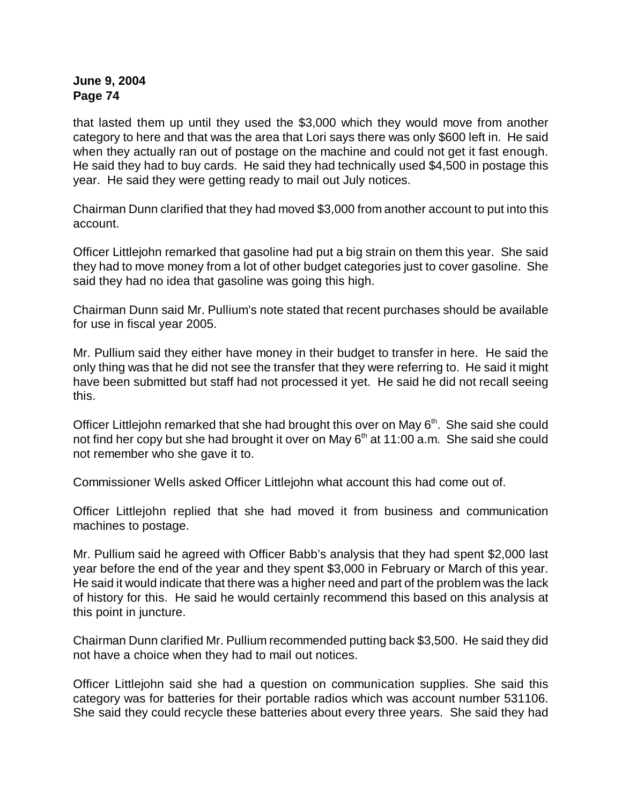that lasted them up until they used the \$3,000 which they would move from another category to here and that was the area that Lori says there was only \$600 left in. He said when they actually ran out of postage on the machine and could not get it fast enough. He said they had to buy cards. He said they had technically used \$4,500 in postage this year. He said they were getting ready to mail out July notices.

Chairman Dunn clarified that they had moved \$3,000 from another account to put into this account.

Officer Littlejohn remarked that gasoline had put a big strain on them this year. She said they had to move money from a lot of other budget categories just to cover gasoline. She said they had no idea that gasoline was going this high.

Chairman Dunn said Mr. Pullium's note stated that recent purchases should be available for use in fiscal year 2005.

Mr. Pullium said they either have money in their budget to transfer in here. He said the only thing was that he did not see the transfer that they were referring to. He said it might have been submitted but staff had not processed it yet. He said he did not recall seeing this.

Officer Littlejohn remarked that she had brought this over on May  $6<sup>th</sup>$ . She said she could not find her copy but she had brought it over on May  $6<sup>th</sup>$  at 11:00 a.m. She said she could not remember who she gave it to.

Commissioner Wells asked Officer Littlejohn what account this had come out of.

Officer Littlejohn replied that she had moved it from business and communication machines to postage.

Mr. Pullium said he agreed with Officer Babb's analysis that they had spent \$2,000 last year before the end of the year and they spent \$3,000 in February or March of this year. He said it would indicate that there was a higher need and part of the problem was the lack of history for this. He said he would certainly recommend this based on this analysis at this point in juncture.

Chairman Dunn clarified Mr. Pullium recommended putting back \$3,500. He said they did not have a choice when they had to mail out notices.

Officer Littlejohn said she had a question on communication supplies. She said this category was for batteries for their portable radios which was account number 531106. She said they could recycle these batteries about every three years. She said they had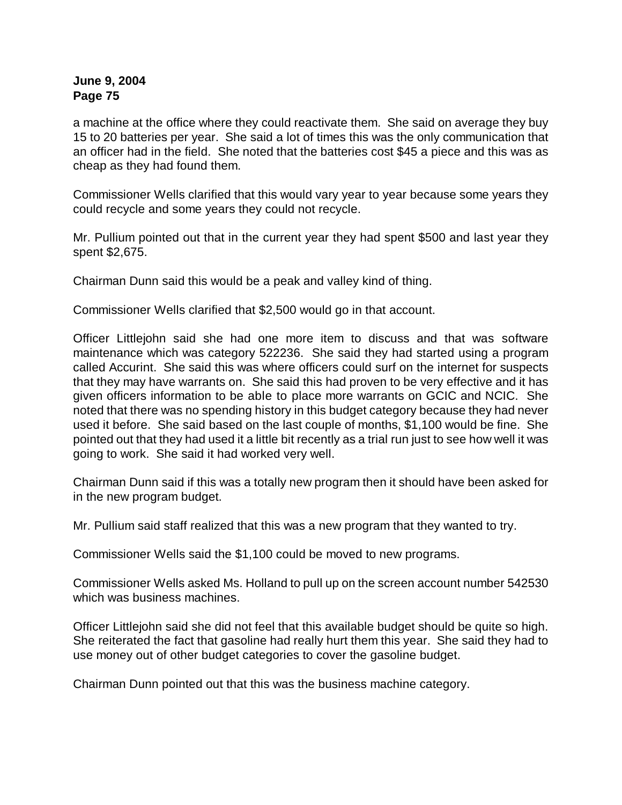a machine at the office where they could reactivate them. She said on average they buy 15 to 20 batteries per year. She said a lot of times this was the only communication that an officer had in the field. She noted that the batteries cost \$45 a piece and this was as cheap as they had found them.

Commissioner Wells clarified that this would vary year to year because some years they could recycle and some years they could not recycle.

Mr. Pullium pointed out that in the current year they had spent \$500 and last year they spent \$2,675.

Chairman Dunn said this would be a peak and valley kind of thing.

Commissioner Wells clarified that \$2,500 would go in that account.

Officer Littlejohn said she had one more item to discuss and that was software maintenance which was category 522236. She said they had started using a program called Accurint. She said this was where officers could surf on the internet for suspects that they may have warrants on. She said this had proven to be very effective and it has given officers information to be able to place more warrants on GCIC and NCIC. She noted that there was no spending history in this budget category because they had never used it before. She said based on the last couple of months, \$1,100 would be fine. She pointed out that they had used it a little bit recently as a trial run just to see how well it was going to work. She said it had worked very well.

Chairman Dunn said if this was a totally new program then it should have been asked for in the new program budget.

Mr. Pullium said staff realized that this was a new program that they wanted to try.

Commissioner Wells said the \$1,100 could be moved to new programs.

Commissioner Wells asked Ms. Holland to pull up on the screen account number 542530 which was business machines.

Officer Littlejohn said she did not feel that this available budget should be quite so high. She reiterated the fact that gasoline had really hurt them this year. She said they had to use money out of other budget categories to cover the gasoline budget.

Chairman Dunn pointed out that this was the business machine category.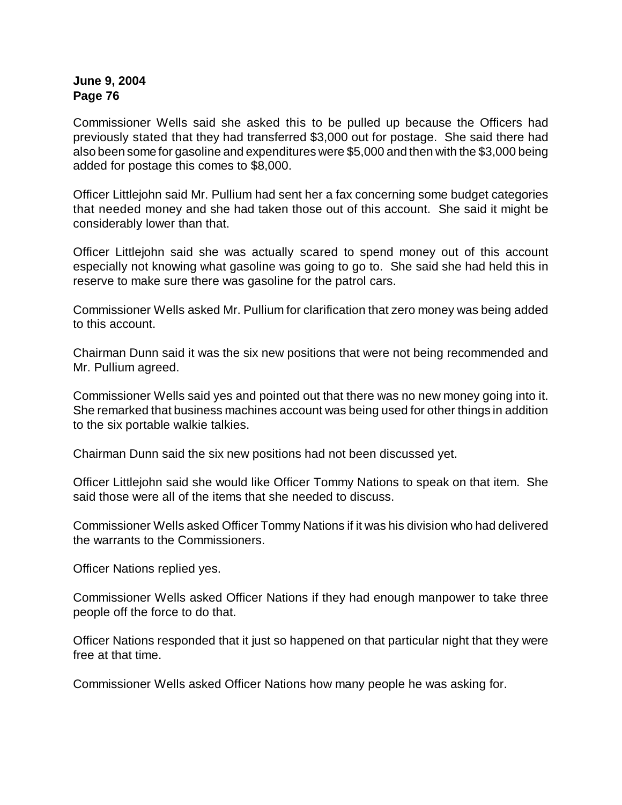Commissioner Wells said she asked this to be pulled up because the Officers had previously stated that they had transferred \$3,000 out for postage. She said there had also been some for gasoline and expenditures were \$5,000 and then with the \$3,000 being added for postage this comes to \$8,000.

Officer Littlejohn said Mr. Pullium had sent her a fax concerning some budget categories that needed money and she had taken those out of this account. She said it might be considerably lower than that.

Officer Littlejohn said she was actually scared to spend money out of this account especially not knowing what gasoline was going to go to. She said she had held this in reserve to make sure there was gasoline for the patrol cars.

Commissioner Wells asked Mr. Pullium for clarification that zero money was being added to this account.

Chairman Dunn said it was the six new positions that were not being recommended and Mr. Pullium agreed.

Commissioner Wells said yes and pointed out that there was no new money going into it. She remarked that business machines account was being used for other things in addition to the six portable walkie talkies.

Chairman Dunn said the six new positions had not been discussed yet.

Officer Littlejohn said she would like Officer Tommy Nations to speak on that item. She said those were all of the items that she needed to discuss.

Commissioner Wells asked Officer Tommy Nations if it was his division who had delivered the warrants to the Commissioners.

Officer Nations replied yes.

Commissioner Wells asked Officer Nations if they had enough manpower to take three people off the force to do that.

Officer Nations responded that it just so happened on that particular night that they were free at that time.

Commissioner Wells asked Officer Nations how many people he was asking for.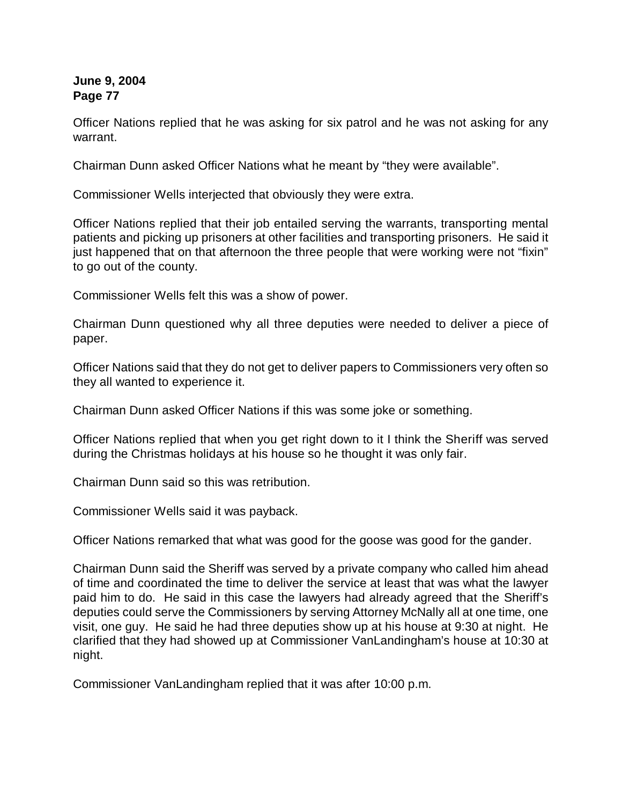Officer Nations replied that he was asking for six patrol and he was not asking for any warrant.

Chairman Dunn asked Officer Nations what he meant by "they were available".

Commissioner Wells interjected that obviously they were extra.

Officer Nations replied that their job entailed serving the warrants, transporting mental patients and picking up prisoners at other facilities and transporting prisoners. He said it just happened that on that afternoon the three people that were working were not "fixin" to go out of the county.

Commissioner Wells felt this was a show of power.

Chairman Dunn questioned why all three deputies were needed to deliver a piece of paper.

Officer Nations said that they do not get to deliver papers to Commissioners very often so they all wanted to experience it.

Chairman Dunn asked Officer Nations if this was some joke or something.

Officer Nations replied that when you get right down to it I think the Sheriff was served during the Christmas holidays at his house so he thought it was only fair.

Chairman Dunn said so this was retribution.

Commissioner Wells said it was payback.

Officer Nations remarked that what was good for the goose was good for the gander.

Chairman Dunn said the Sheriff was served by a private company who called him ahead of time and coordinated the time to deliver the service at least that was what the lawyer paid him to do. He said in this case the lawyers had already agreed that the Sheriff's deputies could serve the Commissioners by serving Attorney McNally all at one time, one visit, one guy. He said he had three deputies show up at his house at 9:30 at night. He clarified that they had showed up at Commissioner VanLandingham's house at 10:30 at night.

Commissioner VanLandingham replied that it was after 10:00 p.m.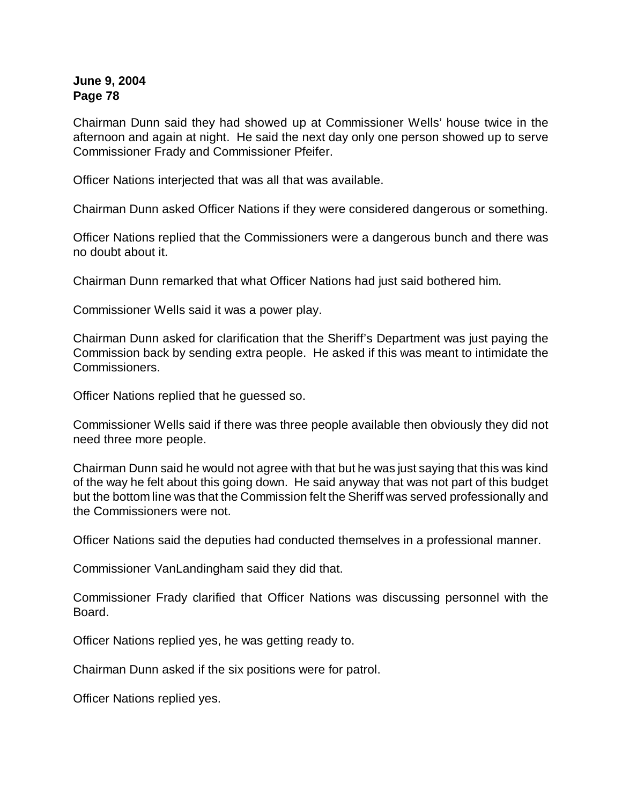Chairman Dunn said they had showed up at Commissioner Wells' house twice in the afternoon and again at night. He said the next day only one person showed up to serve Commissioner Frady and Commissioner Pfeifer.

Officer Nations interjected that was all that was available.

Chairman Dunn asked Officer Nations if they were considered dangerous or something.

Officer Nations replied that the Commissioners were a dangerous bunch and there was no doubt about it.

Chairman Dunn remarked that what Officer Nations had just said bothered him.

Commissioner Wells said it was a power play.

Chairman Dunn asked for clarification that the Sheriff's Department was just paying the Commission back by sending extra people. He asked if this was meant to intimidate the Commissioners.

Officer Nations replied that he guessed so.

Commissioner Wells said if there was three people available then obviously they did not need three more people.

Chairman Dunn said he would not agree with that but he was just saying that this was kind of the way he felt about this going down. He said anyway that was not part of this budget but the bottom line was that the Commission felt the Sheriff was served professionally and the Commissioners were not.

Officer Nations said the deputies had conducted themselves in a professional manner.

Commissioner VanLandingham said they did that.

Commissioner Frady clarified that Officer Nations was discussing personnel with the Board.

Officer Nations replied yes, he was getting ready to.

Chairman Dunn asked if the six positions were for patrol.

Officer Nations replied yes.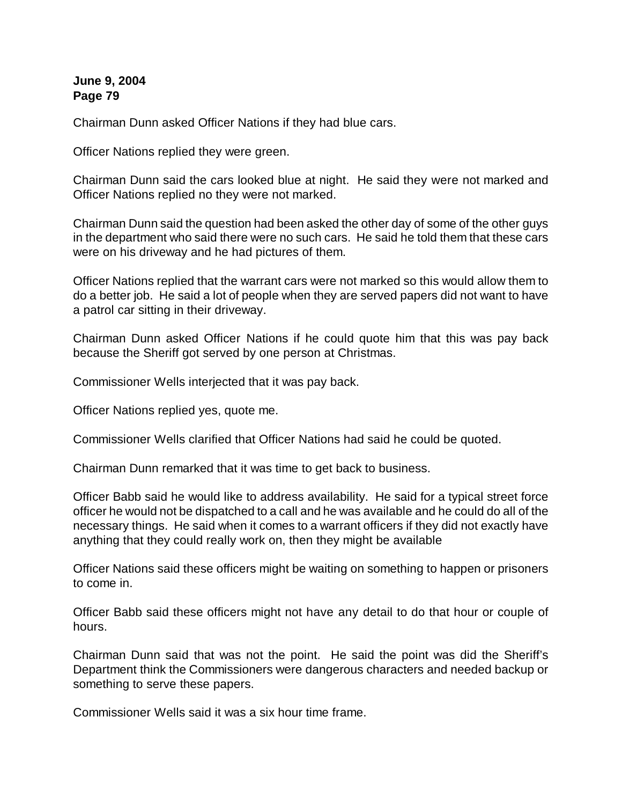Chairman Dunn asked Officer Nations if they had blue cars.

Officer Nations replied they were green.

Chairman Dunn said the cars looked blue at night. He said they were not marked and Officer Nations replied no they were not marked.

Chairman Dunn said the question had been asked the other day of some of the other guys in the department who said there were no such cars. He said he told them that these cars were on his driveway and he had pictures of them.

Officer Nations replied that the warrant cars were not marked so this would allow them to do a better job. He said a lot of people when they are served papers did not want to have a patrol car sitting in their driveway.

Chairman Dunn asked Officer Nations if he could quote him that this was pay back because the Sheriff got served by one person at Christmas.

Commissioner Wells interjected that it was pay back.

Officer Nations replied yes, quote me.

Commissioner Wells clarified that Officer Nations had said he could be quoted.

Chairman Dunn remarked that it was time to get back to business.

Officer Babb said he would like to address availability. He said for a typical street force officer he would not be dispatched to a call and he was available and he could do all of the necessary things. He said when it comes to a warrant officers if they did not exactly have anything that they could really work on, then they might be available

Officer Nations said these officers might be waiting on something to happen or prisoners to come in.

Officer Babb said these officers might not have any detail to do that hour or couple of hours.

Chairman Dunn said that was not the point. He said the point was did the Sheriff's Department think the Commissioners were dangerous characters and needed backup or something to serve these papers.

Commissioner Wells said it was a six hour time frame.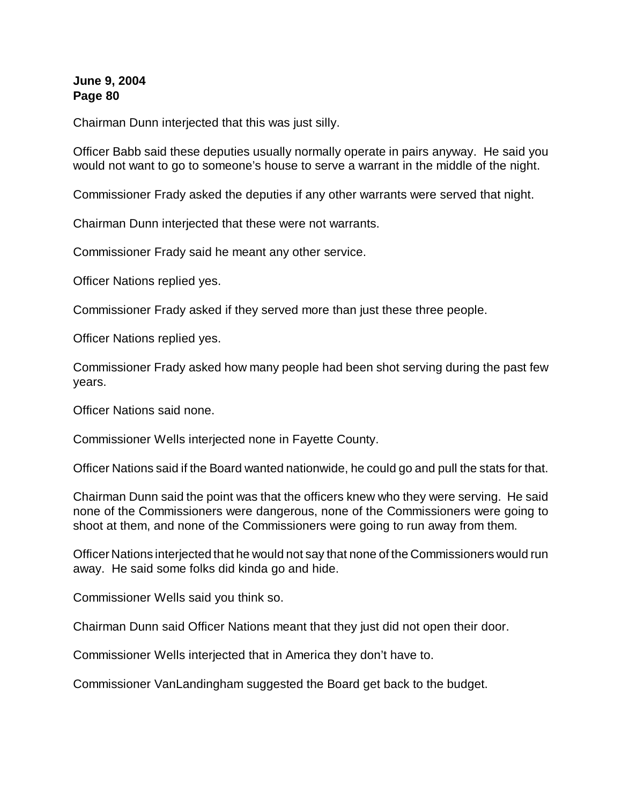Chairman Dunn interjected that this was just silly.

Officer Babb said these deputies usually normally operate in pairs anyway. He said you would not want to go to someone's house to serve a warrant in the middle of the night.

Commissioner Frady asked the deputies if any other warrants were served that night.

Chairman Dunn interjected that these were not warrants.

Commissioner Frady said he meant any other service.

Officer Nations replied yes.

Commissioner Frady asked if they served more than just these three people.

Officer Nations replied yes.

Commissioner Frady asked how many people had been shot serving during the past few years.

Officer Nations said none.

Commissioner Wells interjected none in Fayette County.

Officer Nations said if the Board wanted nationwide, he could go and pull the stats for that.

Chairman Dunn said the point was that the officers knew who they were serving. He said none of the Commissioners were dangerous, none of the Commissioners were going to shoot at them, and none of the Commissioners were going to run away from them.

Officer Nations interjected that he would not say that none of the Commissioners would run away. He said some folks did kinda go and hide.

Commissioner Wells said you think so.

Chairman Dunn said Officer Nations meant that they just did not open their door.

Commissioner Wells interjected that in America they don't have to.

Commissioner VanLandingham suggested the Board get back to the budget.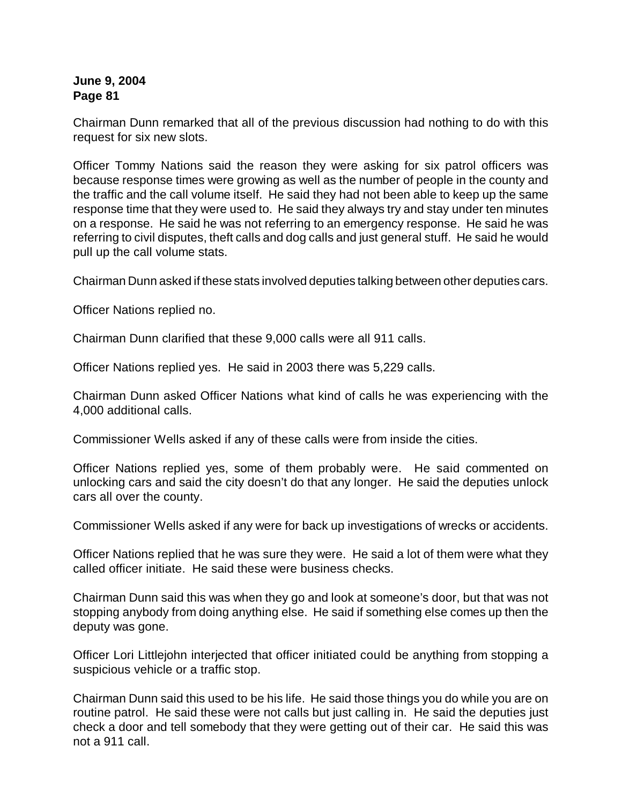Chairman Dunn remarked that all of the previous discussion had nothing to do with this request for six new slots.

Officer Tommy Nations said the reason they were asking for six patrol officers was because response times were growing as well as the number of people in the county and the traffic and the call volume itself. He said they had not been able to keep up the same response time that they were used to. He said they always try and stay under ten minutes on a response. He said he was not referring to an emergency response. He said he was referring to civil disputes, theft calls and dog calls and just general stuff. He said he would pull up the call volume stats.

Chairman Dunn asked if these stats involved deputies talking between other deputies cars.

Officer Nations replied no.

Chairman Dunn clarified that these 9,000 calls were all 911 calls.

Officer Nations replied yes. He said in 2003 there was 5,229 calls.

Chairman Dunn asked Officer Nations what kind of calls he was experiencing with the 4,000 additional calls.

Commissioner Wells asked if any of these calls were from inside the cities.

Officer Nations replied yes, some of them probably were. He said commented on unlocking cars and said the city doesn't do that any longer. He said the deputies unlock cars all over the county.

Commissioner Wells asked if any were for back up investigations of wrecks or accidents.

Officer Nations replied that he was sure they were. He said a lot of them were what they called officer initiate. He said these were business checks.

Chairman Dunn said this was when they go and look at someone's door, but that was not stopping anybody from doing anything else. He said if something else comes up then the deputy was gone.

Officer Lori Littlejohn interjected that officer initiated could be anything from stopping a suspicious vehicle or a traffic stop.

Chairman Dunn said this used to be his life. He said those things you do while you are on routine patrol. He said these were not calls but just calling in. He said the deputies just check a door and tell somebody that they were getting out of their car. He said this was not a 911 call.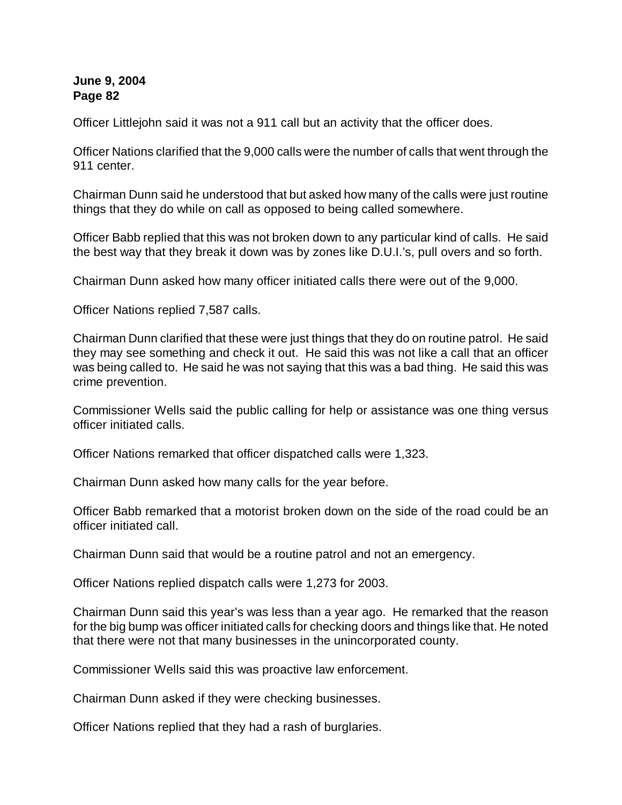Officer Littlejohn said it was not a 911 call but an activity that the officer does.

Officer Nations clarified that the 9,000 calls were the number of calls that went through the 911 center.

Chairman Dunn said he understood that but asked how many of the calls were just routine things that they do while on call as opposed to being called somewhere.

Officer Babb replied that this was not broken down to any particular kind of calls. He said the best way that they break it down was by zones like D.U.I.'s, pull overs and so forth.

Chairman Dunn asked how many officer initiated calls there were out of the 9,000.

Officer Nations replied 7,587 calls.

Chairman Dunn clarified that these were just things that they do on routine patrol. He said they may see something and check it out. He said this was not like a call that an officer was being called to. He said he was not saying that this was a bad thing. He said this was crime prevention.

Commissioner Wells said the public calling for help or assistance was one thing versus officer initiated calls.

Officer Nations remarked that officer dispatched calls were 1,323.

Chairman Dunn asked how many calls for the year before.

Officer Babb remarked that a motorist broken down on the side of the road could be an officer initiated call.

Chairman Dunn said that would be a routine patrol and not an emergency.

Officer Nations replied dispatch calls were 1,273 for 2003.

Chairman Dunn said this year's was less than a year ago. He remarked that the reason for the big bump was officer initiated calls for checking doors and things like that. He noted that there were not that many businesses in the unincorporated county.

Commissioner Wells said this was proactive law enforcement.

Chairman Dunn asked if they were checking businesses.

Officer Nations replied that they had a rash of burglaries.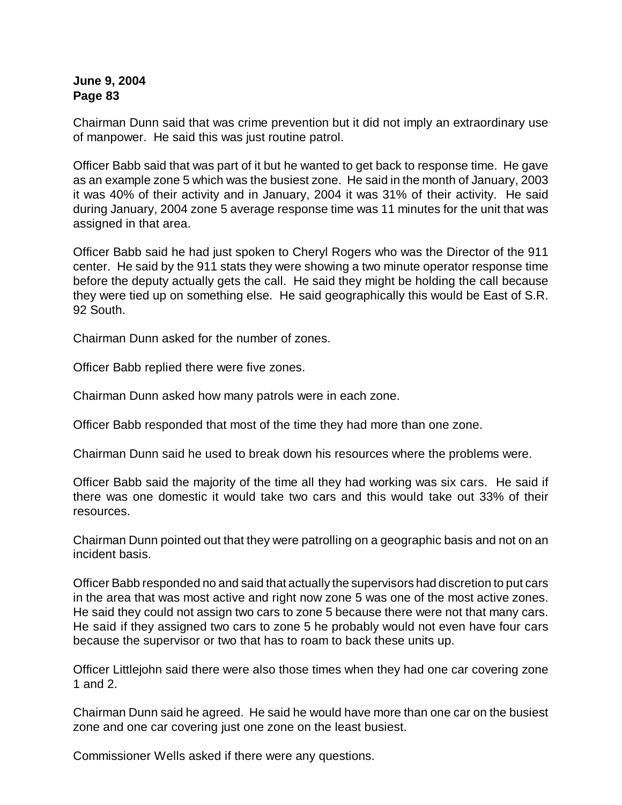Chairman Dunn said that was crime prevention but it did not imply an extraordinary use of manpower. He said this was just routine patrol.

Officer Babb said that was part of it but he wanted to get back to response time. He gave as an example zone 5 which was the busiest zone. He said in the month of January, 2003 it was 40% of their activity and in January, 2004 it was 31% of their activity. He said during January, 2004 zone 5 average response time was 11 minutes for the unit that was assigned in that area.

Officer Babb said he had just spoken to Cheryl Rogers who was the Director of the 911 center. He said by the 911 stats they were showing a two minute operator response time before the deputy actually gets the call. He said they might be holding the call because they were tied up on something else. He said geographically this would be East of S.R. 92 South.

Chairman Dunn asked for the number of zones.

Officer Babb replied there were five zones.

Chairman Dunn asked how many patrols were in each zone.

Officer Babb responded that most of the time they had more than one zone.

Chairman Dunn said he used to break down his resources where the problems were.

Officer Babb said the majority of the time all they had working was six cars. He said if there was one domestic it would take two cars and this would take out 33% of their resources.

Chairman Dunn pointed out that they were patrolling on a geographic basis and not on an incident basis.

Officer Babb responded no and said that actually the supervisors had discretion to put cars in the area that was most active and right now zone 5 was one of the most active zones. He said they could not assign two cars to zone 5 because there were not that many cars. He said if they assigned two cars to zone 5 he probably would not even have four cars because the supervisor or two that has to roam to back these units up.

Officer Littlejohn said there were also those times when they had one car covering zone 1 and 2.

Chairman Dunn said he agreed. He said he would have more than one car on the busiest zone and one car covering just one zone on the least busiest.

Commissioner Wells asked if there were any questions.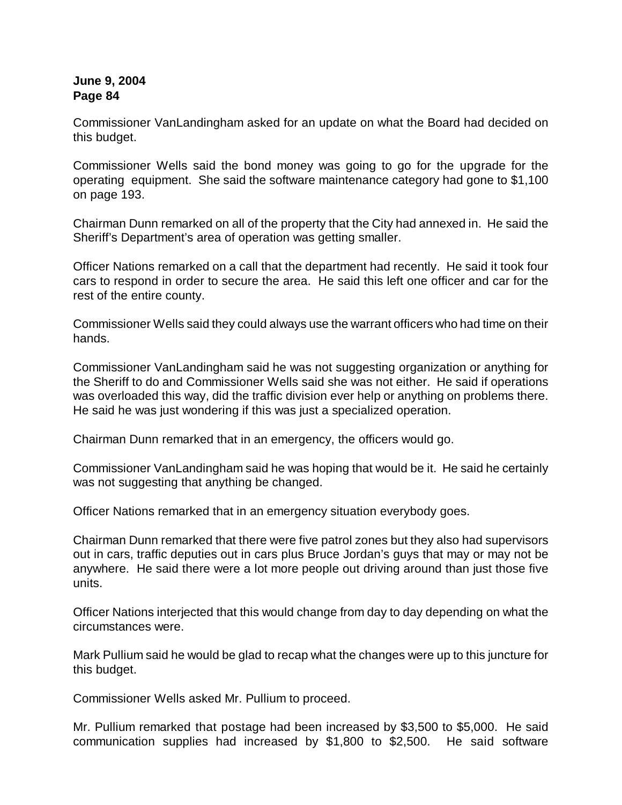Commissioner VanLandingham asked for an update on what the Board had decided on this budget.

Commissioner Wells said the bond money was going to go for the upgrade for the operating equipment. She said the software maintenance category had gone to \$1,100 on page 193.

Chairman Dunn remarked on all of the property that the City had annexed in. He said the Sheriff's Department's area of operation was getting smaller.

Officer Nations remarked on a call that the department had recently. He said it took four cars to respond in order to secure the area. He said this left one officer and car for the rest of the entire county.

Commissioner Wells said they could always use the warrant officers who had time on their hands.

Commissioner VanLandingham said he was not suggesting organization or anything for the Sheriff to do and Commissioner Wells said she was not either. He said if operations was overloaded this way, did the traffic division ever help or anything on problems there. He said he was just wondering if this was just a specialized operation.

Chairman Dunn remarked that in an emergency, the officers would go.

Commissioner VanLandingham said he was hoping that would be it. He said he certainly was not suggesting that anything be changed.

Officer Nations remarked that in an emergency situation everybody goes.

Chairman Dunn remarked that there were five patrol zones but they also had supervisors out in cars, traffic deputies out in cars plus Bruce Jordan's guys that may or may not be anywhere. He said there were a lot more people out driving around than just those five units.

Officer Nations interjected that this would change from day to day depending on what the circumstances were.

Mark Pullium said he would be glad to recap what the changes were up to this juncture for this budget.

Commissioner Wells asked Mr. Pullium to proceed.

Mr. Pullium remarked that postage had been increased by \$3,500 to \$5,000. He said communication supplies had increased by \$1,800 to \$2,500. He said software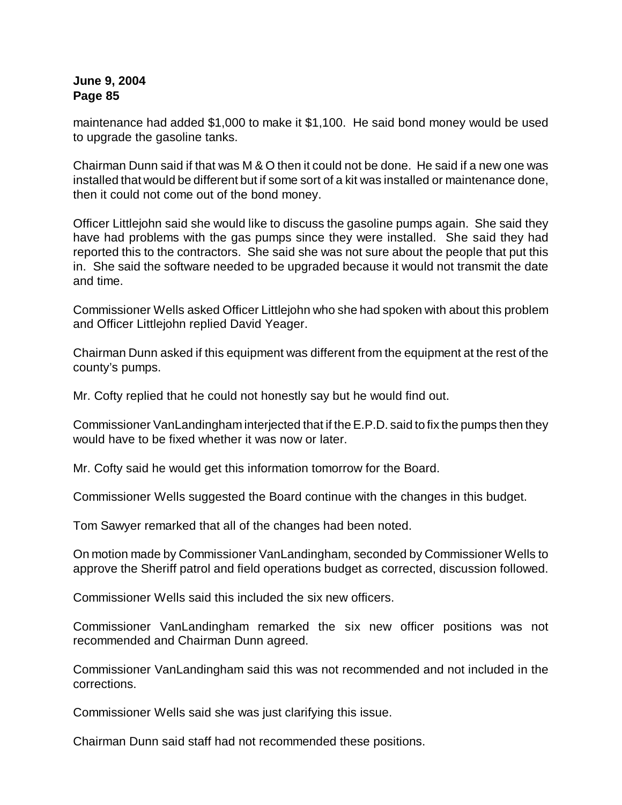maintenance had added \$1,000 to make it \$1,100. He said bond money would be used to upgrade the gasoline tanks.

Chairman Dunn said if that was M & O then it could not be done. He said if a new one was installed that would be different but if some sort of a kit was installed or maintenance done, then it could not come out of the bond money.

Officer Littlejohn said she would like to discuss the gasoline pumps again. She said they have had problems with the gas pumps since they were installed. She said they had reported this to the contractors. She said she was not sure about the people that put this in. She said the software needed to be upgraded because it would not transmit the date and time.

Commissioner Wells asked Officer Littlejohn who she had spoken with about this problem and Officer Littlejohn replied David Yeager.

Chairman Dunn asked if this equipment was different from the equipment at the rest of the county's pumps.

Mr. Cofty replied that he could not honestly say but he would find out.

Commissioner VanLandingham interjected that if the E.P.D. said to fix the pumps then they would have to be fixed whether it was now or later.

Mr. Cofty said he would get this information tomorrow for the Board.

Commissioner Wells suggested the Board continue with the changes in this budget.

Tom Sawyer remarked that all of the changes had been noted.

On motion made by Commissioner VanLandingham, seconded by Commissioner Wells to approve the Sheriff patrol and field operations budget as corrected, discussion followed.

Commissioner Wells said this included the six new officers.

Commissioner VanLandingham remarked the six new officer positions was not recommended and Chairman Dunn agreed.

Commissioner VanLandingham said this was not recommended and not included in the corrections.

Commissioner Wells said she was just clarifying this issue.

Chairman Dunn said staff had not recommended these positions.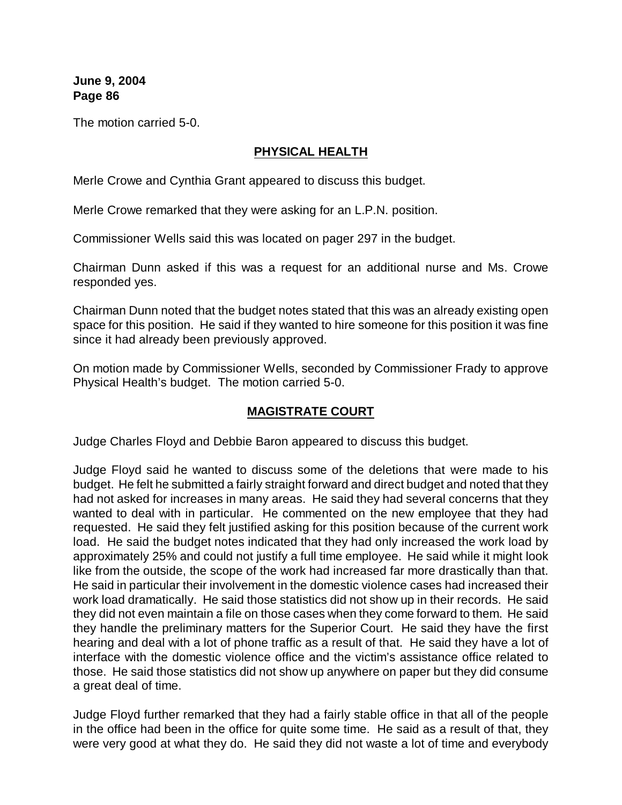The motion carried 5-0.

## **PHYSICAL HEALTH**

Merle Crowe and Cynthia Grant appeared to discuss this budget.

Merle Crowe remarked that they were asking for an L.P.N. position.

Commissioner Wells said this was located on pager 297 in the budget.

Chairman Dunn asked if this was a request for an additional nurse and Ms. Crowe responded yes.

Chairman Dunn noted that the budget notes stated that this was an already existing open space for this position. He said if they wanted to hire someone for this position it was fine since it had already been previously approved.

On motion made by Commissioner Wells, seconded by Commissioner Frady to approve Physical Health's budget. The motion carried 5-0.

# **MAGISTRATE COURT**

Judge Charles Floyd and Debbie Baron appeared to discuss this budget.

Judge Floyd said he wanted to discuss some of the deletions that were made to his budget. He felt he submitted a fairly straight forward and direct budget and noted that they had not asked for increases in many areas. He said they had several concerns that they wanted to deal with in particular. He commented on the new employee that they had requested. He said they felt justified asking for this position because of the current work load. He said the budget notes indicated that they had only increased the work load by approximately 25% and could not justify a full time employee. He said while it might look like from the outside, the scope of the work had increased far more drastically than that. He said in particular their involvement in the domestic violence cases had increased their work load dramatically. He said those statistics did not show up in their records. He said they did not even maintain a file on those cases when they come forward to them. He said they handle the preliminary matters for the Superior Court. He said they have the first hearing and deal with a lot of phone traffic as a result of that. He said they have a lot of interface with the domestic violence office and the victim's assistance office related to those. He said those statistics did not show up anywhere on paper but they did consume a great deal of time.

Judge Floyd further remarked that they had a fairly stable office in that all of the people in the office had been in the office for quite some time. He said as a result of that, they were very good at what they do. He said they did not waste a lot of time and everybody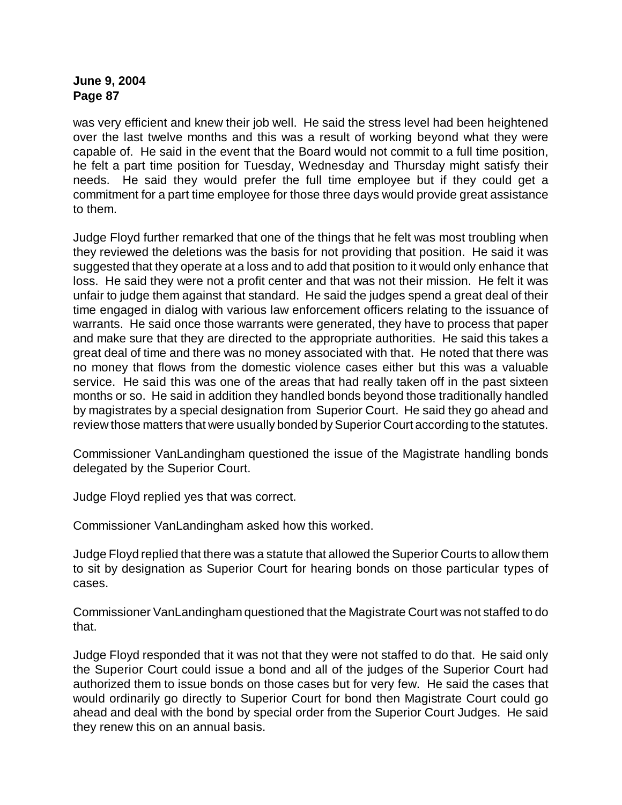was very efficient and knew their job well. He said the stress level had been heightened over the last twelve months and this was a result of working beyond what they were capable of. He said in the event that the Board would not commit to a full time position, he felt a part time position for Tuesday, Wednesday and Thursday might satisfy their needs. He said they would prefer the full time employee but if they could get a commitment for a part time employee for those three days would provide great assistance to them.

Judge Floyd further remarked that one of the things that he felt was most troubling when they reviewed the deletions was the basis for not providing that position. He said it was suggested that they operate at a loss and to add that position to it would only enhance that loss. He said they were not a profit center and that was not their mission. He felt it was unfair to judge them against that standard. He said the judges spend a great deal of their time engaged in dialog with various law enforcement officers relating to the issuance of warrants. He said once those warrants were generated, they have to process that paper and make sure that they are directed to the appropriate authorities. He said this takes a great deal of time and there was no money associated with that. He noted that there was no money that flows from the domestic violence cases either but this was a valuable service. He said this was one of the areas that had really taken off in the past sixteen months or so. He said in addition they handled bonds beyond those traditionally handled by magistrates by a special designation from Superior Court. He said they go ahead and review those matters that were usually bonded by Superior Court according to the statutes.

Commissioner VanLandingham questioned the issue of the Magistrate handling bonds delegated by the Superior Court.

Judge Floyd replied yes that was correct.

Commissioner VanLandingham asked how this worked.

Judge Floyd replied that there was a statute that allowed the Superior Courts to allow them to sit by designation as Superior Court for hearing bonds on those particular types of cases.

Commissioner VanLandingham questioned that the Magistrate Court was not staffed to do that.

Judge Floyd responded that it was not that they were not staffed to do that. He said only the Superior Court could issue a bond and all of the judges of the Superior Court had authorized them to issue bonds on those cases but for very few. He said the cases that would ordinarily go directly to Superior Court for bond then Magistrate Court could go ahead and deal with the bond by special order from the Superior Court Judges. He said they renew this on an annual basis.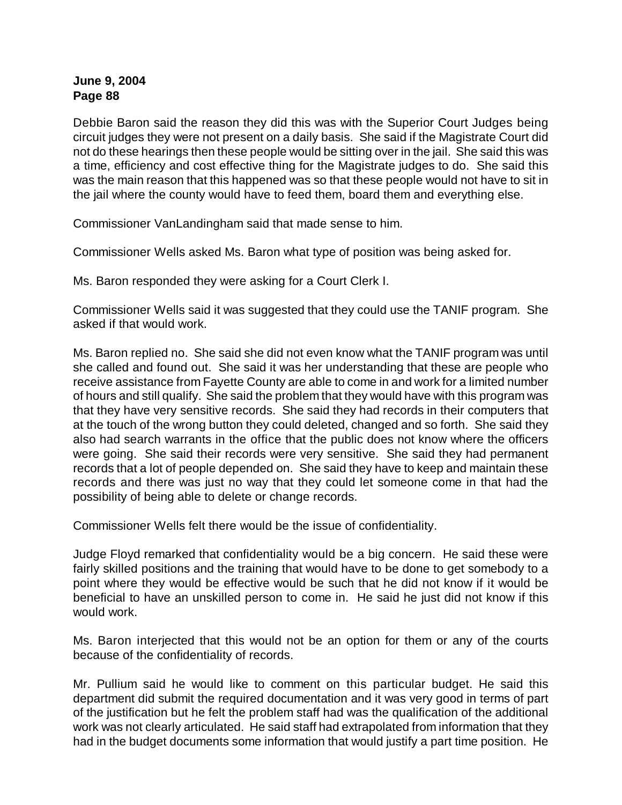Debbie Baron said the reason they did this was with the Superior Court Judges being circuit judges they were not present on a daily basis. She said if the Magistrate Court did not do these hearings then these people would be sitting over in the jail. She said this was a time, efficiency and cost effective thing for the Magistrate judges to do. She said this was the main reason that this happened was so that these people would not have to sit in the jail where the county would have to feed them, board them and everything else.

Commissioner VanLandingham said that made sense to him.

Commissioner Wells asked Ms. Baron what type of position was being asked for.

Ms. Baron responded they were asking for a Court Clerk I.

Commissioner Wells said it was suggested that they could use the TANIF program. She asked if that would work.

Ms. Baron replied no. She said she did not even know what the TANIF program was until she called and found out. She said it was her understanding that these are people who receive assistance from Fayette County are able to come in and work for a limited number of hours and still qualify. She said the problem that they would have with this program was that they have very sensitive records. She said they had records in their computers that at the touch of the wrong button they could deleted, changed and so forth. She said they also had search warrants in the office that the public does not know where the officers were going. She said their records were very sensitive. She said they had permanent records that a lot of people depended on. She said they have to keep and maintain these records and there was just no way that they could let someone come in that had the possibility of being able to delete or change records.

Commissioner Wells felt there would be the issue of confidentiality.

Judge Floyd remarked that confidentiality would be a big concern. He said these were fairly skilled positions and the training that would have to be done to get somebody to a point where they would be effective would be such that he did not know if it would be beneficial to have an unskilled person to come in. He said he just did not know if this would work.

Ms. Baron interjected that this would not be an option for them or any of the courts because of the confidentiality of records.

Mr. Pullium said he would like to comment on this particular budget. He said this department did submit the required documentation and it was very good in terms of part of the justification but he felt the problem staff had was the qualification of the additional work was not clearly articulated. He said staff had extrapolated from information that they had in the budget documents some information that would justify a part time position. He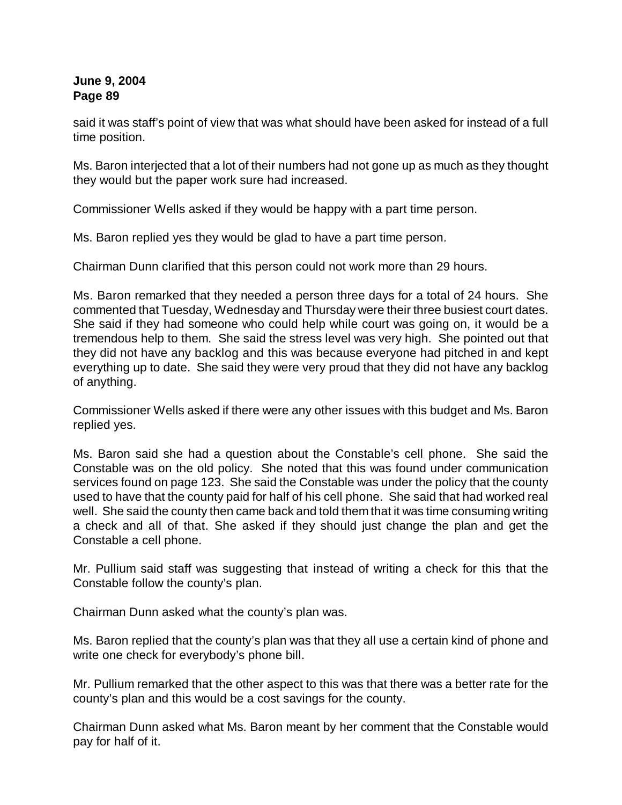said it was staff's point of view that was what should have been asked for instead of a full time position.

Ms. Baron interjected that a lot of their numbers had not gone up as much as they thought they would but the paper work sure had increased.

Commissioner Wells asked if they would be happy with a part time person.

Ms. Baron replied yes they would be glad to have a part time person.

Chairman Dunn clarified that this person could not work more than 29 hours.

Ms. Baron remarked that they needed a person three days for a total of 24 hours. She commented that Tuesday, Wednesday and Thursday were their three busiest court dates. She said if they had someone who could help while court was going on, it would be a tremendous help to them. She said the stress level was very high. She pointed out that they did not have any backlog and this was because everyone had pitched in and kept everything up to date. She said they were very proud that they did not have any backlog of anything.

Commissioner Wells asked if there were any other issues with this budget and Ms. Baron replied yes.

Ms. Baron said she had a question about the Constable's cell phone. She said the Constable was on the old policy. She noted that this was found under communication services found on page 123. She said the Constable was under the policy that the county used to have that the county paid for half of his cell phone. She said that had worked real well. She said the county then came back and told them that it was time consuming writing a check and all of that. She asked if they should just change the plan and get the Constable a cell phone.

Mr. Pullium said staff was suggesting that instead of writing a check for this that the Constable follow the county's plan.

Chairman Dunn asked what the county's plan was.

Ms. Baron replied that the county's plan was that they all use a certain kind of phone and write one check for everybody's phone bill.

Mr. Pullium remarked that the other aspect to this was that there was a better rate for the county's plan and this would be a cost savings for the county.

Chairman Dunn asked what Ms. Baron meant by her comment that the Constable would pay for half of it.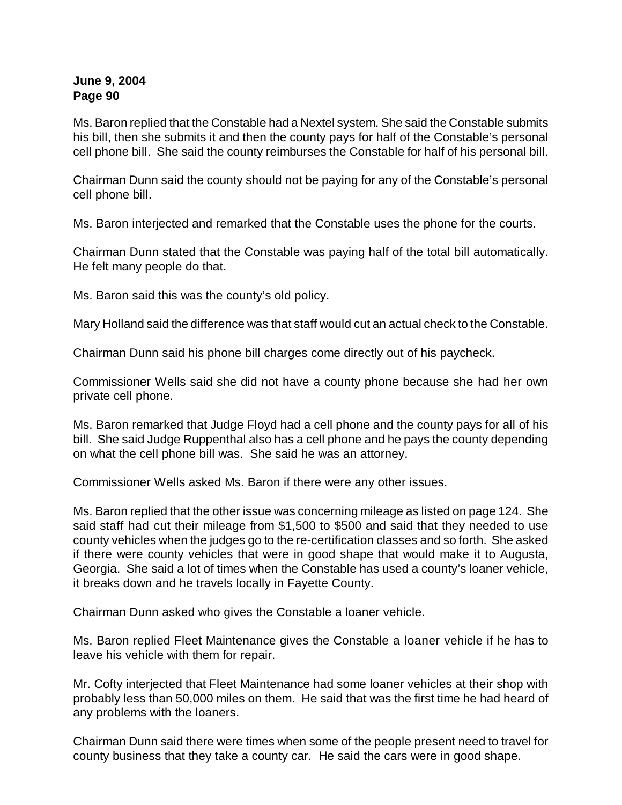Ms. Baron replied that the Constable had a Nextel system. She said the Constable submits his bill, then she submits it and then the county pays for half of the Constable's personal cell phone bill. She said the county reimburses the Constable for half of his personal bill.

Chairman Dunn said the county should not be paying for any of the Constable's personal cell phone bill.

Ms. Baron interjected and remarked that the Constable uses the phone for the courts.

Chairman Dunn stated that the Constable was paying half of the total bill automatically. He felt many people do that.

Ms. Baron said this was the county's old policy.

Mary Holland said the difference was that staff would cut an actual check to the Constable.

Chairman Dunn said his phone bill charges come directly out of his paycheck.

Commissioner Wells said she did not have a county phone because she had her own private cell phone.

Ms. Baron remarked that Judge Floyd had a cell phone and the county pays for all of his bill. She said Judge Ruppenthal also has a cell phone and he pays the county depending on what the cell phone bill was. She said he was an attorney.

Commissioner Wells asked Ms. Baron if there were any other issues.

Ms. Baron replied that the other issue was concerning mileage as listed on page 124. She said staff had cut their mileage from \$1,500 to \$500 and said that they needed to use county vehicles when the judges go to the re-certification classes and so forth. She asked if there were county vehicles that were in good shape that would make it to Augusta, Georgia. She said a lot of times when the Constable has used a county's loaner vehicle, it breaks down and he travels locally in Fayette County.

Chairman Dunn asked who gives the Constable a loaner vehicle.

Ms. Baron replied Fleet Maintenance gives the Constable a loaner vehicle if he has to leave his vehicle with them for repair.

Mr. Cofty interjected that Fleet Maintenance had some loaner vehicles at their shop with probably less than 50,000 miles on them. He said that was the first time he had heard of any problems with the loaners.

Chairman Dunn said there were times when some of the people present need to travel for county business that they take a county car. He said the cars were in good shape.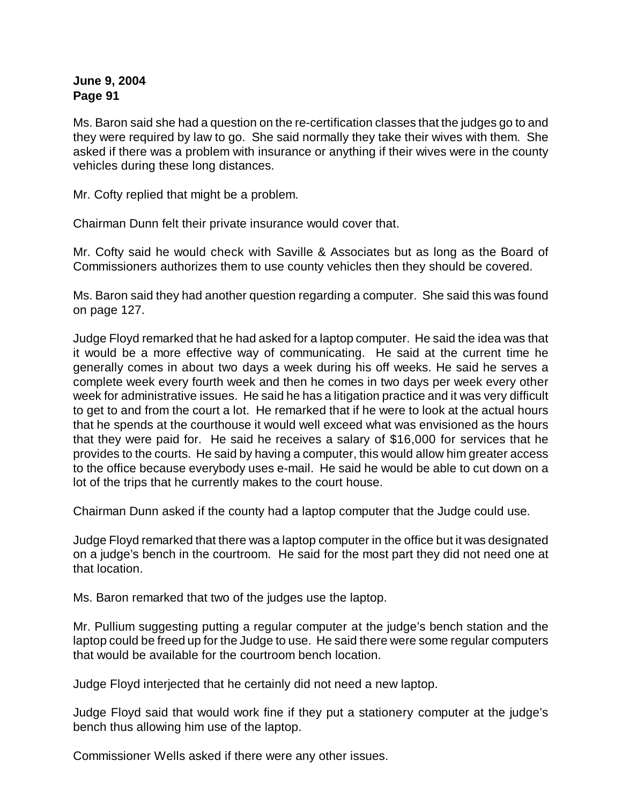Ms. Baron said she had a question on the re-certification classes that the judges go to and they were required by law to go. She said normally they take their wives with them. She asked if there was a problem with insurance or anything if their wives were in the county vehicles during these long distances.

Mr. Cofty replied that might be a problem.

Chairman Dunn felt their private insurance would cover that.

Mr. Cofty said he would check with Saville & Associates but as long as the Board of Commissioners authorizes them to use county vehicles then they should be covered.

Ms. Baron said they had another question regarding a computer. She said this was found on page 127.

Judge Floyd remarked that he had asked for a laptop computer. He said the idea was that it would be a more effective way of communicating. He said at the current time he generally comes in about two days a week during his off weeks. He said he serves a complete week every fourth week and then he comes in two days per week every other week for administrative issues. He said he has a litigation practice and it was very difficult to get to and from the court a lot. He remarked that if he were to look at the actual hours that he spends at the courthouse it would well exceed what was envisioned as the hours that they were paid for. He said he receives a salary of \$16,000 for services that he provides to the courts. He said by having a computer, this would allow him greater access to the office because everybody uses e-mail. He said he would be able to cut down on a lot of the trips that he currently makes to the court house.

Chairman Dunn asked if the county had a laptop computer that the Judge could use.

Judge Floyd remarked that there was a laptop computer in the office but it was designated on a judge's bench in the courtroom. He said for the most part they did not need one at that location.

Ms. Baron remarked that two of the judges use the laptop.

Mr. Pullium suggesting putting a regular computer at the judge's bench station and the laptop could be freed up for the Judge to use. He said there were some regular computers that would be available for the courtroom bench location.

Judge Floyd interjected that he certainly did not need a new laptop.

Judge Floyd said that would work fine if they put a stationery computer at the judge's bench thus allowing him use of the laptop.

Commissioner Wells asked if there were any other issues.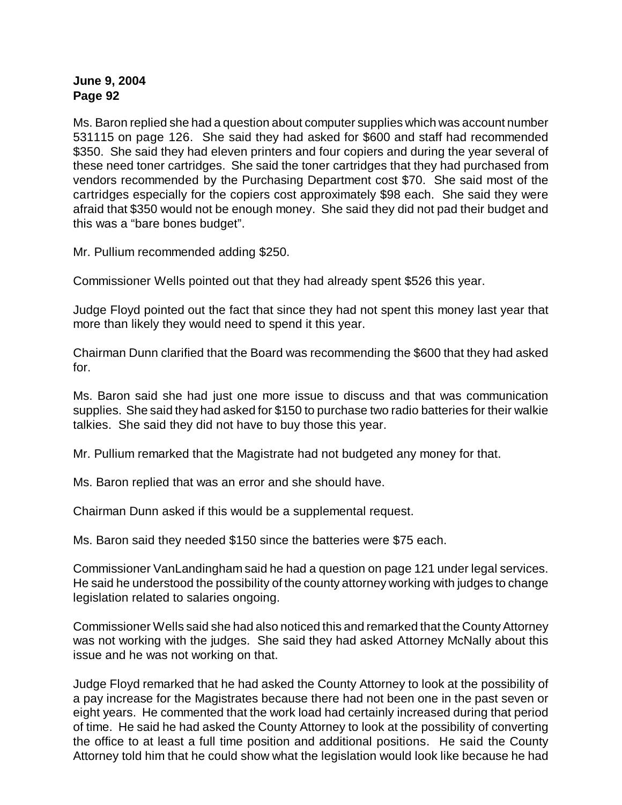Ms. Baron replied she had a question about computer supplies which was account number 531115 on page 126. She said they had asked for \$600 and staff had recommended \$350. She said they had eleven printers and four copiers and during the year several of these need toner cartridges. She said the toner cartridges that they had purchased from vendors recommended by the Purchasing Department cost \$70. She said most of the cartridges especially for the copiers cost approximately \$98 each. She said they were afraid that \$350 would not be enough money. She said they did not pad their budget and this was a "bare bones budget".

Mr. Pullium recommended adding \$250.

Commissioner Wells pointed out that they had already spent \$526 this year.

Judge Floyd pointed out the fact that since they had not spent this money last year that more than likely they would need to spend it this year.

Chairman Dunn clarified that the Board was recommending the \$600 that they had asked for.

Ms. Baron said she had just one more issue to discuss and that was communication supplies. She said they had asked for \$150 to purchase two radio batteries for their walkie talkies. She said they did not have to buy those this year.

Mr. Pullium remarked that the Magistrate had not budgeted any money for that.

Ms. Baron replied that was an error and she should have.

Chairman Dunn asked if this would be a supplemental request.

Ms. Baron said they needed \$150 since the batteries were \$75 each.

Commissioner VanLandingham said he had a question on page 121 under legal services. He said he understood the possibility of the county attorney working with judges to change legislation related to salaries ongoing.

Commissioner Wells said she had also noticed this and remarked that the County Attorney was not working with the judges. She said they had asked Attorney McNally about this issue and he was not working on that.

Judge Floyd remarked that he had asked the County Attorney to look at the possibility of a pay increase for the Magistrates because there had not been one in the past seven or eight years. He commented that the work load had certainly increased during that period of time. He said he had asked the County Attorney to look at the possibility of converting the office to at least a full time position and additional positions. He said the County Attorney told him that he could show what the legislation would look like because he had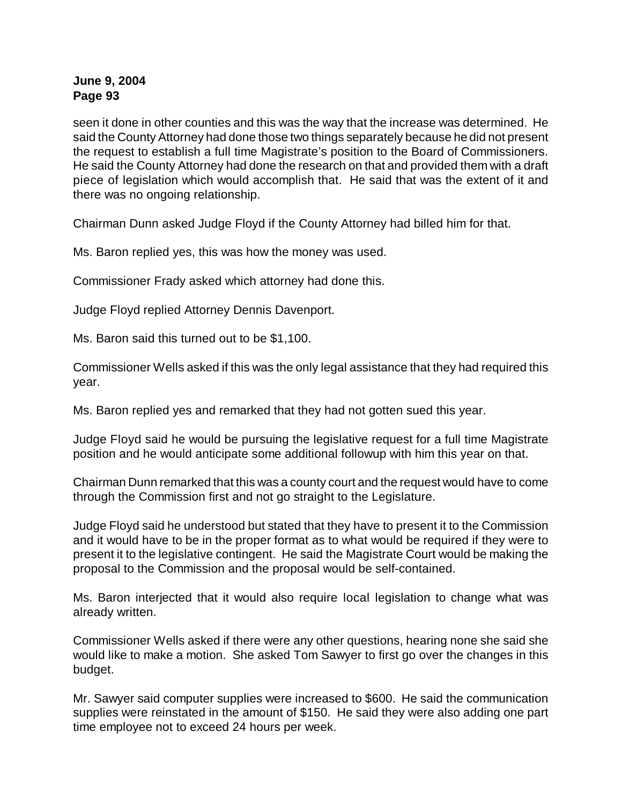seen it done in other counties and this was the way that the increase was determined. He said the County Attorney had done those two things separately because he did not present the request to establish a full time Magistrate's position to the Board of Commissioners. He said the County Attorney had done the research on that and provided them with a draft piece of legislation which would accomplish that. He said that was the extent of it and there was no ongoing relationship.

Chairman Dunn asked Judge Floyd if the County Attorney had billed him for that.

Ms. Baron replied yes, this was how the money was used.

Commissioner Frady asked which attorney had done this.

Judge Floyd replied Attorney Dennis Davenport.

Ms. Baron said this turned out to be \$1,100.

Commissioner Wells asked if this was the only legal assistance that they had required this year.

Ms. Baron replied yes and remarked that they had not gotten sued this year.

Judge Floyd said he would be pursuing the legislative request for a full time Magistrate position and he would anticipate some additional followup with him this year on that.

Chairman Dunn remarked that this was a county court and the request would have to come through the Commission first and not go straight to the Legislature.

Judge Floyd said he understood but stated that they have to present it to the Commission and it would have to be in the proper format as to what would be required if they were to present it to the legislative contingent. He said the Magistrate Court would be making the proposal to the Commission and the proposal would be self-contained.

Ms. Baron interjected that it would also require local legislation to change what was already written.

Commissioner Wells asked if there were any other questions, hearing none she said she would like to make a motion. She asked Tom Sawyer to first go over the changes in this budget.

Mr. Sawyer said computer supplies were increased to \$600. He said the communication supplies were reinstated in the amount of \$150. He said they were also adding one part time employee not to exceed 24 hours per week.